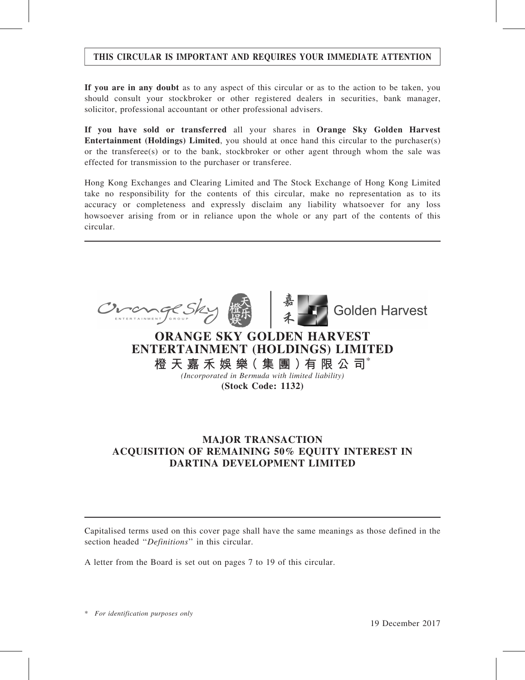## THIS CIRCULAR IS IMPORTANT AND REQUIRES YOUR IMMEDIATE ATTENTION

If you are in any doubt as to any aspect of this circular or as to the action to be taken, you should consult your stockbroker or other registered dealers in securities, bank manager, solicitor, professional accountant or other professional advisers.

If you have sold or transferred all your shares in Orange Sky Golden Harvest Entertainment (Holdings) Limited, you should at once hand this circular to the purchaser(s) or the transferee(s) or to the bank, stockbroker or other agent through whom the sale was effected for transmission to the purchaser or transferee.

Hong Kong Exchanges and Clearing Limited and The Stock Exchange of Hong Kong Limited take no responsibility for the contents of this circular, make no representation as to its accuracy or completeness and expressly disclaim any liability whatsoever for any loss howsoever arising from or in reliance upon the whole or any part of the contents of this circular.



## MAJOR TRANSACTION ACQUISITION OF REMAINING 50% EQUITY INTEREST IN DARTINA DEVELOPMENT LIMITED

Capitalised terms used on this cover page shall have the same meanings as those defined in the section headed "Definitions" in this circular.

A letter from the Board is set out on pages 7 to 19 of this circular.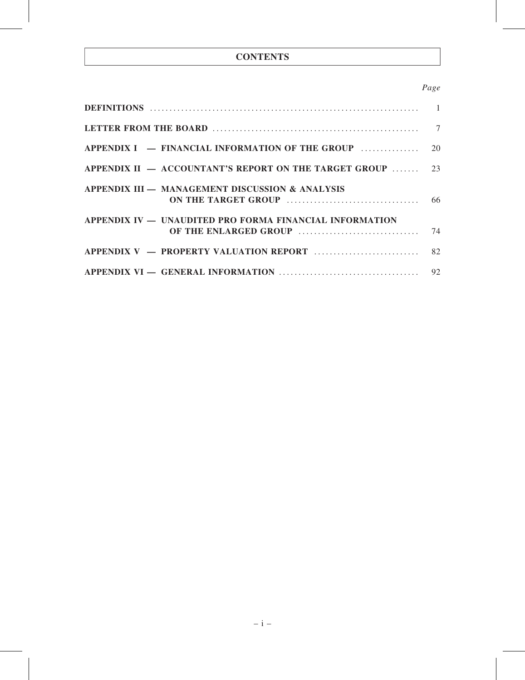## **CONTENTS**

## Page

| APPENDIX II $-$ ACCOUNTANT'S REPORT ON THE TARGET GROUP  23 |    |
|-------------------------------------------------------------|----|
| APPENDIX III - MANAGEMENT DISCUSSION & ANALYSIS             |    |
| APPENDIX IV - UNAUDITED PRO FORMA FINANCIAL INFORMATION     | 74 |
|                                                             |    |
|                                                             |    |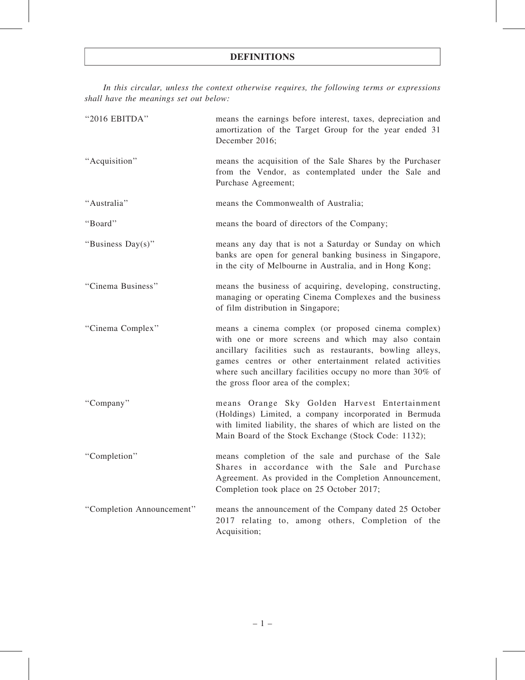In this circular, unless the context otherwise requires, the following terms or expressions shall have the meanings set out below:

| "2016 EBITDA"             | means the earnings before interest, taxes, depreciation and<br>amortization of the Target Group for the year ended 31<br>December 2016;                                                                                                                                                                                                  |
|---------------------------|------------------------------------------------------------------------------------------------------------------------------------------------------------------------------------------------------------------------------------------------------------------------------------------------------------------------------------------|
| "Acquisition"             | means the acquisition of the Sale Shares by the Purchaser<br>from the Vendor, as contemplated under the Sale and<br>Purchase Agreement;                                                                                                                                                                                                  |
| "Australia"               | means the Commonwealth of Australia;                                                                                                                                                                                                                                                                                                     |
| "Board"                   | means the board of directors of the Company;                                                                                                                                                                                                                                                                                             |
| "Business Day(s)"         | means any day that is not a Saturday or Sunday on which<br>banks are open for general banking business in Singapore,<br>in the city of Melbourne in Australia, and in Hong Kong;                                                                                                                                                         |
| "Cinema Business"         | means the business of acquiring, developing, constructing,<br>managing or operating Cinema Complexes and the business<br>of film distribution in Singapore;                                                                                                                                                                              |
| "Cinema Complex"          | means a cinema complex (or proposed cinema complex)<br>with one or more screens and which may also contain<br>ancillary facilities such as restaurants, bowling alleys,<br>games centres or other entertainment related activities<br>where such ancillary facilities occupy no more than 30% of<br>the gross floor area of the complex; |
| "Company"                 | means Orange Sky Golden Harvest Entertainment<br>(Holdings) Limited, a company incorporated in Bermuda<br>with limited liability, the shares of which are listed on the<br>Main Board of the Stock Exchange (Stock Code: 1132);                                                                                                          |
| "Completion"              | means completion of the sale and purchase of the Sale<br>Shares in accordance with the Sale and Purchase<br>Agreement. As provided in the Completion Announcement,<br>Completion took place on 25 October 2017;                                                                                                                          |
| "Completion Announcement" | means the announcement of the Company dated 25 October<br>2017 relating to, among others, Completion of the<br>Acquisition;                                                                                                                                                                                                              |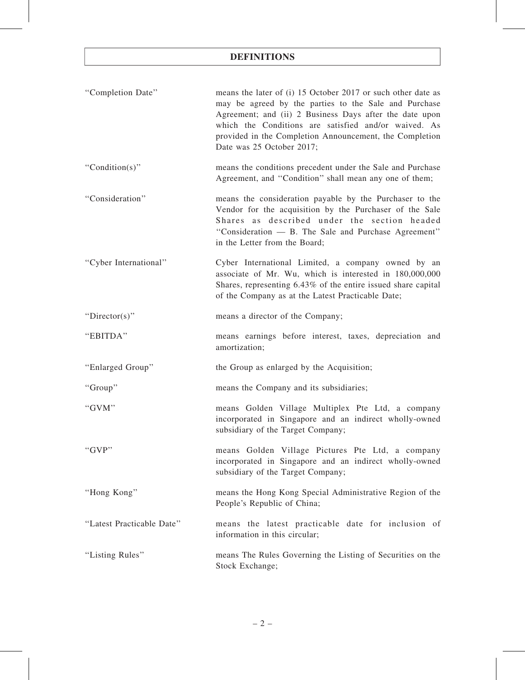| "Completion Date"         | means the later of (i) 15 October 2017 or such other date as<br>may be agreed by the parties to the Sale and Purchase<br>Agreement; and (ii) 2 Business Days after the date upon<br>which the Conditions are satisfied and/or waived. As<br>provided in the Completion Announcement, the Completion<br>Date was 25 October 2017; |
|---------------------------|----------------------------------------------------------------------------------------------------------------------------------------------------------------------------------------------------------------------------------------------------------------------------------------------------------------------------------|
| "Condition(s)"            | means the conditions precedent under the Sale and Purchase<br>Agreement, and "Condition" shall mean any one of them;                                                                                                                                                                                                             |
| "Consideration"           | means the consideration payable by the Purchaser to the<br>Vendor for the acquisition by the Purchaser of the Sale<br>Shares as described under the section headed<br>"Consideration — B. The Sale and Purchase Agreement"<br>in the Letter from the Board;                                                                      |
| "Cyber International"     | Cyber International Limited, a company owned by an<br>associate of Mr. Wu, which is interested in 180,000,000<br>Shares, representing 6.43% of the entire issued share capital<br>of the Company as at the Latest Practicable Date;                                                                                              |
| "Director(s)"             | means a director of the Company;                                                                                                                                                                                                                                                                                                 |
| "EBITDA"                  | means earnings before interest, taxes, depreciation and<br>amortization;                                                                                                                                                                                                                                                         |
| "Enlarged Group"          | the Group as enlarged by the Acquisition;                                                                                                                                                                                                                                                                                        |
| "Group"                   | means the Company and its subsidiaries;                                                                                                                                                                                                                                                                                          |
| "GVM"                     | means Golden Village Multiplex Pte Ltd, a company<br>incorporated in Singapore and an indirect wholly-owned<br>subsidiary of the Target Company;                                                                                                                                                                                 |
| " $GVP"$                  | means Golden Village Pictures Pte Ltd, a company<br>incorporated in Singapore and an indirect wholly-owned<br>subsidiary of the Target Company;                                                                                                                                                                                  |
| "Hong Kong"               | means the Hong Kong Special Administrative Region of the<br>People's Republic of China;                                                                                                                                                                                                                                          |
| "Latest Practicable Date" | means the latest practicable date for inclusion of<br>information in this circular;                                                                                                                                                                                                                                              |
| "Listing Rules"           | means The Rules Governing the Listing of Securities on the<br>Stock Exchange;                                                                                                                                                                                                                                                    |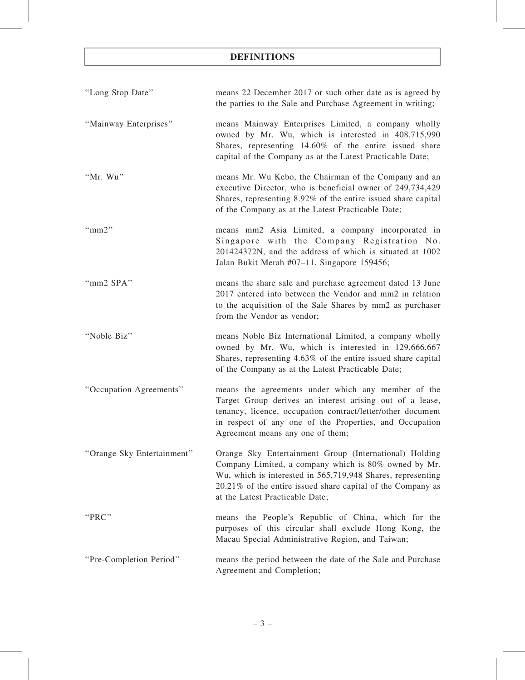| "Long Stop Date"           | means 22 December 2017 or such other date as is agreed by<br>the parties to the Sale and Purchase Agreement in writing;                                                                                                                                                         |
|----------------------------|---------------------------------------------------------------------------------------------------------------------------------------------------------------------------------------------------------------------------------------------------------------------------------|
| "Mainway Enterprises"      | means Mainway Enterprises Limited, a company wholly<br>owned by Mr. Wu, which is interested in 408,715,990<br>Shares, representing 14.60% of the entire issued share<br>capital of the Company as at the Latest Practicable Date;                                               |
| "Mr. Wu"                   | means Mr. Wu Kebo, the Chairman of the Company and an<br>executive Director, who is beneficial owner of 249,734,429<br>Shares, representing 8.92% of the entire issued share capital<br>of the Company as at the Latest Practicable Date;                                       |
| " $mm2"$                   | means mm2 Asia Limited, a company incorporated in<br>Singapore with the Company Registration No.<br>201424372N, and the address of which is situated at 1002<br>Jalan Bukit Merah #07-11, Singapore 159456;                                                                     |
| "mm2 SPA"                  | means the share sale and purchase agreement dated 13 June<br>2017 entered into between the Vendor and mm2 in relation<br>to the acquisition of the Sale Shares by mm2 as purchaser<br>from the Vendor as vendor;                                                                |
| "Noble Biz"                | means Noble Biz International Limited, a company wholly<br>owned by Mr. Wu, which is interested in 129,666,667<br>Shares, representing 4.63% of the entire issued share capital<br>of the Company as at the Latest Practicable Date;                                            |
| "Occupation Agreements"    | means the agreements under which any member of the<br>Target Group derives an interest arising out of a lease,<br>tenancy, licence, occupation contract/letter/other document<br>in respect of any one of the Properties, and Occupation<br>Agreement means any one of them;    |
| "Orange Sky Entertainment" | Orange Sky Entertainment Group (International) Holding<br>Company Limited, a company which is 80% owned by Mr.<br>Wu, which is interested in 565,719,948 Shares, representing<br>20.21% of the entire issued share capital of the Company as<br>at the Latest Practicable Date; |
| "PRC"                      | means the People's Republic of China, which for the<br>purposes of this circular shall exclude Hong Kong, the<br>Macau Special Administrative Region, and Taiwan;                                                                                                               |
| "Pre-Completion Period"    | means the period between the date of the Sale and Purchase<br>Agreement and Completion;                                                                                                                                                                                         |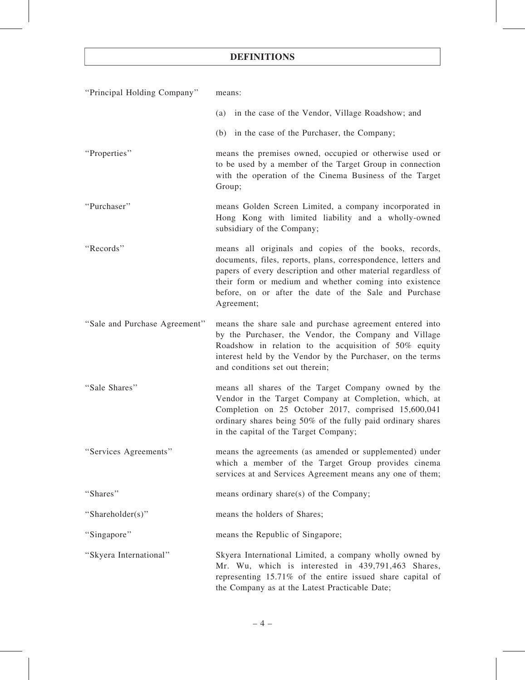| "Principal Holding Company"   | means:                                                                                                                                                                                                                                                                                                                  |  |  |  |  |  |
|-------------------------------|-------------------------------------------------------------------------------------------------------------------------------------------------------------------------------------------------------------------------------------------------------------------------------------------------------------------------|--|--|--|--|--|
|                               | (a) in the case of the Vendor, Village Roadshow; and                                                                                                                                                                                                                                                                    |  |  |  |  |  |
|                               | (b) in the case of the Purchaser, the Company;                                                                                                                                                                                                                                                                          |  |  |  |  |  |
| "Properties"                  | means the premises owned, occupied or otherwise used or<br>to be used by a member of the Target Group in connection<br>with the operation of the Cinema Business of the Target<br>Group;                                                                                                                                |  |  |  |  |  |
| "Purchaser"                   | means Golden Screen Limited, a company incorporated in<br>Hong Kong with limited liability and a wholly-owned<br>subsidiary of the Company;                                                                                                                                                                             |  |  |  |  |  |
| "Records"                     | means all originals and copies of the books, records,<br>documents, files, reports, plans, correspondence, letters and<br>papers of every description and other material regardless of<br>their form or medium and whether coming into existence<br>before, on or after the date of the Sale and Purchase<br>Agreement; |  |  |  |  |  |
| "Sale and Purchase Agreement" | means the share sale and purchase agreement entered into<br>by the Purchaser, the Vendor, the Company and Village<br>Roadshow in relation to the acquisition of 50% equity<br>interest held by the Vendor by the Purchaser, on the terms<br>and conditions set out therein;                                             |  |  |  |  |  |
| "Sale Shares"                 | means all shares of the Target Company owned by the<br>Vendor in the Target Company at Completion, which, at<br>Completion on 25 October 2017, comprised 15,600,041<br>ordinary shares being 50% of the fully paid ordinary shares<br>in the capital of the Target Company;                                             |  |  |  |  |  |
| "Services Agreements"         | means the agreements (as amended or supplemented) under<br>which a member of the Target Group provides cinema<br>services at and Services Agreement means any one of them;                                                                                                                                              |  |  |  |  |  |
| "Shares"                      | means ordinary share(s) of the Company;                                                                                                                                                                                                                                                                                 |  |  |  |  |  |
| "Shareholder(s)"              | means the holders of Shares;                                                                                                                                                                                                                                                                                            |  |  |  |  |  |
| "Singapore"                   | means the Republic of Singapore;                                                                                                                                                                                                                                                                                        |  |  |  |  |  |
| "Skyera International"        | Skyera International Limited, a company wholly owned by<br>Mr. Wu, which is interested in 439,791,463 Shares,<br>representing 15.71% of the entire issued share capital of<br>the Company as at the Latest Practicable Date;                                                                                            |  |  |  |  |  |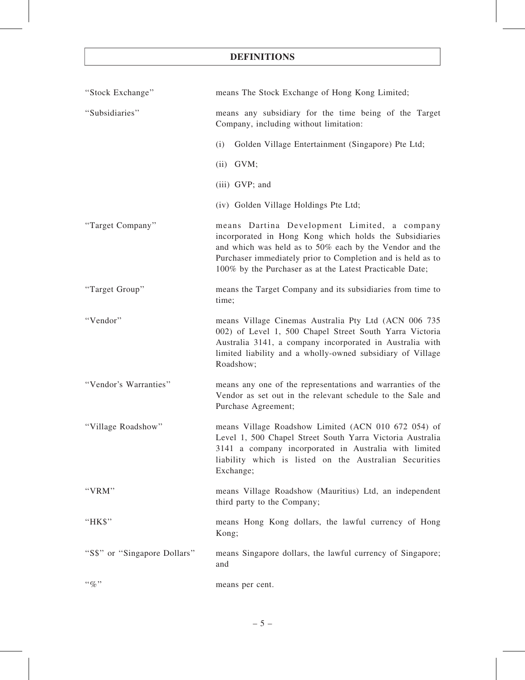| "Stock Exchange"             | means The Stock Exchange of Hong Kong Limited;                                                                                                                                                                                                                                               |
|------------------------------|----------------------------------------------------------------------------------------------------------------------------------------------------------------------------------------------------------------------------------------------------------------------------------------------|
| "Subsidiaries"               | means any subsidiary for the time being of the Target<br>Company, including without limitation:                                                                                                                                                                                              |
|                              | (i)<br>Golden Village Entertainment (Singapore) Pte Ltd;                                                                                                                                                                                                                                     |
|                              | $(ii)$ GVM;                                                                                                                                                                                                                                                                                  |
|                              | (iii) GVP; and                                                                                                                                                                                                                                                                               |
|                              | (iv) Golden Village Holdings Pte Ltd;                                                                                                                                                                                                                                                        |
| "Target Company"             | means Dartina Development Limited, a company<br>incorporated in Hong Kong which holds the Subsidiaries<br>and which was held as to 50% each by the Vendor and the<br>Purchaser immediately prior to Completion and is held as to<br>100% by the Purchaser as at the Latest Practicable Date; |
| "Target Group"               | means the Target Company and its subsidiaries from time to<br>time;                                                                                                                                                                                                                          |
| "Vendor"                     | means Village Cinemas Australia Pty Ltd (ACN 006 735<br>002) of Level 1, 500 Chapel Street South Yarra Victoria<br>Australia 3141, a company incorporated in Australia with<br>limited liability and a wholly-owned subsidiary of Village<br>Roadshow;                                       |
| "Vendor's Warranties"        | means any one of the representations and warranties of the<br>Vendor as set out in the relevant schedule to the Sale and<br>Purchase Agreement;                                                                                                                                              |
| "Village Roadshow"           | means Village Roadshow Limited (ACN 010 672 054) of<br>Level 1, 500 Chapel Street South Yarra Victoria Australia<br>3141 a company incorporated in Australia with limited<br>liability which is listed on the Australian Securities<br>Exchange;                                             |
| "VRM"                        | means Village Roadshow (Mauritius) Ltd, an independent<br>third party to the Company;                                                                                                                                                                                                        |
| "HK\$"                       | means Hong Kong dollars, the lawful currency of Hong<br>Kong;                                                                                                                                                                                                                                |
| "S\$" or "Singapore Dollars" | means Singapore dollars, the lawful currency of Singapore;<br>and                                                                                                                                                                                                                            |
| $``\%"$                      | means per cent.                                                                                                                                                                                                                                                                              |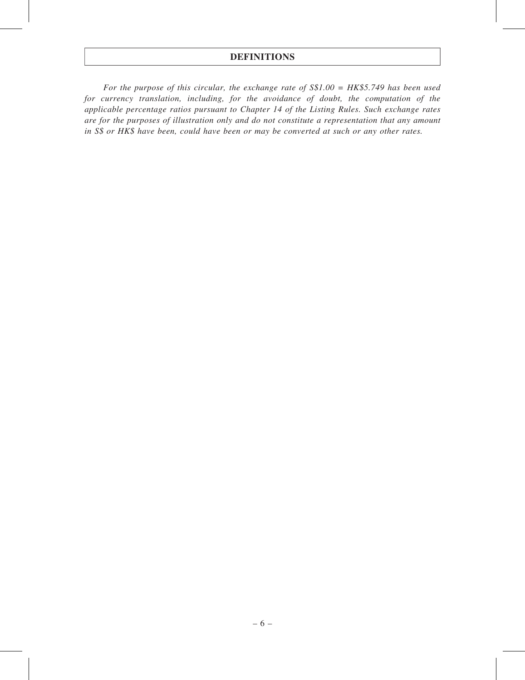For the purpose of this circular, the exchange rate of  $S$1.00 = HK$5.749$  has been used for currency translation, including, for the avoidance of doubt, the computation of the applicable percentage ratios pursuant to Chapter 14 of the Listing Rules. Such exchange rates are for the purposes of illustration only and do not constitute a representation that any amount in S\$ or HK\$ have been, could have been or may be converted at such or any other rates.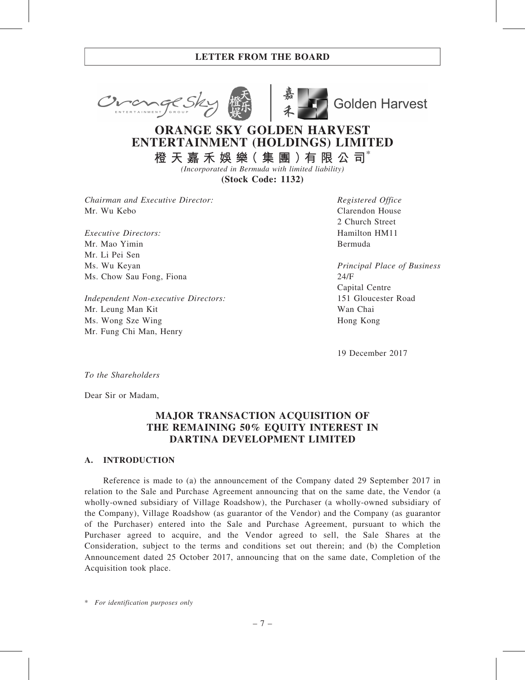



**Golden Harvest** 

# ORANGE SKY GOLDEN HARVEST ENTERTAINMENT (HOLDINGS) LIMITED

橙 天 嘉 禾 娛 樂( 集 團 )有 限 公 司\* (Incorporated in Bermuda with limited liability)

(Stock Code: 1132)

Chairman and Executive Director: Mr. Wu Kebo

Executive Directors: Mr. Mao Yimin Mr. Li Pei Sen Ms. Wu Keyan Ms. Chow Sau Fong, Fiona

Independent Non-executive Directors: Mr. Leung Man Kit Ms. Wong Sze Wing Mr. Fung Chi Man, Henry

Registered Office Clarendon House 2 Church Street Hamilton HM11 Bermuda

Principal Place of Business 24/F Capital Centre 151 Gloucester Road Wan Chai Hong Kong

19 December 2017

To the Shareholders

Dear Sir or Madam,

## MAJOR TRANSACTION ACQUISITION OF THE REMAINING 50% EQUITY INTEREST IN DARTINA DEVELOPMENT LIMITED

#### A. INTRODUCTION

Reference is made to (a) the announcement of the Company dated 29 September 2017 in relation to the Sale and Purchase Agreement announcing that on the same date, the Vendor (a wholly-owned subsidiary of Village Roadshow), the Purchaser (a wholly-owned subsidiary of the Company), Village Roadshow (as guarantor of the Vendor) and the Company (as guarantor of the Purchaser) entered into the Sale and Purchase Agreement, pursuant to which the Purchaser agreed to acquire, and the Vendor agreed to sell, the Sale Shares at the Consideration, subject to the terms and conditions set out therein; and (b) the Completion Announcement dated 25 October 2017, announcing that on the same date, Completion of the Acquisition took place.

\* For identification purposes only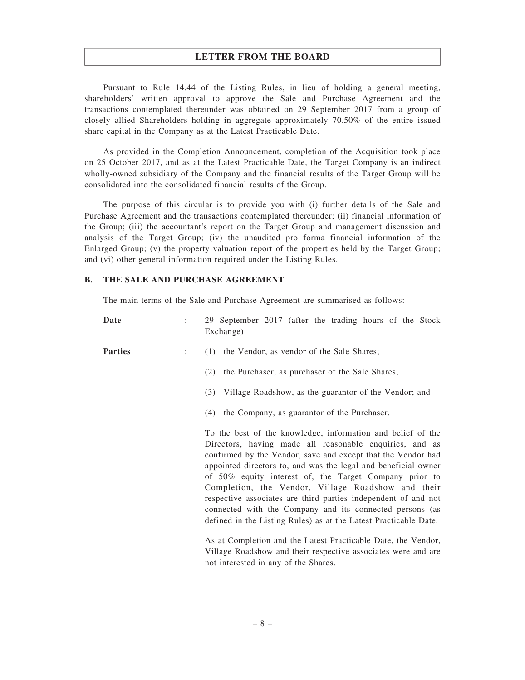Pursuant to Rule 14.44 of the Listing Rules, in lieu of holding a general meeting, shareholders' written approval to approve the Sale and Purchase Agreement and the transactions contemplated thereunder was obtained on 29 September 2017 from a group of closely allied Shareholders holding in aggregate approximately 70.50% of the entire issued share capital in the Company as at the Latest Practicable Date.

As provided in the Completion Announcement, completion of the Acquisition took place on 25 October 2017, and as at the Latest Practicable Date, the Target Company is an indirect wholly-owned subsidiary of the Company and the financial results of the Target Group will be consolidated into the consolidated financial results of the Group.

The purpose of this circular is to provide you with (i) further details of the Sale and Purchase Agreement and the transactions contemplated thereunder; (ii) financial information of the Group; (iii) the accountant's report on the Target Group and management discussion and analysis of the Target Group; (iv) the unaudited pro forma financial information of the Enlarged Group; (v) the property valuation report of the properties held by the Target Group; and (vi) other general information required under the Listing Rules.

#### B. THE SALE AND PURCHASE AGREEMENT

The main terms of the Sale and Purchase Agreement are summarised as follows:

| <b>Date</b>    |                                                              | 29 September 2017 (after the trading hours of the Stock<br>Exchange)                                                                                                                                                                                                                                                                                                                                                                                                                                                                                                       |
|----------------|--------------------------------------------------------------|----------------------------------------------------------------------------------------------------------------------------------------------------------------------------------------------------------------------------------------------------------------------------------------------------------------------------------------------------------------------------------------------------------------------------------------------------------------------------------------------------------------------------------------------------------------------------|
| <b>Parties</b> | $\mathbb{R}^{\mathbb{Z}}$                                    | (1) the Vendor, as vendor of the Sale Shares;                                                                                                                                                                                                                                                                                                                                                                                                                                                                                                                              |
|                |                                                              | the Purchaser, as purchaser of the Sale Shares;<br>(2)                                                                                                                                                                                                                                                                                                                                                                                                                                                                                                                     |
|                | Village Roadshow, as the guarantor of the Vendor; and<br>(3) |                                                                                                                                                                                                                                                                                                                                                                                                                                                                                                                                                                            |
|                |                                                              | (4) the Company, as guarantor of the Purchaser.                                                                                                                                                                                                                                                                                                                                                                                                                                                                                                                            |
|                |                                                              | To the best of the knowledge, information and belief of the<br>Directors, having made all reasonable enquiries, and as<br>confirmed by the Vendor, save and except that the Vendor had<br>appointed directors to, and was the legal and beneficial owner<br>of 50% equity interest of, the Target Company prior to<br>Completion, the Vendor, Village Roadshow and their<br>respective associates are third parties independent of and not<br>connected with the Company and its connected persons (as<br>defined in the Listing Rules) as at the Latest Practicable Date. |
|                |                                                              | As at Completion and the Latest Practicable Date, the Vendor,<br>Village Roadshow and their respective associates were and are<br>not interested in any of the Shares.                                                                                                                                                                                                                                                                                                                                                                                                     |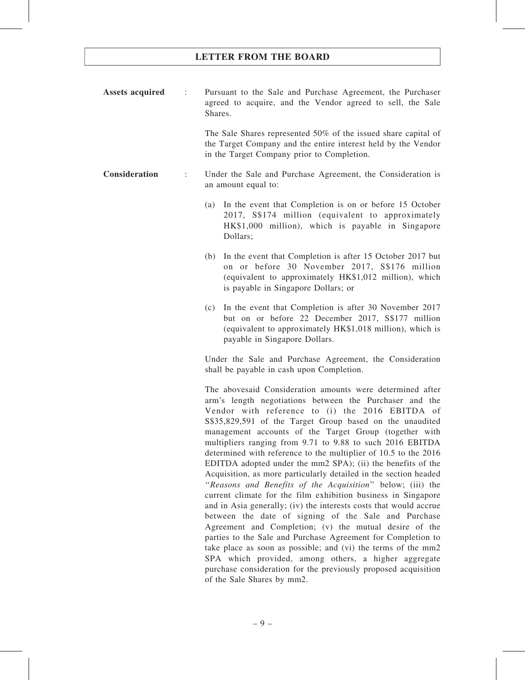Assets acquired : Pursuant to the Sale and Purchase Agreement, the Purchaser agreed to acquire, and the Vendor agreed to sell, the Sale Shares.

> The Sale Shares represented 50% of the issued share capital of the Target Company and the entire interest held by the Vendor in the Target Company prior to Completion.

- Consideration : Under the Sale and Purchase Agreement, the Consideration is an amount equal to:
	- (a) In the event that Completion is on or before 15 October 2017, S\$174 million (equivalent to approximately HK\$1,000 million), which is payable in Singapore Dollars;
	- (b) In the event that Completion is after 15 October 2017 but on or before 30 November 2017, S\$176 million (equivalent to approximately HK\$1,012 million), which is payable in Singapore Dollars; or
	- (c) In the event that Completion is after 30 November 2017 but on or before 22 December 2017, S\$177 million (equivalent to approximately HK\$1,018 million), which is payable in Singapore Dollars.

Under the Sale and Purchase Agreement, the Consideration shall be payable in cash upon Completion.

The abovesaid Consideration amounts were determined after arm's length negotiations between the Purchaser and the Vendor with reference to (i) the 2016 EBITDA of S\$35,829,591 of the Target Group based on the unaudited management accounts of the Target Group (together with multipliers ranging from 9.71 to 9.88 to such 2016 EBITDA determined with reference to the multiplier of 10.5 to the 2016 EDITDA adopted under the mm2 SPA); (ii) the benefits of the Acquisition, as more particularly detailed in the section headed ''Reasons and Benefits of the Acquisition'' below; (iii) the current climate for the film exhibition business in Singapore and in Asia generally; (iv) the interests costs that would accrue between the date of signing of the Sale and Purchase Agreement and Completion; (v) the mutual desire of the parties to the Sale and Purchase Agreement for Completion to take place as soon as possible; and (vi) the terms of the mm2 SPA which provided, among others, a higher aggregate purchase consideration for the previously proposed acquisition of the Sale Shares by mm2.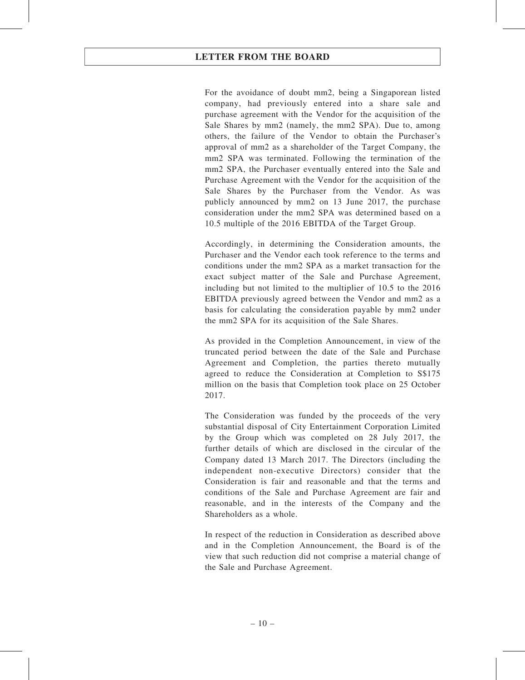For the avoidance of doubt mm2, being a Singaporean listed company, had previously entered into a share sale and purchase agreement with the Vendor for the acquisition of the Sale Shares by mm2 (namely, the mm2 SPA). Due to, among others, the failure of the Vendor to obtain the Purchaser's approval of mm2 as a shareholder of the Target Company, the mm2 SPA was terminated. Following the termination of the mm2 SPA, the Purchaser eventually entered into the Sale and Purchase Agreement with the Vendor for the acquisition of the Sale Shares by the Purchaser from the Vendor. As was publicly announced by mm2 on 13 June 2017, the purchase consideration under the mm2 SPA was determined based on a 10.5 multiple of the 2016 EBITDA of the Target Group.

Accordingly, in determining the Consideration amounts, the Purchaser and the Vendor each took reference to the terms and conditions under the mm2 SPA as a market transaction for the exact subject matter of the Sale and Purchase Agreement, including but not limited to the multiplier of 10.5 to the 2016 EBITDA previously agreed between the Vendor and mm2 as a basis for calculating the consideration payable by mm2 under the mm2 SPA for its acquisition of the Sale Shares.

As provided in the Completion Announcement, in view of the truncated period between the date of the Sale and Purchase Agreement and Completion, the parties thereto mutually agreed to reduce the Consideration at Completion to S\$175 million on the basis that Completion took place on 25 October 2017.

The Consideration was funded by the proceeds of the very substantial disposal of City Entertainment Corporation Limited by the Group which was completed on 28 July 2017, the further details of which are disclosed in the circular of the Company dated 13 March 2017. The Directors (including the independent non-executive Directors) consider that the Consideration is fair and reasonable and that the terms and conditions of the Sale and Purchase Agreement are fair and reasonable, and in the interests of the Company and the Shareholders as a whole.

In respect of the reduction in Consideration as described above and in the Completion Announcement, the Board is of the view that such reduction did not comprise a material change of the Sale and Purchase Agreement.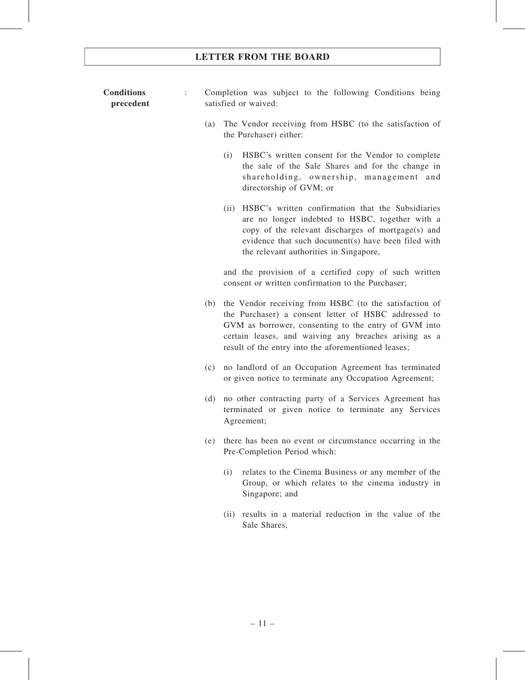#### **Conditions** precedent : Completion was subject to the following Conditions being satisfied or waived:

- (a) The Vendor receiving from HSBC (to the satisfaction of the Purchaser) either:
	- (i) HSBC's written consent for the Vendor to complete the sale of the Sale Shares and for the change in shareholding, ownership, management and directorship of GVM; or
	- (ii) HSBC's written confirmation that the Subsidiaries are no longer indebted to HSBC, together with a copy of the relevant discharges of mortgage(s) and evidence that such document(s) have been filed with the relevant authorities in Singapore,

and the provision of a certified copy of such written consent or written confirmation to the Purchaser;

- (b) the Vendor receiving from HSBC (to the satisfaction of the Purchaser) a consent letter of HSBC addressed to GVM as borrower, consenting to the entry of GVM into certain leases, and waiving any breaches arising as a result of the entry into the aforementioned leases;
- (c) no landlord of an Occupation Agreement has terminated or given notice to terminate any Occupation Agreement;
- (d) no other contracting party of a Services Agreement has terminated or given notice to terminate any Services Agreement;
- (e) there has been no event or circumstance occurring in the Pre-Completion Period which:
	- (i) relates to the Cinema Business or any member of the Group, or which relates to the cinema industry in Singapore; and
	- (ii) results in a material reduction in the value of the Sale Shares,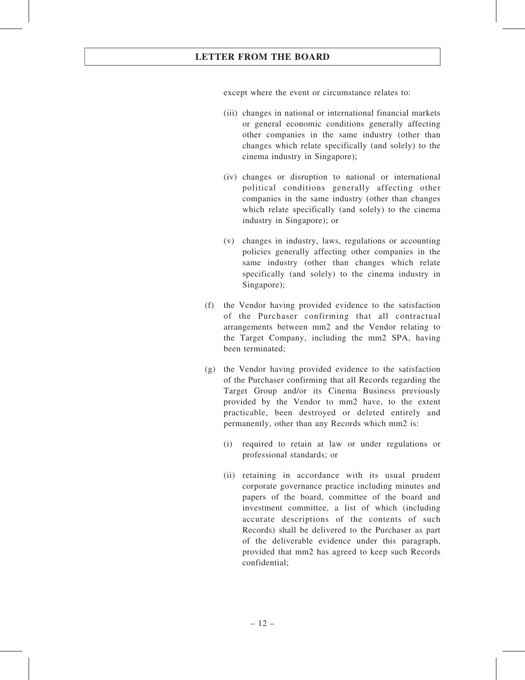except where the event or circumstance relates to:

- (iii) changes in national or international financial markets or general economic conditions generally affecting other companies in the same industry (other than changes which relate specifically (and solely) to the cinema industry in Singapore);
- (iv) changes or disruption to national or international political conditions generally affecting other companies in the same industry (other than changes which relate specifically (and solely) to the cinema industry in Singapore); or
- (v) changes in industry, laws, regulations or accounting policies generally affecting other companies in the same industry (other than changes which relate specifically (and solely) to the cinema industry in Singapore);
- (f) the Vendor having provided evidence to the satisfaction of the Purchaser confirming that all contractual arrangements between mm2 and the Vendor relating to the Target Company, including the mm2 SPA, having been terminated;
- (g) the Vendor having provided evidence to the satisfaction of the Purchaser confirming that all Records regarding the Target Group and/or its Cinema Business previously provided by the Vendor to mm2 have, to the extent practicable, been destroyed or deleted entirely and permanently, other than any Records which mm2 is:
	- (i) required to retain at law or under regulations or professional standards; or
	- (ii) retaining in accordance with its usual prudent corporate governance practice including minutes and papers of the board, committee of the board and investment committee, a list of which (including accurate descriptions of the contents of such Records) shall be delivered to the Purchaser as part of the deliverable evidence under this paragraph, provided that mm2 has agreed to keep such Records confidential;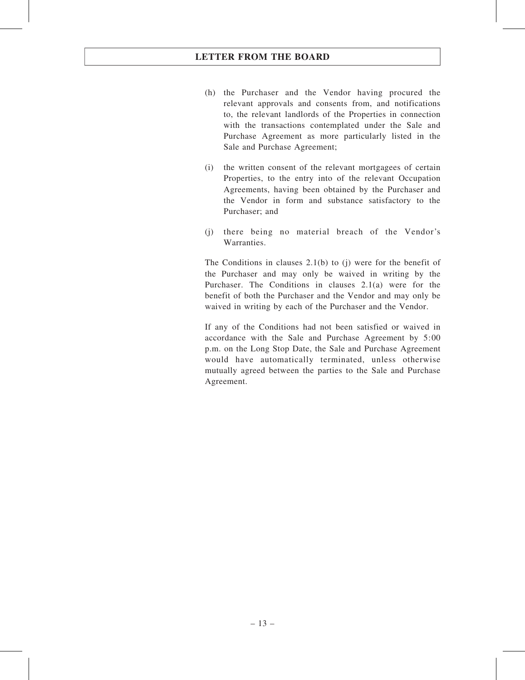- (h) the Purchaser and the Vendor having procured the relevant approvals and consents from, and notifications to, the relevant landlords of the Properties in connection with the transactions contemplated under the Sale and Purchase Agreement as more particularly listed in the Sale and Purchase Agreement;
- (i) the written consent of the relevant mortgagees of certain Properties, to the entry into of the relevant Occupation Agreements, having been obtained by the Purchaser and the Vendor in form and substance satisfactory to the Purchaser; and
- (j) there being no material breach of the Vendor's Warranties.

The Conditions in clauses 2.1(b) to (j) were for the benefit of the Purchaser and may only be waived in writing by the Purchaser. The Conditions in clauses 2.1(a) were for the benefit of both the Purchaser and the Vendor and may only be waived in writing by each of the Purchaser and the Vendor.

If any of the Conditions had not been satisfied or waived in accordance with the Sale and Purchase Agreement by 5:00 p.m. on the Long Stop Date, the Sale and Purchase Agreement would have automatically terminated, unless otherwise mutually agreed between the parties to the Sale and Purchase Agreement.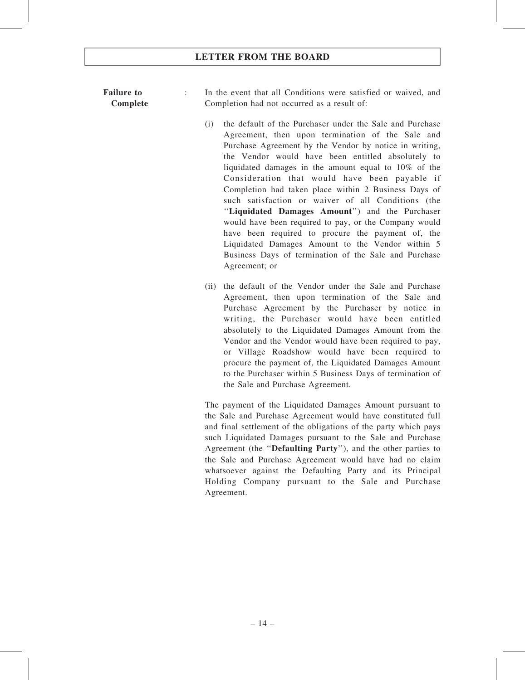### Failure to Complete

: In the event that all Conditions were satisfied or waived, and Completion had not occurred as a result of:

- (i) the default of the Purchaser under the Sale and Purchase Agreement, then upon termination of the Sale and Purchase Agreement by the Vendor by notice in writing, the Vendor would have been entitled absolutely to liquidated damages in the amount equal to 10% of the Consideration that would have been payable if Completion had taken place within 2 Business Days of such satisfaction or waiver of all Conditions (the ''Liquidated Damages Amount'') and the Purchaser would have been required to pay, or the Company would have been required to procure the payment of, the Liquidated Damages Amount to the Vendor within 5 Business Days of termination of the Sale and Purchase Agreement; or
- (ii) the default of the Vendor under the Sale and Purchase Agreement, then upon termination of the Sale and Purchase Agreement by the Purchaser by notice in writing, the Purchaser would have been entitled absolutely to the Liquidated Damages Amount from the Vendor and the Vendor would have been required to pay, or Village Roadshow would have been required to procure the payment of, the Liquidated Damages Amount to the Purchaser within 5 Business Days of termination of the Sale and Purchase Agreement.

The payment of the Liquidated Damages Amount pursuant to the Sale and Purchase Agreement would have constituted full and final settlement of the obligations of the party which pays such Liquidated Damages pursuant to the Sale and Purchase Agreement (the ''Defaulting Party''), and the other parties to the Sale and Purchase Agreement would have had no claim whatsoever against the Defaulting Party and its Principal Holding Company pursuant to the Sale and Purchase Agreement.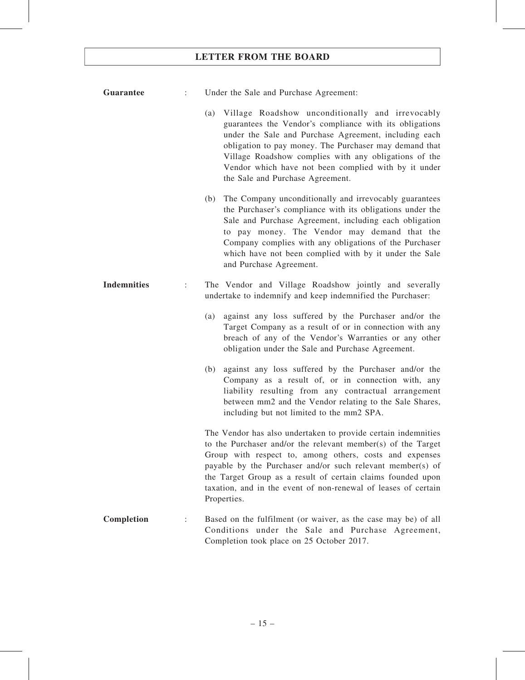| <b>Guarantee</b>        |             | Under the Sale and Purchase Agreement:                                                                                                                                                                                                                                                                                                                                                  |
|-------------------------|-------------|-----------------------------------------------------------------------------------------------------------------------------------------------------------------------------------------------------------------------------------------------------------------------------------------------------------------------------------------------------------------------------------------|
|                         |             | (a) Village Roadshow unconditionally and irrevocably<br>guarantees the Vendor's compliance with its obligations<br>under the Sale and Purchase Agreement, including each<br>obligation to pay money. The Purchaser may demand that<br>Village Roadshow complies with any obligations of the<br>Vendor which have not been complied with by it under<br>the Sale and Purchase Agreement. |
|                         |             | (b) The Company unconditionally and irrevocably guarantees<br>the Purchaser's compliance with its obligations under the<br>Sale and Purchase Agreement, including each obligation<br>to pay money. The Vendor may demand that the<br>Company complies with any obligations of the Purchaser<br>which have not been complied with by it under the Sale<br>and Purchase Agreement.        |
| <b>Indemnities</b><br>÷ |             | The Vendor and Village Roadshow jointly and severally<br>undertake to indemnify and keep indemnified the Purchaser:                                                                                                                                                                                                                                                                     |
|                         | (a)         | against any loss suffered by the Purchaser and/or the<br>Target Company as a result of or in connection with any<br>breach of any of the Vendor's Warranties or any other<br>obligation under the Sale and Purchase Agreement.                                                                                                                                                          |
|                         | (b)         | against any loss suffered by the Purchaser and/or the<br>Company as a result of, or in connection with, any<br>liability resulting from any contractual arrangement<br>between mm2 and the Vendor relating to the Sale Shares,<br>including but not limited to the mm2 SPA.                                                                                                             |
|                         | Properties. | The Vendor has also undertaken to provide certain indemnities<br>to the Purchaser and/or the relevant member(s) of the Target<br>Group with respect to, among others, costs and expenses<br>payable by the Purchaser and/or such relevant member(s) of<br>the Target Group as a result of certain claims founded upon<br>taxation, and in the event of non-renewal of leases of certain |
| Completion              |             | Based on the fulfilment (or waiver, as the case may be) of all<br>Conditions under the Sale and Purchase Agreement,<br>Completion took place on 25 October 2017.                                                                                                                                                                                                                        |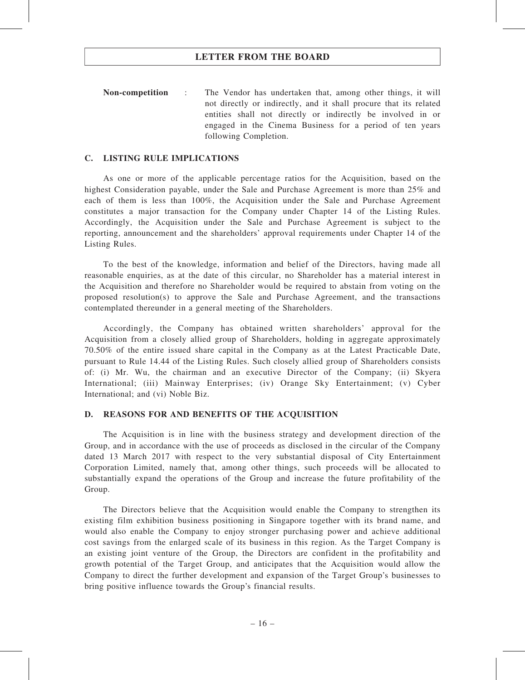Non-competition : The Vendor has undertaken that, among other things, it will not directly or indirectly, and it shall procure that its related entities shall not directly or indirectly be involved in or engaged in the Cinema Business for a period of ten years following Completion.

#### C. LISTING RULE IMPLICATIONS

As one or more of the applicable percentage ratios for the Acquisition, based on the highest Consideration payable, under the Sale and Purchase Agreement is more than 25% and each of them is less than 100%, the Acquisition under the Sale and Purchase Agreement constitutes a major transaction for the Company under Chapter 14 of the Listing Rules. Accordingly, the Acquisition under the Sale and Purchase Agreement is subject to the reporting, announcement and the shareholders' approval requirements under Chapter 14 of the Listing Rules.

To the best of the knowledge, information and belief of the Directors, having made all reasonable enquiries, as at the date of this circular, no Shareholder has a material interest in the Acquisition and therefore no Shareholder would be required to abstain from voting on the proposed resolution(s) to approve the Sale and Purchase Agreement, and the transactions contemplated thereunder in a general meeting of the Shareholders.

Accordingly, the Company has obtained written shareholders' approval for the Acquisition from a closely allied group of Shareholders, holding in aggregate approximately 70.50% of the entire issued share capital in the Company as at the Latest Practicable Date, pursuant to Rule 14.44 of the Listing Rules. Such closely allied group of Shareholders consists of: (i) Mr. Wu, the chairman and an executive Director of the Company; (ii) Skyera International; (iii) Mainway Enterprises; (iv) Orange Sky Entertainment; (v) Cyber International; and (vi) Noble Biz.

#### D. REASONS FOR AND BENEFITS OF THE ACQUISITION

The Acquisition is in line with the business strategy and development direction of the Group, and in accordance with the use of proceeds as disclosed in the circular of the Company dated 13 March 2017 with respect to the very substantial disposal of City Entertainment Corporation Limited, namely that, among other things, such proceeds will be allocated to substantially expand the operations of the Group and increase the future profitability of the Group.

The Directors believe that the Acquisition would enable the Company to strengthen its existing film exhibition business positioning in Singapore together with its brand name, and would also enable the Company to enjoy stronger purchasing power and achieve additional cost savings from the enlarged scale of its business in this region. As the Target Company is an existing joint venture of the Group, the Directors are confident in the profitability and growth potential of the Target Group, and anticipates that the Acquisition would allow the Company to direct the further development and expansion of the Target Group's businesses to bring positive influence towards the Group's financial results.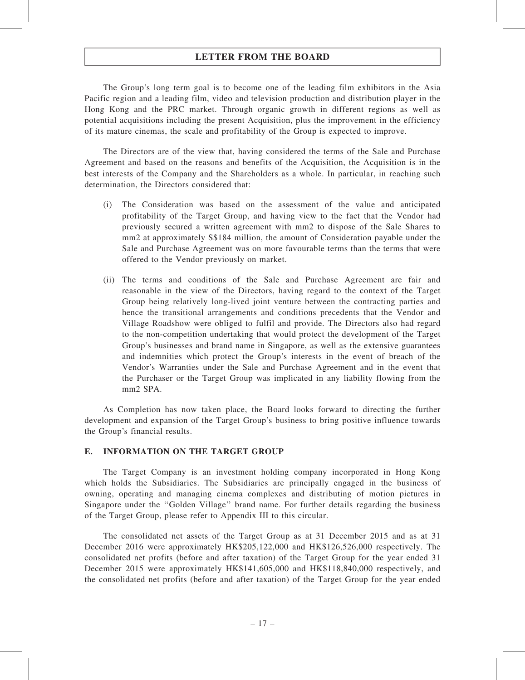The Group's long term goal is to become one of the leading film exhibitors in the Asia Pacific region and a leading film, video and television production and distribution player in the Hong Kong and the PRC market. Through organic growth in different regions as well as potential acquisitions including the present Acquisition, plus the improvement in the efficiency of its mature cinemas, the scale and profitability of the Group is expected to improve.

The Directors are of the view that, having considered the terms of the Sale and Purchase Agreement and based on the reasons and benefits of the Acquisition, the Acquisition is in the best interests of the Company and the Shareholders as a whole. In particular, in reaching such determination, the Directors considered that:

- (i) The Consideration was based on the assessment of the value and anticipated profitability of the Target Group, and having view to the fact that the Vendor had previously secured a written agreement with mm2 to dispose of the Sale Shares to mm2 at approximately S\$184 million, the amount of Consideration payable under the Sale and Purchase Agreement was on more favourable terms than the terms that were offered to the Vendor previously on market.
- (ii) The terms and conditions of the Sale and Purchase Agreement are fair and reasonable in the view of the Directors, having regard to the context of the Target Group being relatively long-lived joint venture between the contracting parties and hence the transitional arrangements and conditions precedents that the Vendor and Village Roadshow were obliged to fulfil and provide. The Directors also had regard to the non-competition undertaking that would protect the development of the Target Group's businesses and brand name in Singapore, as well as the extensive guarantees and indemnities which protect the Group's interests in the event of breach of the Vendor's Warranties under the Sale and Purchase Agreement and in the event that the Purchaser or the Target Group was implicated in any liability flowing from the mm2 SPA.

As Completion has now taken place, the Board looks forward to directing the further development and expansion of the Target Group's business to bring positive influence towards the Group's financial results.

#### E. INFORMATION ON THE TARGET GROUP

The Target Company is an investment holding company incorporated in Hong Kong which holds the Subsidiaries. The Subsidiaries are principally engaged in the business of owning, operating and managing cinema complexes and distributing of motion pictures in Singapore under the ''Golden Village'' brand name. For further details regarding the business of the Target Group, please refer to Appendix III to this circular.

The consolidated net assets of the Target Group as at 31 December 2015 and as at 31 December 2016 were approximately HK\$205,122,000 and HK\$126,526,000 respectively. The consolidated net profits (before and after taxation) of the Target Group for the year ended 31 December 2015 were approximately HK\$141,605,000 and HK\$118,840,000 respectively, and the consolidated net profits (before and after taxation) of the Target Group for the year ended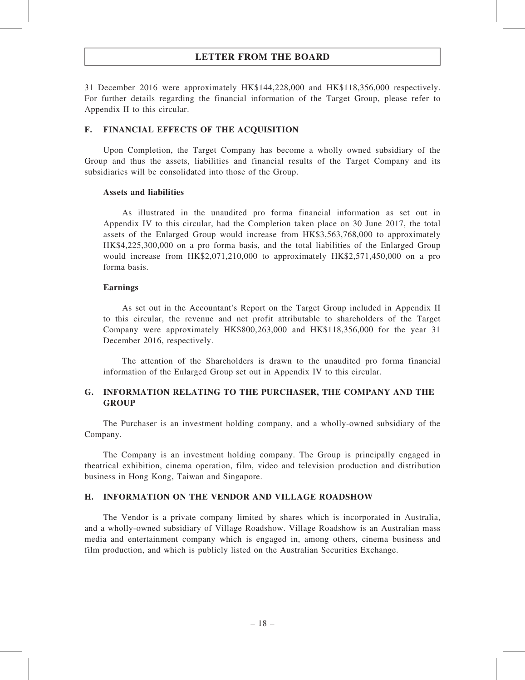31 December 2016 were approximately HK\$144,228,000 and HK\$118,356,000 respectively. For further details regarding the financial information of the Target Group, please refer to Appendix II to this circular.

#### F. FINANCIAL EFFECTS OF THE ACQUISITION

Upon Completion, the Target Company has become a wholly owned subsidiary of the Group and thus the assets, liabilities and financial results of the Target Company and its subsidiaries will be consolidated into those of the Group.

#### Assets and liabilities

As illustrated in the unaudited pro forma financial information as set out in Appendix IV to this circular, had the Completion taken place on 30 June 2017, the total assets of the Enlarged Group would increase from HK\$3,563,768,000 to approximately HK\$4,225,300,000 on a pro forma basis, and the total liabilities of the Enlarged Group would increase from HK\$2,071,210,000 to approximately HK\$2,571,450,000 on a pro forma basis.

#### Earnings

As set out in the Accountant's Report on the Target Group included in Appendix II to this circular, the revenue and net profit attributable to shareholders of the Target Company were approximately HK\$800,263,000 and HK\$118,356,000 for the year 31 December 2016, respectively.

The attention of the Shareholders is drawn to the unaudited pro forma financial information of the Enlarged Group set out in Appendix IV to this circular.

### G. INFORMATION RELATING TO THE PURCHASER, THE COMPANY AND THE **GROUP**

The Purchaser is an investment holding company, and a wholly-owned subsidiary of the Company.

The Company is an investment holding company. The Group is principally engaged in theatrical exhibition, cinema operation, film, video and television production and distribution business in Hong Kong, Taiwan and Singapore.

#### H. INFORMATION ON THE VENDOR AND VILLAGE ROADSHOW

The Vendor is a private company limited by shares which is incorporated in Australia, and a wholly-owned subsidiary of Village Roadshow. Village Roadshow is an Australian mass media and entertainment company which is engaged in, among others, cinema business and film production, and which is publicly listed on the Australian Securities Exchange.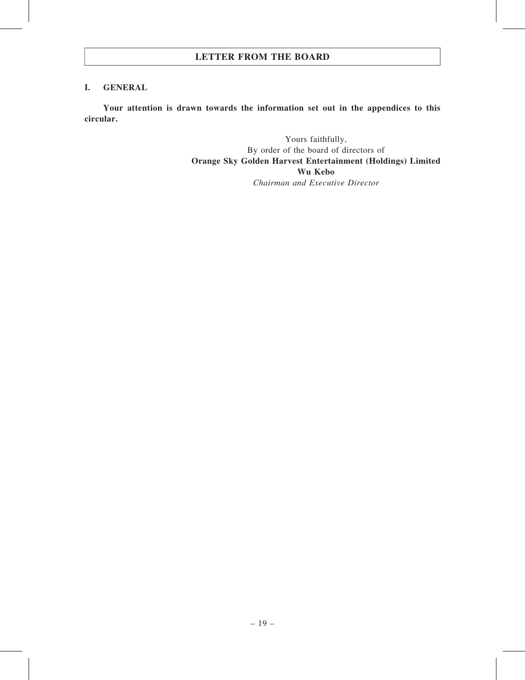#### I. GENERAL

Your attention is drawn towards the information set out in the appendices to this circular.

> Yours faithfully, By order of the board of directors of Orange Sky Golden Harvest Entertainment (Holdings) Limited Wu Kebo Chairman and Executive Director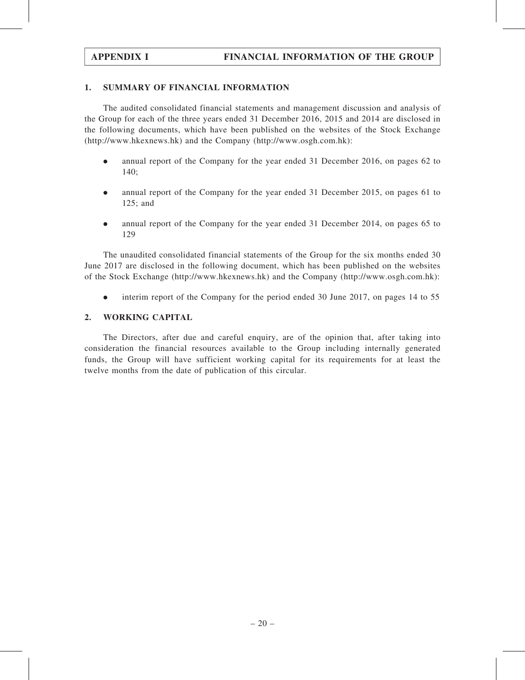### 1. SUMMARY OF FINANCIAL INFORMATION

The audited consolidated financial statements and management discussion and analysis of the Group for each of the three years ended 31 December 2016, 2015 and 2014 are disclosed in the following documents, which have been published on the websites of the Stock Exchange (http://www.hkexnews.hk) and the Company (http://www.osgh.com.hk):

- . annual report of the Company for the year ended 31 December 2016, on pages 62 to 140;
- . annual report of the Company for the year ended 31 December 2015, on pages 61 to 125; and
- . annual report of the Company for the year ended 31 December 2014, on pages 65 to 129

The unaudited consolidated financial statements of the Group for the six months ended 30 June 2017 are disclosed in the following document, which has been published on the websites of the Stock Exchange (http://www.hkexnews.hk) and the Company (http://www.osgh.com.hk):

. interim report of the Company for the period ended 30 June 2017, on pages 14 to 55

### 2. WORKING CAPITAL

The Directors, after due and careful enquiry, are of the opinion that, after taking into consideration the financial resources available to the Group including internally generated funds, the Group will have sufficient working capital for its requirements for at least the twelve months from the date of publication of this circular.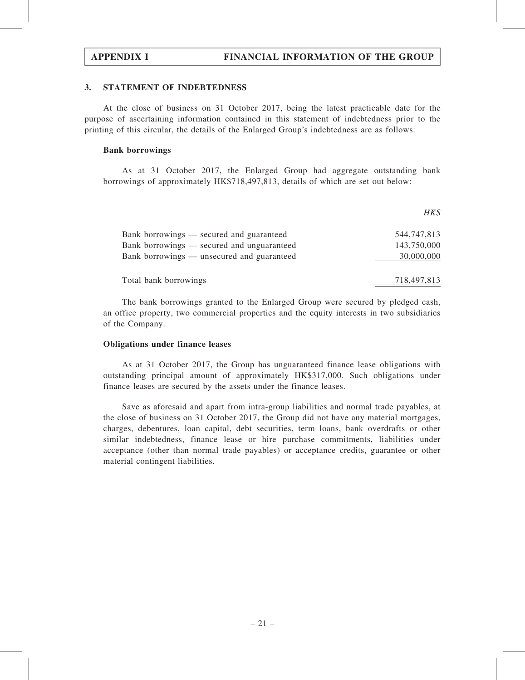$UV$ 

#### 3. STATEMENT OF INDEBTEDNESS

At the close of business on 31 October 2017, being the latest practicable date for the purpose of ascertaining information contained in this statement of indebtedness prior to the printing of this circular, the details of the Enlarged Group's indebtedness are as follows:

#### Bank borrowings

As at 31 October 2017, the Enlarged Group had aggregate outstanding bank borrowings of approximately HK\$718,497,813, details of which are set out below:

|                                            | $111 \nu$   |
|--------------------------------------------|-------------|
| Bank borrowings — secured and guaranteed   | 544,747,813 |
| Bank borrowings — secured and unguaranteed | 143,750,000 |
| Bank borrowings — unsecured and guaranteed | 30,000,000  |
|                                            |             |
| Total bank borrowings                      | 718,497,813 |

The bank borrowings granted to the Enlarged Group were secured by pledged cash, an office property, two commercial properties and the equity interests in two subsidiaries of the Company.

#### Obligations under finance leases

As at 31 October 2017, the Group has unguaranteed finance lease obligations with outstanding principal amount of approximately HK\$317,000. Such obligations under finance leases are secured by the assets under the finance leases.

Save as aforesaid and apart from intra-group liabilities and normal trade payables, at the close of business on 31 October 2017, the Group did not have any material mortgages, charges, debentures, loan capital, debt securities, term loans, bank overdrafts or other similar indebtedness, finance lease or hire purchase commitments, liabilities under acceptance (other than normal trade payables) or acceptance credits, guarantee or other material contingent liabilities.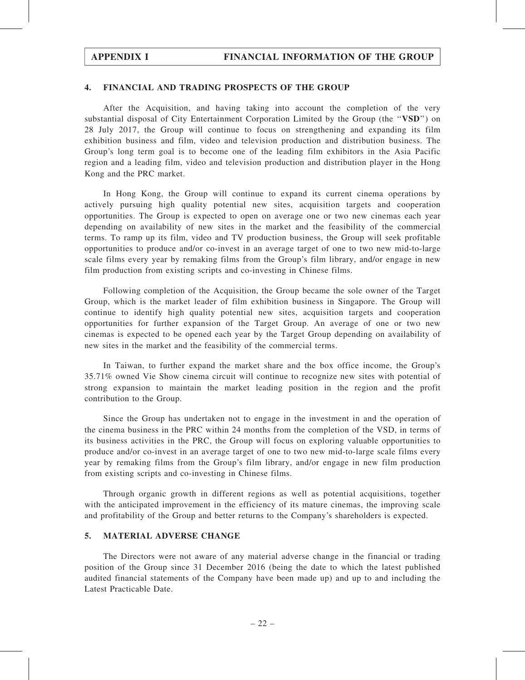#### 4. FINANCIAL AND TRADING PROSPECTS OF THE GROUP

After the Acquisition, and having taking into account the completion of the very substantial disposal of City Entertainment Corporation Limited by the Group (the "VSD") on 28 July 2017, the Group will continue to focus on strengthening and expanding its film exhibition business and film, video and television production and distribution business. The Group's long term goal is to become one of the leading film exhibitors in the Asia Pacific region and a leading film, video and television production and distribution player in the Hong Kong and the PRC market.

In Hong Kong, the Group will continue to expand its current cinema operations by actively pursuing high quality potential new sites, acquisition targets and cooperation opportunities. The Group is expected to open on average one or two new cinemas each year depending on availability of new sites in the market and the feasibility of the commercial terms. To ramp up its film, video and TV production business, the Group will seek profitable opportunities to produce and/or co-invest in an average target of one to two new mid-to-large scale films every year by remaking films from the Group's film library, and/or engage in new film production from existing scripts and co-investing in Chinese films.

Following completion of the Acquisition, the Group became the sole owner of the Target Group, which is the market leader of film exhibition business in Singapore. The Group will continue to identify high quality potential new sites, acquisition targets and cooperation opportunities for further expansion of the Target Group. An average of one or two new cinemas is expected to be opened each year by the Target Group depending on availability of new sites in the market and the feasibility of the commercial terms.

In Taiwan, to further expand the market share and the box office income, the Group's 35.71% owned Vie Show cinema circuit will continue to recognize new sites with potential of strong expansion to maintain the market leading position in the region and the profit contribution to the Group.

Since the Group has undertaken not to engage in the investment in and the operation of the cinema business in the PRC within 24 months from the completion of the VSD, in terms of its business activities in the PRC, the Group will focus on exploring valuable opportunities to produce and/or co-invest in an average target of one to two new mid-to-large scale films every year by remaking films from the Group's film library, and/or engage in new film production from existing scripts and co-investing in Chinese films.

Through organic growth in different regions as well as potential acquisitions, together with the anticipated improvement in the efficiency of its mature cinemas, the improving scale and profitability of the Group and better returns to the Company's shareholders is expected.

#### 5. MATERIAL ADVERSE CHANGE

The Directors were not aware of any material adverse change in the financial or trading position of the Group since 31 December 2016 (being the date to which the latest published audited financial statements of the Company have been made up) and up to and including the Latest Practicable Date.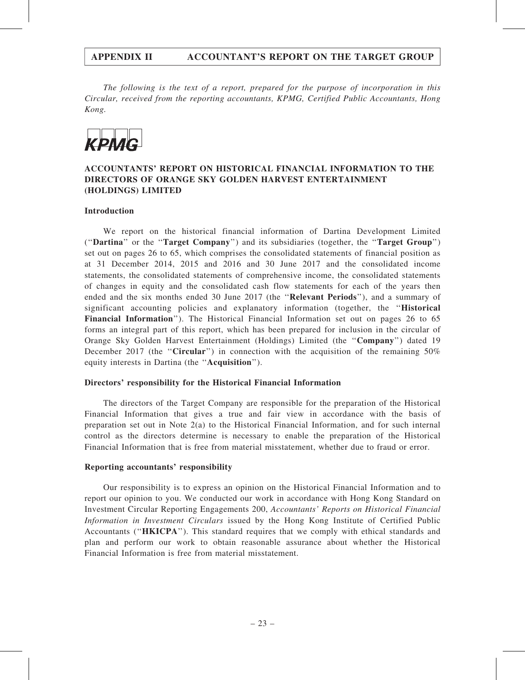The following is the text of a report, prepared for the purpose of incorporation in this Circular, received from the reporting accountants, KPMG, Certified Public Accountants, Hong Kong.



### ACCOUNTANTS' REPORT ON HISTORICAL FINANCIAL INFORMATION TO THE DIRECTORS OF ORANGE SKY GOLDEN HARVEST ENTERTAINMENT (HOLDINGS) LIMITED

#### Introduction

We report on the historical financial information of Dartina Development Limited (''Dartina'' or the ''Target Company'') and its subsidiaries (together, the ''Target Group'') set out on pages 26 to 65, which comprises the consolidated statements of financial position as at 31 December 2014, 2015 and 2016 and 30 June 2017 and the consolidated income statements, the consolidated statements of comprehensive income, the consolidated statements of changes in equity and the consolidated cash flow statements for each of the years then ended and the six months ended 30 June 2017 (the "Relevant Periods"), and a summary of significant accounting policies and explanatory information (together, the ''Historical Financial Information''). The Historical Financial Information set out on pages 26 to 65 forms an integral part of this report, which has been prepared for inclusion in the circular of Orange Sky Golden Harvest Entertainment (Holdings) Limited (the ''Company'') dated 19 December 2017 (the "Circular") in connection with the acquisition of the remaining  $50\%$ equity interests in Dartina (the ''Acquisition'').

#### Directors' responsibility for the Historical Financial Information

The directors of the Target Company are responsible for the preparation of the Historical Financial Information that gives a true and fair view in accordance with the basis of preparation set out in Note 2(a) to the Historical Financial Information, and for such internal control as the directors determine is necessary to enable the preparation of the Historical Financial Information that is free from material misstatement, whether due to fraud or error.

#### Reporting accountants' responsibility

Our responsibility is to express an opinion on the Historical Financial Information and to report our opinion to you. We conducted our work in accordance with Hong Kong Standard on Investment Circular Reporting Engagements 200, Accountants' Reports on Historical Financial Information in Investment Circulars issued by the Hong Kong Institute of Certified Public Accountants (''HKICPA''). This standard requires that we comply with ethical standards and plan and perform our work to obtain reasonable assurance about whether the Historical Financial Information is free from material misstatement.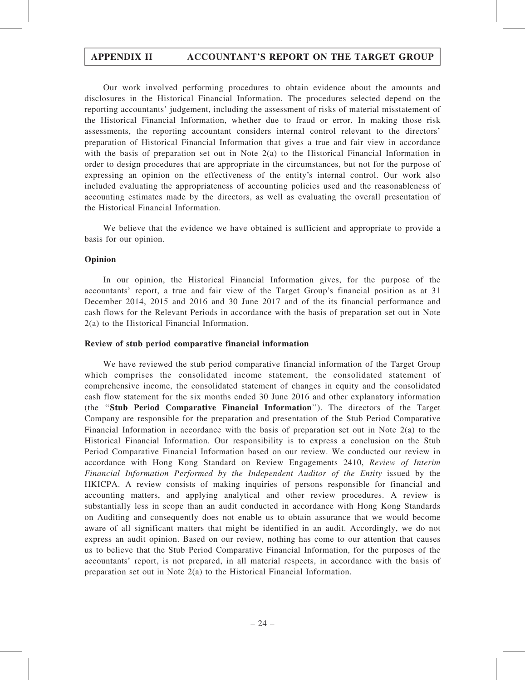Our work involved performing procedures to obtain evidence about the amounts and disclosures in the Historical Financial Information. The procedures selected depend on the reporting accountants' judgement, including the assessment of risks of material misstatement of the Historical Financial Information, whether due to fraud or error. In making those risk assessments, the reporting accountant considers internal control relevant to the directors' preparation of Historical Financial Information that gives a true and fair view in accordance with the basis of preparation set out in Note 2(a) to the Historical Financial Information in order to design procedures that are appropriate in the circumstances, but not for the purpose of expressing an opinion on the effectiveness of the entity's internal control. Our work also included evaluating the appropriateness of accounting policies used and the reasonableness of accounting estimates made by the directors, as well as evaluating the overall presentation of the Historical Financial Information.

We believe that the evidence we have obtained is sufficient and appropriate to provide a basis for our opinion.

#### Opinion

In our opinion, the Historical Financial Information gives, for the purpose of the accountants' report, a true and fair view of the Target Group's financial position as at 31 December 2014, 2015 and 2016 and 30 June 2017 and of the its financial performance and cash flows for the Relevant Periods in accordance with the basis of preparation set out in Note 2(a) to the Historical Financial Information.

#### Review of stub period comparative financial information

We have reviewed the stub period comparative financial information of the Target Group which comprises the consolidated income statement, the consolidated statement of comprehensive income, the consolidated statement of changes in equity and the consolidated cash flow statement for the six months ended 30 June 2016 and other explanatory information (the ''Stub Period Comparative Financial Information''). The directors of the Target Company are responsible for the preparation and presentation of the Stub Period Comparative Financial Information in accordance with the basis of preparation set out in Note 2(a) to the Historical Financial Information. Our responsibility is to express a conclusion on the Stub Period Comparative Financial Information based on our review. We conducted our review in accordance with Hong Kong Standard on Review Engagements 2410, Review of Interim Financial Information Performed by the Independent Auditor of the Entity issued by the HKICPA. A review consists of making inquiries of persons responsible for financial and accounting matters, and applying analytical and other review procedures. A review is substantially less in scope than an audit conducted in accordance with Hong Kong Standards on Auditing and consequently does not enable us to obtain assurance that we would become aware of all significant matters that might be identified in an audit. Accordingly, we do not express an audit opinion. Based on our review, nothing has come to our attention that causes us to believe that the Stub Period Comparative Financial Information, for the purposes of the accountants' report, is not prepared, in all material respects, in accordance with the basis of preparation set out in Note 2(a) to the Historical Financial Information.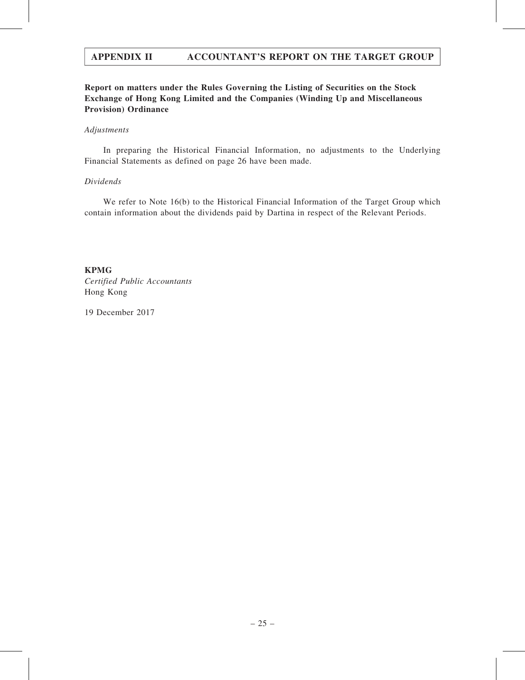## Report on matters under the Rules Governing the Listing of Securities on the Stock Exchange of Hong Kong Limited and the Companies (Winding Up and Miscellaneous Provision) Ordinance

#### Adjustments

In preparing the Historical Financial Information, no adjustments to the Underlying Financial Statements as defined on page 26 have been made.

#### Dividends

We refer to Note 16(b) to the Historical Financial Information of the Target Group which contain information about the dividends paid by Dartina in respect of the Relevant Periods.

KPMG Certified Public Accountants Hong Kong

19 December 2017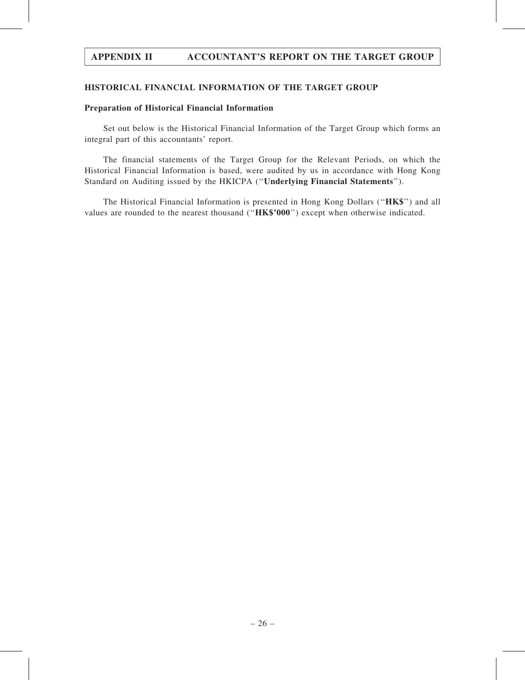#### HISTORICAL FINANCIAL INFORMATION OF THE TARGET GROUP

#### Preparation of Historical Financial Information

Set out below is the Historical Financial Information of the Target Group which forms an integral part of this accountants' report.

The financial statements of the Target Group for the Relevant Periods, on which the Historical Financial Information is based, were audited by us in accordance with Hong Kong Standard on Auditing issued by the HKICPA (''Underlying Financial Statements'').

The Historical Financial Information is presented in Hong Kong Dollars (''HK\$'') and all values are rounded to the nearest thousand ("HK\$'000") except when otherwise indicated.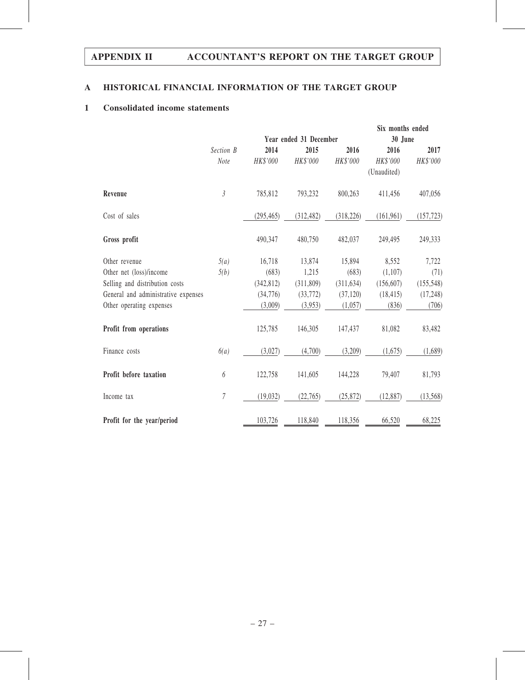## A HISTORICAL FINANCIAL INFORMATION OF THE TARGET GROUP

### 1 Consolidated income statements

|                                     |                |                        |            |            | Six months ended |            |
|-------------------------------------|----------------|------------------------|------------|------------|------------------|------------|
|                                     |                | Year ended 31 December |            |            | 30 June          |            |
|                                     | Section B      | 2014                   | 2015       | 2016       | 2016             | 2017       |
|                                     | Note           | HK\$'000               | HK\$'000   | HK\$'000   | HK\$'000         | HK\$'000   |
|                                     |                |                        |            |            | (Unaudited)      |            |
| Revenue                             | $\mathfrak{Z}$ | 785,812                | 793,232    | 800,263    | 411,456          | 407,056    |
| Cost of sales                       |                | (295, 465)             | (312, 482) | (318, 226) | (161, 961)       | (157, 723) |
| Gross profit                        |                | 490,347                | 480,750    | 482,037    | 249,495          | 249,333    |
| Other revenue                       | 5(a)           | 16,718                 | 13,874     | 15,894     | 8,552            | 7,722      |
| Other net (loss)/income             | 5(b)           | (683)                  | 1,215      | (683)      | (1,107)          | (71)       |
| Selling and distribution costs      |                | (342, 812)             | (311,809)  | (311, 634) | (156, 607)       | (155, 548) |
| General and administrative expenses |                | (34,776)               | (33, 772)  | (37, 120)  | (18, 415)        | (17, 248)  |
| Other operating expenses            |                | (3,009)                | (3,953)    | (1,057)    | (836)            | (706)      |
| Profit from operations              |                | 125,785                | 146,305    | 147,437    | 81,082           | 83,482     |
| Finance costs                       | 6(a)           | (3,027)                | (4,700)    | (3,209)    | (1,675)          | (1,689)    |
| Profit before taxation              | 6              | 122,758                | 141,605    | 144,228    | 79,407           | 81,793     |
| Income tax                          | 7              | (19, 032)              | (22,765)   | (25, 872)  | (12, 887)        | (13, 568)  |
| Profit for the year/period          |                | 103,726                | 118,840    | 118,356    | 66,520           | 68,225     |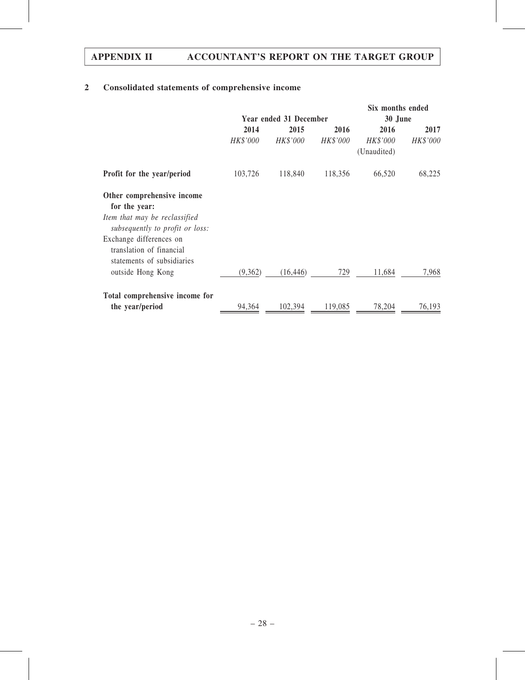# 2 Consolidated statements of comprehensive income

|                                                                                   | <b>Year ended 31 December</b> |           |          | Six months ended<br>30 June    |          |  |
|-----------------------------------------------------------------------------------|-------------------------------|-----------|----------|--------------------------------|----------|--|
|                                                                                   | 2014<br>2015<br>2016          |           |          | 2016                           | 2017     |  |
|                                                                                   | HK\$'000                      | HK\$'000  | HK\$'000 | <i>HK\$'000</i><br>(Unaudited) | HK\$'000 |  |
| Profit for the year/period                                                        | 103,726                       | 118,840   | 118,356  | 66,520                         | 68,225   |  |
| Other comprehensive income<br>for the year:                                       |                               |           |          |                                |          |  |
| Item that may be reclassified<br>subsequently to profit or loss:                  |                               |           |          |                                |          |  |
| Exchange differences on<br>translation of financial<br>statements of subsidiaries |                               |           |          |                                |          |  |
| outside Hong Kong                                                                 | (9,362)                       | (16, 446) | 729      | 11,684                         | 7,968    |  |
| Total comprehensive income for                                                    |                               |           |          |                                |          |  |
| the year/period                                                                   | 94,364                        | 102,394   | 119,085  | 78,204                         | 76,193   |  |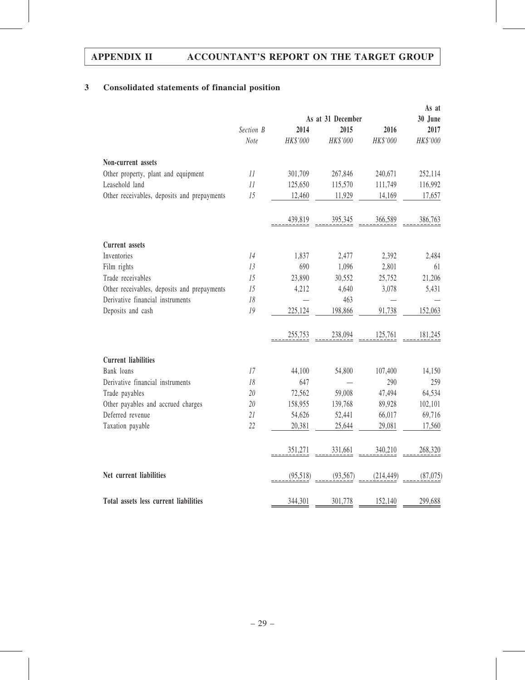## 3 Consolidated statements of financial position

|                                             |                   |          |           |            | As at     |
|---------------------------------------------|-------------------|----------|-----------|------------|-----------|
|                                             | As at 31 December |          |           |            | 30 June   |
|                                             | Section B         | 2014     | 2015      | 2016       | 2017      |
|                                             | Note              | HK\$'000 | HK\$'000  | HK\$'000   | HK\$'000  |
| Non-current assets                          |                   |          |           |            |           |
| Other property, plant and equipment         | 11                | 301,709  | 267,846   | 240,671    | 252,114   |
| Leasehold land                              | 11                | 125,650  | 115,570   | 111,749    | 116,992   |
| Other receivables, deposits and prepayments | 15                | 12,460   | 11,929    | 14,169     | 17,657    |
|                                             |                   | 439,819  | 395,345   | 366,589    | 386,763   |
| <b>Current</b> assets                       |                   |          |           |            |           |
| Inventories                                 | 14                | 1,837    | 2,477     | 2,392      | 2,484     |
| Film rights                                 | 13                | 690      | 1,096     | 2,801      | 61        |
| Trade receivables                           | 15                | 23,890   | 30,552    | 25,752     | 21,206    |
| Other receivables, deposits and prepayments | 15                | 4,212    | 4,640     | 3,078      | 5,431     |
| Derivative financial instruments            | 18                |          | 463       |            |           |
| Deposits and cash                           | 19                | 225,124  | 198,866   | 91,738     | 152,063   |
|                                             |                   | 255,753  | 238,094   | 125,761    | 181,245   |
| <b>Current liabilities</b>                  |                   |          |           |            |           |
| Bank loans                                  | 17                | 44,100   | 54,800    | 107,400    | 14,150    |
| Derivative financial instruments            | 18                | 647      |           | 290        | 259       |
| Trade payables                              | 20                | 72,562   | 59,008    | 47,494     | 64,534    |
| Other payables and accrued charges          | 20                | 158,955  | 139,768   | 89,928     | 102,101   |
| Deferred revenue                            | 21                | 54,626   | 52,441    | 66,017     | 69,716    |
| Taxation payable                            | 22                | 20,381   | 25,644    | 29,081     | 17,560    |
|                                             |                   | 351,271  | 331,661   | 340,210    | 268,320   |
| Net current liabilities                     |                   | (95,518) | (93, 567) | (214, 449) | (87, 075) |
| Total assets less current liabilities       |                   | 344,301  | 301,778   | 152,140    | 299,688   |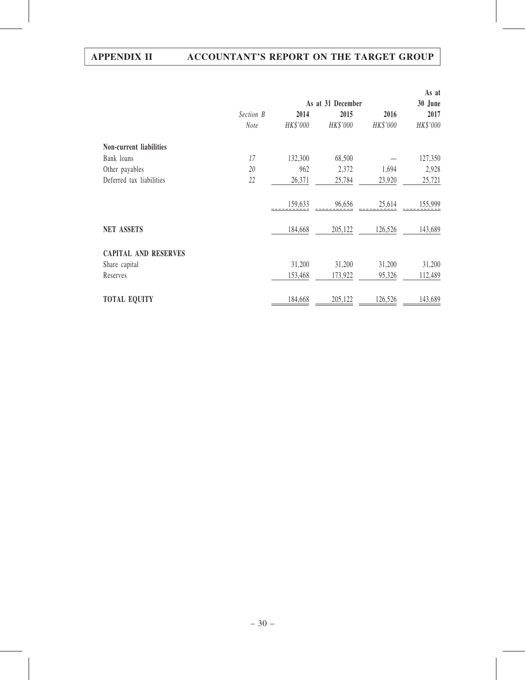|                             |                   |          |          |          | As at    |  |  |
|-----------------------------|-------------------|----------|----------|----------|----------|--|--|
|                             | As at 31 December |          |          |          |          |  |  |
|                             | Section B         | 2014     | 2015     | 2016     | 2017     |  |  |
|                             | <b>Note</b>       | HK\$'000 | HK\$'000 | HK\$'000 | HK\$'000 |  |  |
| Non-current liabilities     |                   |          |          |          |          |  |  |
| Bank loans                  | 17                | 132,300  | 68,500   |          | 127,350  |  |  |
| Other payables              | 20                | 962      | 2,372    | 1,694    | 2,928    |  |  |
| Deferred tax liabilities    | 22                | 26,371   | 25,784   | 23,920   | 25,721   |  |  |
|                             |                   | 159,633  | 96,656   | 25,614   | 155,999  |  |  |
| <b>NET ASSETS</b>           |                   | 184,668  | 205,122  | 126,526  | 143,689  |  |  |
| <b>CAPITAL AND RESERVES</b> |                   |          |          |          |          |  |  |
| Share capital               |                   | 31,200   | 31,200   | 31,200   | 31,200   |  |  |
| Reserves                    |                   | 153,468  | 173,922  | 95,326   | 112,489  |  |  |
| <b>TOTAL EQUITY</b>         |                   | 184,668  | 205,122  | 126,526  | 143,689  |  |  |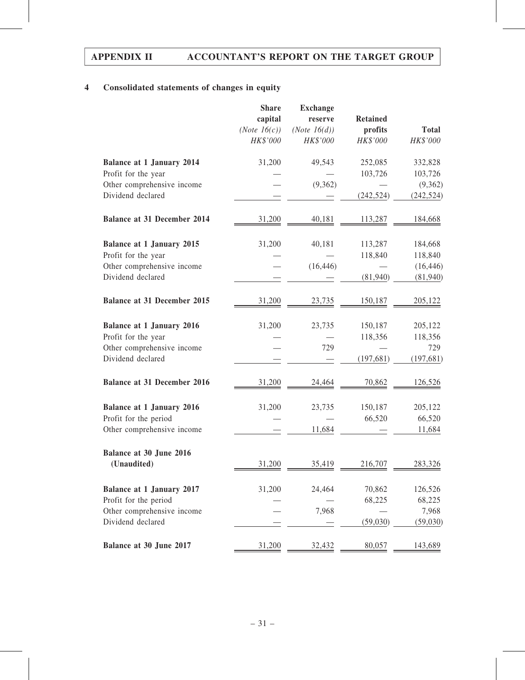## 4 Consolidated statements of changes in equity

|                                                 | <b>Share</b><br>capital<br>(Note $16(c)$ )<br>HK\$'000 | <b>Exchange</b><br>reserve<br>(Note 16(d))<br>HK\$'000 | <b>Retained</b><br>profits<br>HK\$'000 | <b>Total</b><br>HK\$'000 |
|-------------------------------------------------|--------------------------------------------------------|--------------------------------------------------------|----------------------------------------|--------------------------|
|                                                 |                                                        |                                                        |                                        |                          |
| <b>Balance at 1 January 2014</b>                | 31,200                                                 | 49,543                                                 | 252,085                                | 332,828                  |
| Profit for the year                             |                                                        |                                                        | 103,726                                | 103,726                  |
| Other comprehensive income<br>Dividend declared |                                                        | (9,362)                                                | (242, 524)                             | (9, 362)<br>(242, 524)   |
| <b>Balance at 31 December 2014</b>              | 31,200                                                 | 40,181                                                 | 113,287                                | 184,668                  |
| <b>Balance at 1 January 2015</b>                | 31,200                                                 | 40,181                                                 | 113,287                                | 184,668                  |
| Profit for the year                             |                                                        |                                                        | 118,840                                | 118,840                  |
| Other comprehensive income                      |                                                        | (16, 446)                                              |                                        | (16, 446)                |
| Dividend declared                               |                                                        |                                                        | (81,940)                               | (81, 940)                |
| <b>Balance at 31 December 2015</b>              | 31,200                                                 | 23,735                                                 | 150,187                                | 205,122                  |
| <b>Balance at 1 January 2016</b>                | 31,200                                                 | 23,735                                                 | 150,187                                | 205,122                  |
| Profit for the year                             |                                                        |                                                        | 118,356                                | 118,356                  |
| Other comprehensive income                      |                                                        | 729                                                    |                                        | 729                      |
| Dividend declared                               |                                                        |                                                        | (197, 681)                             | (197, 681)               |
| <b>Balance at 31 December 2016</b>              | 31,200                                                 | 24,464                                                 | 70,862                                 | 126,526                  |
| <b>Balance at 1 January 2016</b>                | 31,200                                                 | 23,735                                                 | 150,187                                | 205,122                  |
| Profit for the period                           |                                                        |                                                        | 66,520                                 | 66,520                   |
| Other comprehensive income                      |                                                        | 11,684                                                 |                                        | 11,684                   |
| Balance at 30 June 2016                         |                                                        |                                                        |                                        |                          |
| (Unaudited)                                     | 31,200                                                 | 35,419                                                 | 216,707                                | 283,326                  |
| <b>Balance at 1 January 2017</b>                | 31,200                                                 | 24,464                                                 | 70,862                                 | 126,526                  |
| Profit for the period                           |                                                        |                                                        | 68,225                                 | 68,225                   |
| Other comprehensive income                      |                                                        | 7,968                                                  |                                        | 7,968                    |
| Dividend declared                               |                                                        |                                                        | (59,030)                               | (59,030)                 |
| Balance at 30 June 2017                         | 31,200                                                 | 32,432                                                 | 80,057                                 | 143,689                  |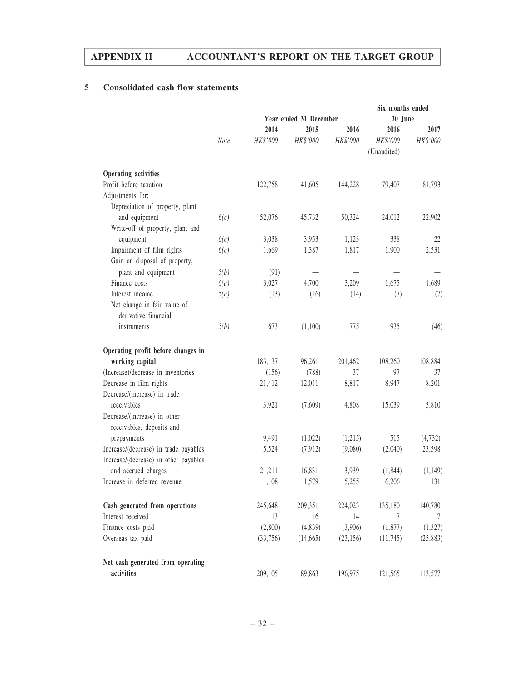## 5 Consolidated cash flow statements

|                                       |      |                        |          | Six months ended |             |           |
|---------------------------------------|------|------------------------|----------|------------------|-------------|-----------|
|                                       |      | Year ended 31 December |          |                  | 30 June     |           |
|                                       |      | 2014                   | 2015     | 2016             | 2016        | 2017      |
|                                       | Note | HK\$'000               | HK\$'000 | HK\$'000         | HK\$'000    | HK\$'000  |
|                                       |      |                        |          |                  | (Unaudited) |           |
| Operating activities                  |      |                        |          |                  |             |           |
| Profit before taxation                |      | 122,758                | 141,605  | 144,228          | 79,407      | 81,793    |
| Adjustments for:                      |      |                        |          |                  |             |           |
| Depreciation of property, plant       |      |                        |          |                  |             |           |
| and equipment                         | 6(c) | 52,076                 | 45,732   | 50,324           | 24,012      | 22,902    |
| Write-off of property, plant and      |      |                        |          |                  |             |           |
| equipment                             | 6(c) | 3,038                  | 3,953    | 1,123            | 338         | 22        |
| Impairment of film rights             | 6(c) | 1,669                  | 1,387    | 1,817            | 1,900       | 2,531     |
| Gain on disposal of property,         |      |                        |          |                  |             |           |
| plant and equipment                   | 5(b) | (91)                   |          |                  |             |           |
| Finance costs                         | 6(a) | 3,027                  | 4,700    | 3,209            | 1,675       | 1,689     |
| Interest income                       | 5(a) | (13)                   | (16)     | (14)             | (7)         | (7)       |
| Net change in fair value of           |      |                        |          |                  |             |           |
| derivative financial                  |      |                        |          |                  |             |           |
| instruments                           | 5(b) | 673                    | (1,100)  | 775              | 935         | (46)      |
| Operating profit before changes in    |      |                        |          |                  |             |           |
| working capital                       |      | 183,137                | 196,261  | 201,462          | 108,260     | 108,884   |
| (Increase)/decrease in inventories    |      | (156)                  | (788)    | 37               | 97          | 37        |
| Decrease in film rights               |      | 21,412                 | 12,011   | 8,817            | 8,947       | 8,201     |
| Decrease/(increase) in trade          |      |                        |          |                  |             |           |
| receivables                           |      | 3,921                  | (7,609)  | 4,808            | 15,039      | 5,810     |
| Decrease/(increase) in other          |      |                        |          |                  |             |           |
| receivables, deposits and             |      |                        |          |                  |             |           |
| prepayments                           |      | 9,491                  | (1,022)  | (1,215)          | 515         | (4, 732)  |
| Increase/(decrease) in trade payables |      | 5,524                  | (7, 912) | (9,080)          | (2,040)     | 23,598    |
| Increase/(decrease) in other payables |      |                        |          |                  |             |           |
| and accrued charges                   |      | 21,211                 | 16,831   | 3,939            | (1, 844)    | (1, 149)  |
| Increase in deferred revenue          |      | 1,108                  | 1,579    | 15,255           | 6,206       | 131       |
|                                       |      |                        |          |                  |             |           |
| Cash generated from operations        |      | 245,648                | 209,351  | 224,023          | 135,180     | 140,780   |
| Interest received                     |      | 13                     | 16       | 14               | 7           | 7         |
| Finance costs paid                    |      | (2,800)                | (4, 839) | (3,906)          | (1,877)     | (1,327)   |
| Overseas tax paid                     |      | (33, 756)              | (14,665) | (23, 156)        | (11, 745)   | (25, 883) |
| Net cash generated from operating     |      |                        |          |                  |             |           |
| activities                            |      | 209,105                | 189,863  | 196,975          | 121,565     | 113,577   |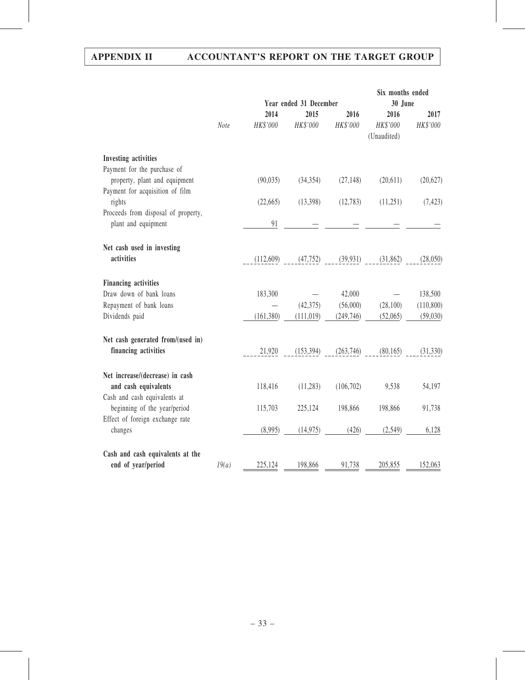|                                                                                  |       | Year ended 31 December |                  |                  | Six months ended<br>30 June     |                  |
|----------------------------------------------------------------------------------|-------|------------------------|------------------|------------------|---------------------------------|------------------|
|                                                                                  | Note  | 2014<br>HK\$'000       | 2015<br>HK\$'000 | 2016<br>HK\$'000 | 2016<br>HK\$'000<br>(Unaudited) | 2017<br>HK\$'000 |
| Investing activities<br>Payment for the purchase of                              |       |                        |                  |                  |                                 |                  |
| property, plant and equipment                                                    |       | (90, 035)              | (34, 354)        | (27, 148)        | (20,611)                        | (20,627)         |
| Payment for acquisition of film<br>rights<br>Proceeds from disposal of property, |       | (22,665)               | (13,398)         | (12, 783)        | (11,251)                        | (7, 423)         |
| plant and equipment                                                              |       | 91                     |                  |                  |                                 |                  |
| Net cash used in investing<br>activities                                         |       | (112,609)              | (47, 752)        | (39, 931)        | (31,862)                        | (28,050)         |
|                                                                                  |       |                        |                  |                  |                                 |                  |
| <b>Financing activities</b><br>Draw down of bank loans                           |       | 183,300                |                  | 42,000           |                                 | 138,500          |
| Repayment of bank loans                                                          |       |                        | (42,375)         | (56,000)         | (28,100)                        | (110, 800)       |
| Dividends paid                                                                   |       | (161, 380)             | (111, 019)       | (249, 746)       | (52,065)                        | (59,030)         |
| Net cash generated from/(used in)                                                |       |                        |                  |                  |                                 |                  |
| financing activities                                                             |       | 21,920                 | (153, 394)       | (263, 746)       | (80, 165)                       | (31, 330)        |
| Net increase/(decrease) in cash<br>and cash equivalents                          |       | 118,416                | (11, 283)        | (106, 702)       | 9,538                           | 54,197           |
| Cash and cash equivalents at                                                     |       |                        |                  |                  |                                 |                  |
| beginning of the year/period                                                     |       | 115,703                | 225,124          | 198,866          | 198,866                         | 91,738           |
| Effect of foreign exchange rate<br>changes                                       |       | (8,995)                | (14, 975)        | (426)            | (2,549)                         | 6,128            |
| Cash and cash equivalents at the                                                 |       |                        |                  |                  |                                 |                  |
| end of year/period                                                               | 19(a) | 225,124                | 198,866          | 91,738           | 205,855                         | 152,063          |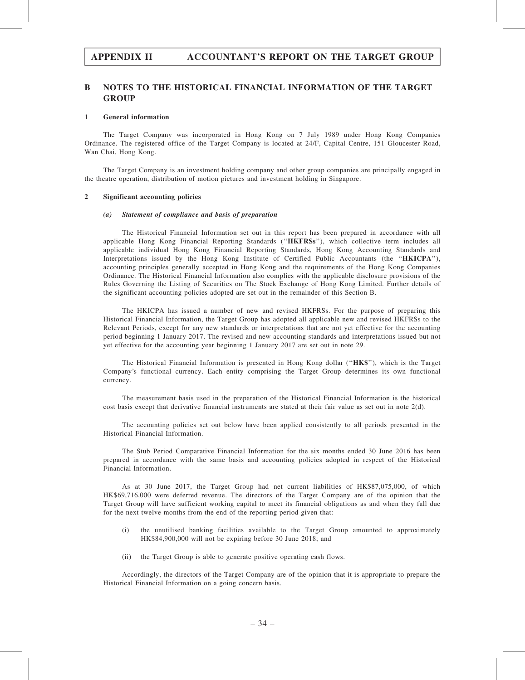#### B NOTES TO THE HISTORICAL FINANCIAL INFORMATION OF THE TARGET **GROUP**

#### 1 General information

The Target Company was incorporated in Hong Kong on 7 July 1989 under Hong Kong Companies Ordinance. The registered office of the Target Company is located at 24/F, Capital Centre, 151 Gloucester Road, Wan Chai, Hong Kong.

The Target Company is an investment holding company and other group companies are principally engaged in the theatre operation, distribution of motion pictures and investment holding in Singapore.

#### 2 Significant accounting policies

#### (a) Statement of compliance and basis of preparation

The Historical Financial Information set out in this report has been prepared in accordance with all applicable Hong Kong Financial Reporting Standards ("HKFRSs"), which collective term includes all applicable individual Hong Kong Financial Reporting Standards, Hong Kong Accounting Standards and Interpretations issued by the Hong Kong Institute of Certified Public Accountants (the "HKICPA"), accounting principles generally accepted in Hong Kong and the requirements of the Hong Kong Companies Ordinance. The Historical Financial Information also complies with the applicable disclosure provisions of the Rules Governing the Listing of Securities on The Stock Exchange of Hong Kong Limited. Further details of the significant accounting policies adopted are set out in the remainder of this Section B.

The HKICPA has issued a number of new and revised HKFRSs. For the purpose of preparing this Historical Financial Information, the Target Group has adopted all applicable new and revised HKFRSs to the Relevant Periods, except for any new standards or interpretations that are not yet effective for the accounting period beginning 1 January 2017. The revised and new accounting standards and interpretations issued but not yet effective for the accounting year beginning 1 January 2017 are set out in note 29.

The Historical Financial Information is presented in Hong Kong dollar (''HK\$''), which is the Target Company's functional currency. Each entity comprising the Target Group determines its own functional currency.

The measurement basis used in the preparation of the Historical Financial Information is the historical cost basis except that derivative financial instruments are stated at their fair value as set out in note 2(d).

The accounting policies set out below have been applied consistently to all periods presented in the Historical Financial Information.

The Stub Period Comparative Financial Information for the six months ended 30 June 2016 has been prepared in accordance with the same basis and accounting policies adopted in respect of the Historical Financial Information.

As at 30 June 2017, the Target Group had net current liabilities of HK\$87,075,000, of which HK\$69,716,000 were deferred revenue. The directors of the Target Company are of the opinion that the Target Group will have sufficient working capital to meet its financial obligations as and when they fall due for the next twelve months from the end of the reporting period given that:

- (i) the unutilised banking facilities available to the Target Group amounted to approximately HK\$84,900,000 will not be expiring before 30 June 2018; and
- (ii) the Target Group is able to generate positive operating cash flows.

Accordingly, the directors of the Target Company are of the opinion that it is appropriate to prepare the Historical Financial Information on a going concern basis.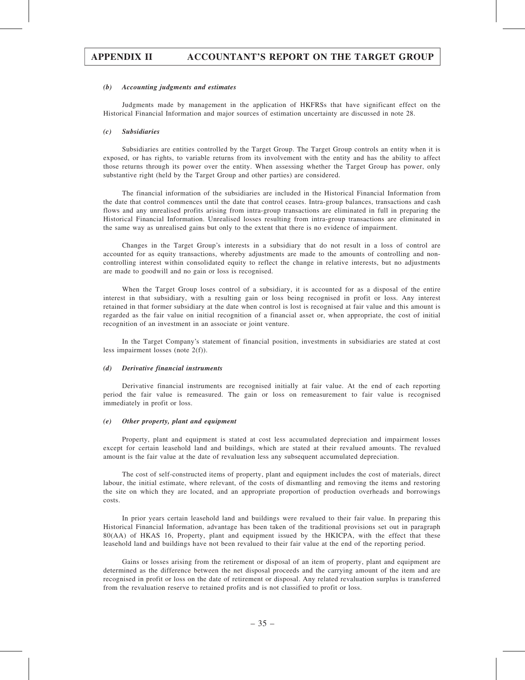#### (b) Accounting judgments and estimates

Judgments made by management in the application of HKFRSs that have significant effect on the Historical Financial Information and major sources of estimation uncertainty are discussed in note 28.

#### (c) Subsidiaries

Subsidiaries are entities controlled by the Target Group. The Target Group controls an entity when it is exposed, or has rights, to variable returns from its involvement with the entity and has the ability to affect those returns through its power over the entity. When assessing whether the Target Group has power, only substantive right (held by the Target Group and other parties) are considered.

The financial information of the subsidiaries are included in the Historical Financial Information from the date that control commences until the date that control ceases. Intra-group balances, transactions and cash flows and any unrealised profits arising from intra-group transactions are eliminated in full in preparing the Historical Financial Information. Unrealised losses resulting from intra-group transactions are eliminated in the same way as unrealised gains but only to the extent that there is no evidence of impairment.

Changes in the Target Group's interests in a subsidiary that do not result in a loss of control are accounted for as equity transactions, whereby adjustments are made to the amounts of controlling and noncontrolling interest within consolidated equity to reflect the change in relative interests, but no adjustments are made to goodwill and no gain or loss is recognised.

When the Target Group loses control of a subsidiary, it is accounted for as a disposal of the entire interest in that subsidiary, with a resulting gain or loss being recognised in profit or loss. Any interest retained in that former subsidiary at the date when control is lost is recognised at fair value and this amount is regarded as the fair value on initial recognition of a financial asset or, when appropriate, the cost of initial recognition of an investment in an associate or joint venture.

In the Target Company's statement of financial position, investments in subsidiaries are stated at cost less impairment losses (note 2(f)).

#### (d) Derivative financial instruments

Derivative financial instruments are recognised initially at fair value. At the end of each reporting period the fair value is remeasured. The gain or loss on remeasurement to fair value is recognised immediately in profit or loss.

#### (e) Other property, plant and equipment

Property, plant and equipment is stated at cost less accumulated depreciation and impairment losses except for certain leasehold land and buildings, which are stated at their revalued amounts. The revalued amount is the fair value at the date of revaluation less any subsequent accumulated depreciation.

The cost of self-constructed items of property, plant and equipment includes the cost of materials, direct labour, the initial estimate, where relevant, of the costs of dismantling and removing the items and restoring the site on which they are located, and an appropriate proportion of production overheads and borrowings costs.

In prior years certain leasehold land and buildings were revalued to their fair value. In preparing this Historical Financial Information, advantage has been taken of the traditional provisions set out in paragraph 80(AA) of HKAS 16, Property, plant and equipment issued by the HKICPA, with the effect that these leasehold land and buildings have not been revalued to their fair value at the end of the reporting period.

Gains or losses arising from the retirement or disposal of an item of property, plant and equipment are determined as the difference between the net disposal proceeds and the carrying amount of the item and are recognised in profit or loss on the date of retirement or disposal. Any related revaluation surplus is transferred from the revaluation reserve to retained profits and is not classified to profit or loss.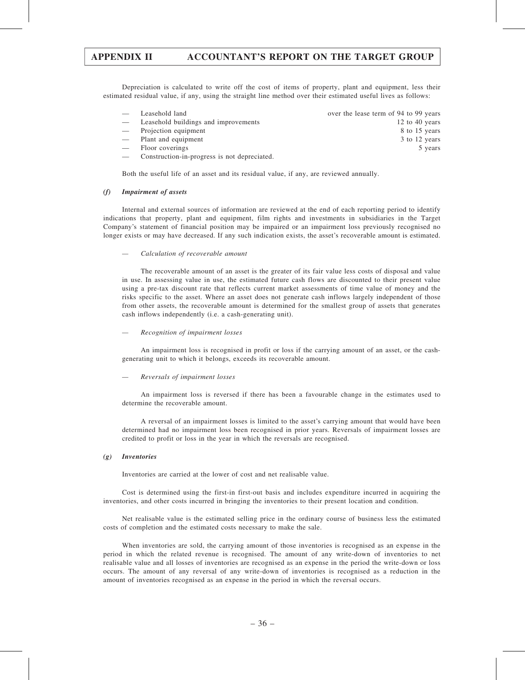Depreciation is calculated to write off the cost of items of property, plant and equipment, less their estimated residual value, if any, using the straight line method over their estimated useful lives as follows:

| Leasehold land                               | over the lease term of 94 to 99 years |
|----------------------------------------------|---------------------------------------|
| Leasehold buildings and improvements         | 12 to 40 years                        |
| - Projection equipment                       | 8 to 15 years                         |
| - Plant and equipment                        | 3 to 12 years                         |
| Floor coverings                              | 5 years                               |
| Construction-in-progress is not depreciated. |                                       |
|                                              |                                       |

Both the useful life of an asset and its residual value, if any, are reviewed annually.

#### (f) Impairment of assets

Internal and external sources of information are reviewed at the end of each reporting period to identify indications that property, plant and equipment, film rights and investments in subsidiaries in the Target Company's statement of financial position may be impaired or an impairment loss previously recognised no longer exists or may have decreased. If any such indication exists, the asset's recoverable amount is estimated.

— Calculation of recoverable amount

The recoverable amount of an asset is the greater of its fair value less costs of disposal and value in use. In assessing value in use, the estimated future cash flows are discounted to their present value using a pre-tax discount rate that reflects current market assessments of time value of money and the risks specific to the asset. Where an asset does not generate cash inflows largely independent of those from other assets, the recoverable amount is determined for the smallest group of assets that generates cash inflows independently (i.e. a cash-generating unit).

— Recognition of impairment losses

An impairment loss is recognised in profit or loss if the carrying amount of an asset, or the cashgenerating unit to which it belongs, exceeds its recoverable amount.

#### — Reversals of impairment losses

An impairment loss is reversed if there has been a favourable change in the estimates used to determine the recoverable amount.

A reversal of an impairment losses is limited to the asset's carrying amount that would have been determined had no impairment loss been recognised in prior years. Reversals of impairment losses are credited to profit or loss in the year in which the reversals are recognised.

#### (g) Inventories

Inventories are carried at the lower of cost and net realisable value.

Cost is determined using the first-in first-out basis and includes expenditure incurred in acquiring the inventories, and other costs incurred in bringing the inventories to their present location and condition.

Net realisable value is the estimated selling price in the ordinary course of business less the estimated costs of completion and the estimated costs necessary to make the sale.

When inventories are sold, the carrying amount of those inventories is recognised as an expense in the period in which the related revenue is recognised. The amount of any write-down of inventories to net realisable value and all losses of inventories are recognised as an expense in the period the write-down or loss occurs. The amount of any reversal of any write-down of inventories is recognised as a reduction in the amount of inventories recognised as an expense in the period in which the reversal occurs.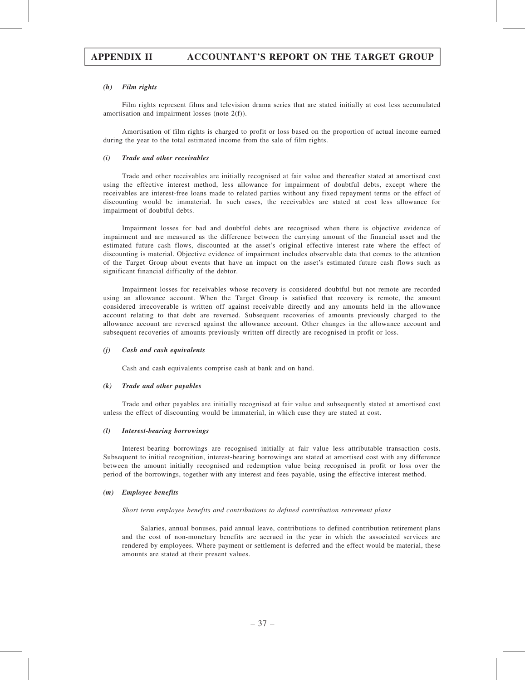#### (h) Film rights

Film rights represent films and television drama series that are stated initially at cost less accumulated amortisation and impairment losses (note 2(f)).

Amortisation of film rights is charged to profit or loss based on the proportion of actual income earned during the year to the total estimated income from the sale of film rights.

#### (i) Trade and other receivables

Trade and other receivables are initially recognised at fair value and thereafter stated at amortised cost using the effective interest method, less allowance for impairment of doubtful debts, except where the receivables are interest-free loans made to related parties without any fixed repayment terms or the effect of discounting would be immaterial. In such cases, the receivables are stated at cost less allowance for impairment of doubtful debts.

Impairment losses for bad and doubtful debts are recognised when there is objective evidence of impairment and are measured as the difference between the carrying amount of the financial asset and the estimated future cash flows, discounted at the asset's original effective interest rate where the effect of discounting is material. Objective evidence of impairment includes observable data that comes to the attention of the Target Group about events that have an impact on the asset's estimated future cash flows such as significant financial difficulty of the debtor.

Impairment losses for receivables whose recovery is considered doubtful but not remote are recorded using an allowance account. When the Target Group is satisfied that recovery is remote, the amount considered irrecoverable is written off against receivable directly and any amounts held in the allowance account relating to that debt are reversed. Subsequent recoveries of amounts previously charged to the allowance account are reversed against the allowance account. Other changes in the allowance account and subsequent recoveries of amounts previously written off directly are recognised in profit or loss.

#### (j) Cash and cash equivalents

Cash and cash equivalents comprise cash at bank and on hand.

#### (k) Trade and other payables

Trade and other payables are initially recognised at fair value and subsequently stated at amortised cost unless the effect of discounting would be immaterial, in which case they are stated at cost.

#### (l) Interest-bearing borrowings

Interest-bearing borrowings are recognised initially at fair value less attributable transaction costs. Subsequent to initial recognition, interest-bearing borrowings are stated at amortised cost with any difference between the amount initially recognised and redemption value being recognised in profit or loss over the period of the borrowings, together with any interest and fees payable, using the effective interest method.

#### (m) Employee benefits

#### Short term employee benefits and contributions to defined contribution retirement plans

Salaries, annual bonuses, paid annual leave, contributions to defined contribution retirement plans and the cost of non-monetary benefits are accrued in the year in which the associated services are rendered by employees. Where payment or settlement is deferred and the effect would be material, these amounts are stated at their present values.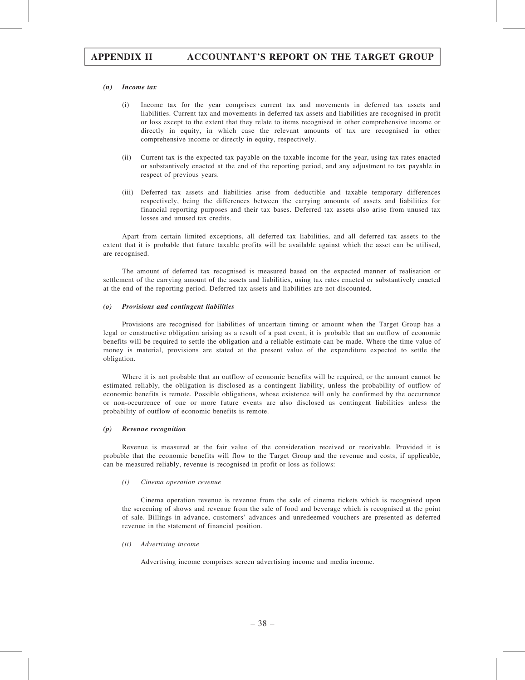#### (n) Income tax

- (i) Income tax for the year comprises current tax and movements in deferred tax assets and liabilities. Current tax and movements in deferred tax assets and liabilities are recognised in profit or loss except to the extent that they relate to items recognised in other comprehensive income or directly in equity, in which case the relevant amounts of tax are recognised in other comprehensive income or directly in equity, respectively.
- (ii) Current tax is the expected tax payable on the taxable income for the year, using tax rates enacted or substantively enacted at the end of the reporting period, and any adjustment to tax payable in respect of previous years.
- (iii) Deferred tax assets and liabilities arise from deductible and taxable temporary differences respectively, being the differences between the carrying amounts of assets and liabilities for financial reporting purposes and their tax bases. Deferred tax assets also arise from unused tax losses and unused tax credits.

Apart from certain limited exceptions, all deferred tax liabilities, and all deferred tax assets to the extent that it is probable that future taxable profits will be available against which the asset can be utilised, are recognised.

The amount of deferred tax recognised is measured based on the expected manner of realisation or settlement of the carrying amount of the assets and liabilities, using tax rates enacted or substantively enacted at the end of the reporting period. Deferred tax assets and liabilities are not discounted.

#### (o) Provisions and contingent liabilities

Provisions are recognised for liabilities of uncertain timing or amount when the Target Group has a legal or constructive obligation arising as a result of a past event, it is probable that an outflow of economic benefits will be required to settle the obligation and a reliable estimate can be made. Where the time value of money is material, provisions are stated at the present value of the expenditure expected to settle the obligation.

Where it is not probable that an outflow of economic benefits will be required, or the amount cannot be estimated reliably, the obligation is disclosed as a contingent liability, unless the probability of outflow of economic benefits is remote. Possible obligations, whose existence will only be confirmed by the occurrence or non-occurrence of one or more future events are also disclosed as contingent liabilities unless the probability of outflow of economic benefits is remote.

#### (p) Revenue recognition

Revenue is measured at the fair value of the consideration received or receivable. Provided it is probable that the economic benefits will flow to the Target Group and the revenue and costs, if applicable, can be measured reliably, revenue is recognised in profit or loss as follows:

#### (i) Cinema operation revenue

Cinema operation revenue is revenue from the sale of cinema tickets which is recognised upon the screening of shows and revenue from the sale of food and beverage which is recognised at the point of sale. Billings in advance, customers' advances and unredeemed vouchers are presented as deferred revenue in the statement of financial position.

#### (ii) Advertising income

Advertising income comprises screen advertising income and media income.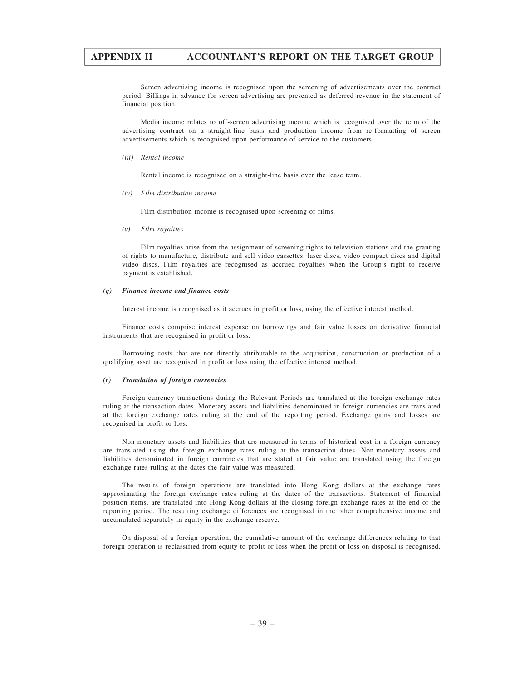Screen advertising income is recognised upon the screening of advertisements over the contract period. Billings in advance for screen advertising are presented as deferred revenue in the statement of financial position.

Media income relates to off-screen advertising income which is recognised over the term of the advertising contract on a straight-line basis and production income from re-formatting of screen advertisements which is recognised upon performance of service to the customers.

(iii) Rental income

Rental income is recognised on a straight-line basis over the lease term.

(iv) Film distribution income

Film distribution income is recognised upon screening of films.

(v) Film royalties

Film royalties arise from the assignment of screening rights to television stations and the granting of rights to manufacture, distribute and sell video cassettes, laser discs, video compact discs and digital video discs. Film royalties are recognised as accrued royalties when the Group's right to receive payment is established.

#### (q) Finance income and finance costs

Interest income is recognised as it accrues in profit or loss, using the effective interest method.

Finance costs comprise interest expense on borrowings and fair value losses on derivative financial instruments that are recognised in profit or loss.

Borrowing costs that are not directly attributable to the acquisition, construction or production of a qualifying asset are recognised in profit or loss using the effective interest method.

#### (r) Translation of foreign currencies

Foreign currency transactions during the Relevant Periods are translated at the foreign exchange rates ruling at the transaction dates. Monetary assets and liabilities denominated in foreign currencies are translated at the foreign exchange rates ruling at the end of the reporting period. Exchange gains and losses are recognised in profit or loss.

Non-monetary assets and liabilities that are measured in terms of historical cost in a foreign currency are translated using the foreign exchange rates ruling at the transaction dates. Non-monetary assets and liabilities denominated in foreign currencies that are stated at fair value are translated using the foreign exchange rates ruling at the dates the fair value was measured.

The results of foreign operations are translated into Hong Kong dollars at the exchange rates approximating the foreign exchange rates ruling at the dates of the transactions. Statement of financial position items, are translated into Hong Kong dollars at the closing foreign exchange rates at the end of the reporting period. The resulting exchange differences are recognised in the other comprehensive income and accumulated separately in equity in the exchange reserve.

On disposal of a foreign operation, the cumulative amount of the exchange differences relating to that foreign operation is reclassified from equity to profit or loss when the profit or loss on disposal is recognised.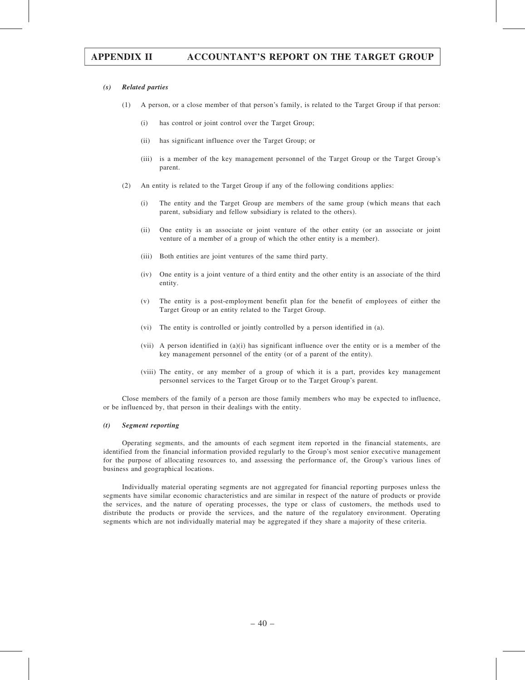#### (s) Related parties

- (1) A person, or a close member of that person's family, is related to the Target Group if that person:
	- (i) has control or joint control over the Target Group;
	- (ii) has significant influence over the Target Group; or
	- (iii) is a member of the key management personnel of the Target Group or the Target Group's parent.
- (2) An entity is related to the Target Group if any of the following conditions applies:
	- (i) The entity and the Target Group are members of the same group (which means that each parent, subsidiary and fellow subsidiary is related to the others).
	- (ii) One entity is an associate or joint venture of the other entity (or an associate or joint venture of a member of a group of which the other entity is a member).
	- (iii) Both entities are joint ventures of the same third party.
	- (iv) One entity is a joint venture of a third entity and the other entity is an associate of the third entity.
	- (v) The entity is a post-employment benefit plan for the benefit of employees of either the Target Group or an entity related to the Target Group.
	- (vi) The entity is controlled or jointly controlled by a person identified in (a).
	- (vii) A person identified in (a)(i) has significant influence over the entity or is a member of the key management personnel of the entity (or of a parent of the entity).
	- (viii) The entity, or any member of a group of which it is a part, provides key management personnel services to the Target Group or to the Target Group's parent.

Close members of the family of a person are those family members who may be expected to influence, or be influenced by, that person in their dealings with the entity.

#### (t) Segment reporting

Operating segments, and the amounts of each segment item reported in the financial statements, are identified from the financial information provided regularly to the Group's most senior executive management for the purpose of allocating resources to, and assessing the performance of, the Group's various lines of business and geographical locations.

Individually material operating segments are not aggregated for financial reporting purposes unless the segments have similar economic characteristics and are similar in respect of the nature of products or provide the services, and the nature of operating processes, the type or class of customers, the methods used to distribute the products or provide the services, and the nature of the regulatory environment. Operating segments which are not individually material may be aggregated if they share a majority of these criteria.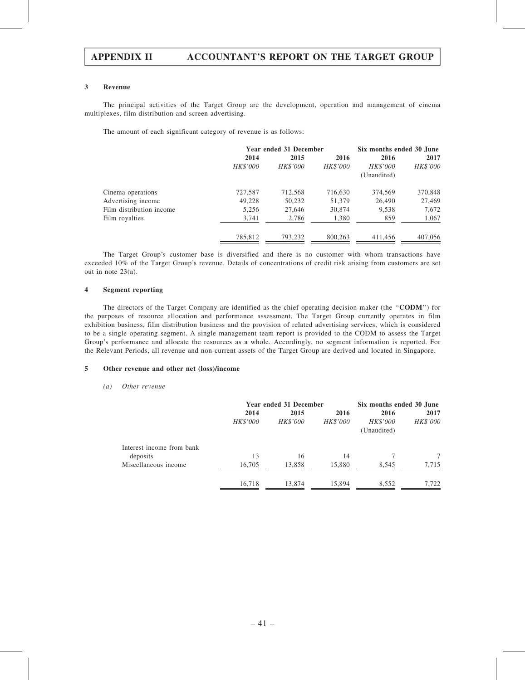#### 3 Revenue

The principal activities of the Target Group are the development, operation and management of cinema multiplexes, film distribution and screen advertising.

The amount of each significant category of revenue is as follows:

|                          | Year ended 31 December | Six months ended 30 June |          |             |          |  |
|--------------------------|------------------------|--------------------------|----------|-------------|----------|--|
|                          | 2014                   | 2015                     | 2016     | 2016        | 2017     |  |
|                          | HK\$'000               | HK\$'000                 | HK\$'000 | HK\$'000    | HK\$'000 |  |
|                          |                        |                          |          | (Unaudited) |          |  |
| Cinema operations        | 727,587                | 712,568                  | 716,630  | 374,569     | 370,848  |  |
| Advertising income       | 49,228                 | 50,232                   | 51,379   | 26,490      | 27,469   |  |
| Film distribution income | 5,256                  | 27,646                   | 30,874   | 9,538       | 7,672    |  |
| Film royalties           | 3,741                  | 2,786                    | 1,380    | 859         | 1,067    |  |
|                          | 785,812                | 793,232                  | 800,263  | 411,456     | 407,056  |  |

The Target Group's customer base is diversified and there is no customer with whom transactions have exceeded 10% of the Target Group's revenue. Details of concentrations of credit risk arising from customers are set out in note 23(a).

#### 4 Segment reporting

The directors of the Target Company are identified as the chief operating decision maker (the "CODM") for the purposes of resource allocation and performance assessment. The Target Group currently operates in film exhibition business, film distribution business and the provision of related advertising services, which is considered to be a single operating segment. A single management team report is provided to the CODM to assess the Target Group's performance and allocate the resources as a whole. Accordingly, no segment information is reported. For the Relevant Periods, all revenue and non-current assets of the Target Group are derived and located in Singapore.

#### 5 Other revenue and other net (loss)/income

#### (a) Other revenue

|                           |          | Year ended 31 December | Six months ended 30 June |                 |          |
|---------------------------|----------|------------------------|--------------------------|-----------------|----------|
|                           | 2014     | 2015<br>2016           |                          | 2016            | 2017     |
|                           | HK\$'000 | HK\$'000               | HK\$'000                 | <b>HK\$'000</b> | HK\$'000 |
|                           |          |                        | (Unaudited)              |                 |          |
| Interest income from bank |          |                        |                          |                 |          |
| deposits                  | 13       | 16                     | 14                       |                 | 7        |
| Miscellaneous income      | 16,705   | 13,858                 | 15,880                   | 8,545           | 7,715    |
|                           | 16,718   | 13,874                 | 15,894                   | 8,552           | 7.722    |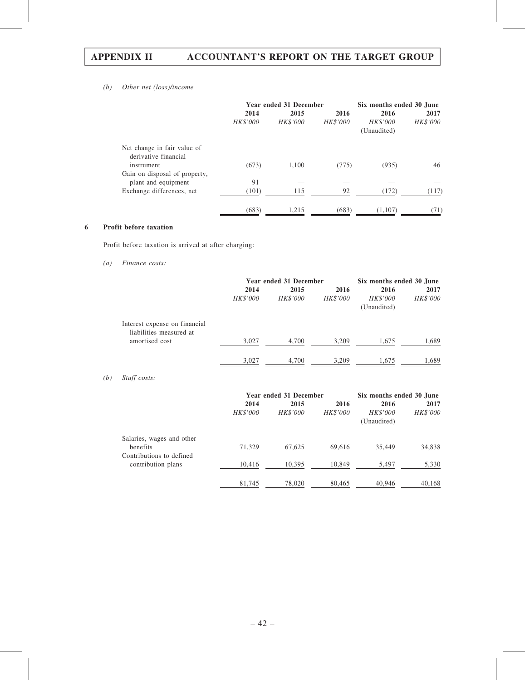## (b) Other net (loss)/income

|                                                     | Year ended 31 December |                 |          | Six months ended 30 June |                 |  |
|-----------------------------------------------------|------------------------|-----------------|----------|--------------------------|-----------------|--|
|                                                     | 2014                   | 2015            | 2016     |                          | 2017            |  |
|                                                     | HK\$'000               | <b>HK\$'000</b> | HK\$'000 | HK\$'000<br>(Unaudited)  | <b>HK\$'000</b> |  |
| Net change in fair value of<br>derivative financial |                        |                 |          |                          |                 |  |
| instrument                                          | (673)                  | 1.100           | (775)    | (935)                    | 46              |  |
| Gain on disposal of property,                       |                        |                 |          |                          |                 |  |
| plant and equipment                                 | 91                     |                 |          |                          |                 |  |
| Exchange differences, net                           | (101)                  | 115             | 92       | (172)                    | (117)           |  |
|                                                     | (683)                  | 1,215           | (683)    | (1,107)                  | (71)            |  |

## 6 Profit before taxation

Profit before taxation is arrived at after charging:

### (a) Finance costs:

|                                                          |          | Year ended 31 December | Six months ended 30 June |                         |          |
|----------------------------------------------------------|----------|------------------------|--------------------------|-------------------------|----------|
|                                                          | 2014     | 2015                   | 2016                     | 2016                    | 2017     |
|                                                          | HK\$'000 | HK\$'000               | HK\$'000                 | HK\$'000<br>(Unaudited) | HK\$'000 |
| Interest expense on financial<br>liabilities measured at |          |                        |                          |                         |          |
| amortised cost                                           | 3,027    | 4,700                  | 3,209                    | 1,675                   | 1,689    |
|                                                          | 3,027    | 4.700                  | 3.209                    | 1.675                   | 1.689    |

## (b) Staff costs:

|                           |          | Year ended 31 December | Six months ended 30 June |                         |                 |
|---------------------------|----------|------------------------|--------------------------|-------------------------|-----------------|
|                           | 2014     | 2015                   |                          | 2016                    | 2017            |
|                           | HK\$'000 | HK\$'000               | <b>HK\$'000</b>          | HK\$'000<br>(Unaudited) | <b>HK\$'000</b> |
| Salaries, wages and other |          |                        |                          |                         |                 |
| benefits                  | 71,329   | 67.625                 | 69.616                   | 35,449                  | 34,838          |
| Contributions to defined  |          |                        |                          |                         |                 |
| contribution plans        | 10,416   | 10,395                 | 10,849                   | 5,497                   | 5,330           |
|                           | 81,745   | 78,020                 | 80,465                   | 40,946                  | 40,168          |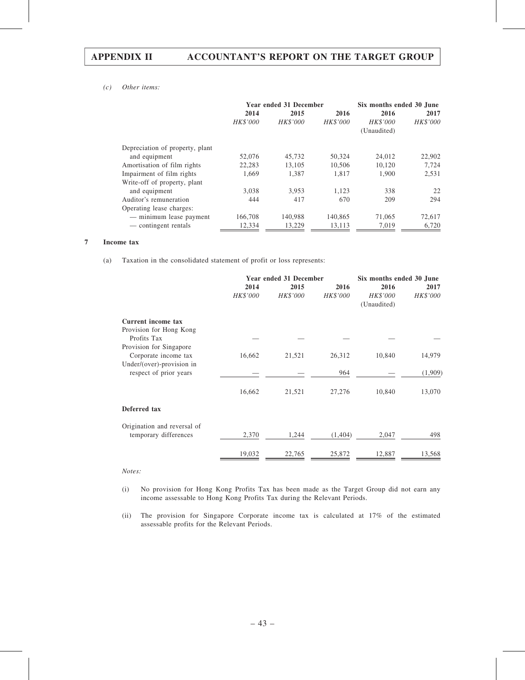### (c) Other items:

|                                 |                 | Year ended 31 December | Six months ended 30 June |                 |                 |  |
|---------------------------------|-----------------|------------------------|--------------------------|-----------------|-----------------|--|
|                                 | 2014            | 2015<br>2016           |                          | 2016            | 2017            |  |
|                                 | <b>HK\$'000</b> | <b>HK\$'000</b>        | <b>HK\$'000</b>          | <i>HK\$'000</i> | <b>HK\$'000</b> |  |
|                                 |                 |                        |                          | (Unaudited)     |                 |  |
| Depreciation of property, plant |                 |                        |                          |                 |                 |  |
| and equipment                   | 52,076          | 45.732                 | 50,324                   | 24,012          | 22,902          |  |
| Amortisation of film rights     | 22,283          | 13,105                 | 10,506                   | 10,120          | 7,724           |  |
| Impairment of film rights       | 1.669           | 1.387                  | 1.817                    | 1.900           | 2,531           |  |
| Write-off of property, plant    |                 |                        |                          |                 |                 |  |
| and equipment                   | 3,038           | 3,953                  | 1.123                    | 338             | 22              |  |
| Auditor's remuneration          | 444             | 417                    | 670                      | 209             | 294             |  |
| Operating lease charges:        |                 |                        |                          |                 |                 |  |
| — minimum lease payment         | 166,708         | 140,988                | 140,865                  | 71,065          | 72,617          |  |
| — contingent rentals            | 12,334          | 13,229                 | 13.113                   | 7,019           | 6,720           |  |

#### 7 Income tax

(a) Taxation in the consolidated statement of profit or loss represents:

|                             |          | Year ended 31 December | Six months ended 30 June |                         |          |  |
|-----------------------------|----------|------------------------|--------------------------|-------------------------|----------|--|
|                             | 2014     | 2015                   | 2016                     | 2016                    | 2017     |  |
|                             | HK\$'000 | HK\$'000               | HK\$'000                 | HK\$'000<br>(Unaudited) | HK\$'000 |  |
| Current income tax          |          |                        |                          |                         |          |  |
| Provision for Hong Kong     |          |                        |                          |                         |          |  |
| Profits Tax                 |          |                        |                          |                         |          |  |
| Provision for Singapore     |          |                        |                          |                         |          |  |
| Corporate income tax        | 16,662   | 21,521                 | 26,312                   | 10,840                  | 14,979   |  |
| Under/(over)-provision in   |          |                        |                          |                         |          |  |
| respect of prior years      |          |                        | 964                      |                         | (1,909)  |  |
|                             | 16,662   | 21,521                 | 27,276                   | 10,840                  | 13,070   |  |
| Deferred tax                |          |                        |                          |                         |          |  |
| Origination and reversal of |          |                        |                          |                         |          |  |
| temporary differences       | 2,370    | 1,244                  | (1,404)                  | 2,047                   | 498      |  |
|                             | 19,032   | 22,765                 | 25,872                   | 12,887                  | 13,568   |  |

Notes:

(i) No provision for Hong Kong Profits Tax has been made as the Target Group did not earn any income assessable to Hong Kong Profits Tax during the Relevant Periods.

(ii) The provision for Singapore Corporate income tax is calculated at 17% of the estimated assessable profits for the Relevant Periods.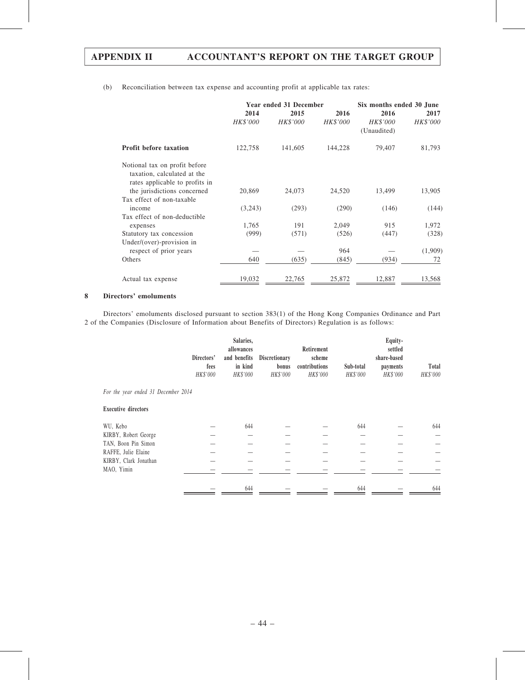(b) Reconciliation between tax expense and accounting profit at applicable tax rates:

|                                                                                                | Year ended 31 December |          |          | Six months ended 30 June |          |  |  |
|------------------------------------------------------------------------------------------------|------------------------|----------|----------|--------------------------|----------|--|--|
|                                                                                                | 2014                   | 2015     | 2016     | 2016                     | 2017     |  |  |
|                                                                                                | HK\$'000               | HK\$'000 | HK\$'000 | HK\$'000<br>(Unaudited)  | HK\$'000 |  |  |
| <b>Profit before taxation</b>                                                                  | 122,758                | 141,605  | 144,228  | 79,407                   | 81,793   |  |  |
| Notional tax on profit before<br>taxation, calculated at the<br>rates applicable to profits in |                        |          |          |                          |          |  |  |
| the jurisdictions concerned                                                                    | 20,869                 | 24,073   | 24,520   | 13,499                   | 13,905   |  |  |
| Tax effect of non-taxable                                                                      |                        |          |          |                          |          |  |  |
| income                                                                                         | (3,243)                | (293)    | (290)    | (146)                    | (144)    |  |  |
| Tax effect of non-deductible                                                                   |                        |          |          |                          |          |  |  |
| expenses                                                                                       | 1,765                  | 191      | 2,049    | 915                      | 1,972    |  |  |
| Statutory tax concession                                                                       | (999)                  | (571)    | (526)    | (447)                    | (328)    |  |  |
| Under/(over)-provision in                                                                      |                        |          |          |                          |          |  |  |
| respect of prior years                                                                         |                        |          | 964      |                          | (1,909)  |  |  |
| Others                                                                                         | 640                    | (635)    | (845)    | (934)                    | 72       |  |  |
| Actual tax expense                                                                             | 19,032                 | 22,765   | 25,872   | 12,887                   | 13,568   |  |  |

### 8 Directors' emoluments

Directors' emoluments disclosed pursuant to section 383(1) of the Hong Kong Companies Ordinance and Part 2 of the Companies (Disclosure of Information about Benefits of Directors) Regulation is as follows:

|                                     | Directors'<br>fees<br>HK\$'000 | Salaries,<br>allowances<br>and benefits<br>in kind<br>HK\$'000 | <b>Discretionary</b><br>bonus<br>HK\$'000 | Retirement<br>scheme<br>contributions<br>HK\$'000 | Sub-total<br>HK\$'000 | Equity-<br>settled<br>share-based<br>payments<br>HK\$'000 | Total<br>HK\$'000 |
|-------------------------------------|--------------------------------|----------------------------------------------------------------|-------------------------------------------|---------------------------------------------------|-----------------------|-----------------------------------------------------------|-------------------|
| For the year ended 31 December 2014 |                                |                                                                |                                           |                                                   |                       |                                                           |                   |
| <b>Executive directors</b>          |                                |                                                                |                                           |                                                   |                       |                                                           |                   |
| WU, Kebo                            |                                | 644                                                            |                                           |                                                   | 644                   |                                                           | 644               |
| KIRBY, Robert George                |                                |                                                                |                                           |                                                   |                       |                                                           |                   |
| TAN, Boon Pin Simon                 |                                |                                                                |                                           |                                                   |                       |                                                           |                   |
| RAFFE, Julie Elaine                 |                                |                                                                |                                           |                                                   |                       |                                                           |                   |
| KIRBY, Clark Jonathan               |                                |                                                                |                                           |                                                   |                       |                                                           |                   |
| MAO, Yimin                          |                                |                                                                |                                           |                                                   |                       |                                                           |                   |
|                                     |                                | 644                                                            |                                           |                                                   | 644                   |                                                           | 644               |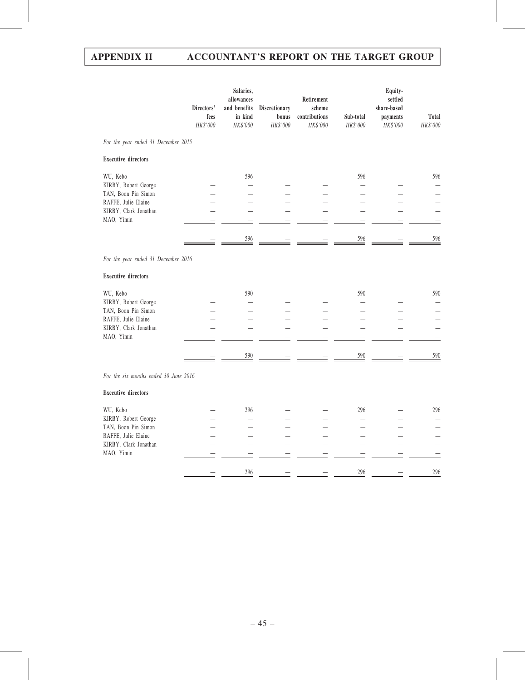|                                                                                                                       | Directors'<br>fees<br>HK\$'000 | Salaries,<br>allowances<br>and benefits<br>in kind<br>HK\$'000 | Discretionary<br>bonus<br>HK\$'000 | Retirement<br>scheme<br>contributions<br>HK\$'000 | Sub-total<br>HK\$'000                               | Equity-<br>settled<br>share-based<br>payments<br>HK\$'000 | Total<br>HK\$'000 |
|-----------------------------------------------------------------------------------------------------------------------|--------------------------------|----------------------------------------------------------------|------------------------------------|---------------------------------------------------|-----------------------------------------------------|-----------------------------------------------------------|-------------------|
| For the year ended 31 December 2015                                                                                   |                                |                                                                |                                    |                                                   |                                                     |                                                           |                   |
| <b>Executive directors</b>                                                                                            |                                |                                                                |                                    |                                                   |                                                     |                                                           |                   |
| WU, Kebo<br>KIRBY, Robert George<br>TAN, Boon Pin Simon<br>RAFFE, Julie Elaine<br>KIRBY, Clark Jonathan<br>MAO, Yimin |                                | 596<br>596                                                     |                                    |                                                   | 596<br>$\equiv$<br>▃<br>$\equiv$<br>$\equiv$<br>596 | $\overline{\phantom{0}}$<br>$\overline{\phantom{0}}$      | 596<br>596        |
|                                                                                                                       |                                |                                                                |                                    |                                                   |                                                     |                                                           |                   |
| For the year ended 31 December 2016                                                                                   |                                |                                                                |                                    |                                                   |                                                     |                                                           |                   |
| <b>Executive directors</b>                                                                                            |                                |                                                                |                                    |                                                   |                                                     |                                                           |                   |
| WU, Kebo<br>KIRBY, Robert George<br>TAN, Boon Pin Simon<br>RAFFE, Julie Elaine<br>KIRBY, Clark Jonathan<br>MAO, Yimin |                                | 590                                                            |                                    |                                                   | 590<br>$\overline{\phantom{0}}$                     |                                                           | 590               |
|                                                                                                                       |                                | 590                                                            |                                    |                                                   | $\frac{590}{2}$                                     |                                                           | 590               |
| For the six months ended 30 June 2016                                                                                 |                                |                                                                |                                    |                                                   |                                                     |                                                           |                   |
| <b>Executive directors</b>                                                                                            |                                |                                                                |                                    |                                                   |                                                     |                                                           |                   |
| WU, Kebo<br>KIRBY, Robert George<br>TAN, Boon Pin Simon<br>RAFFE, Julie Elaine<br>KIRBY, Clark Jonathan<br>MAO, Yimin |                                | 296                                                            |                                    |                                                   | 296                                                 |                                                           | 296               |
|                                                                                                                       |                                | 296                                                            |                                    |                                                   | 296                                                 |                                                           | 296               |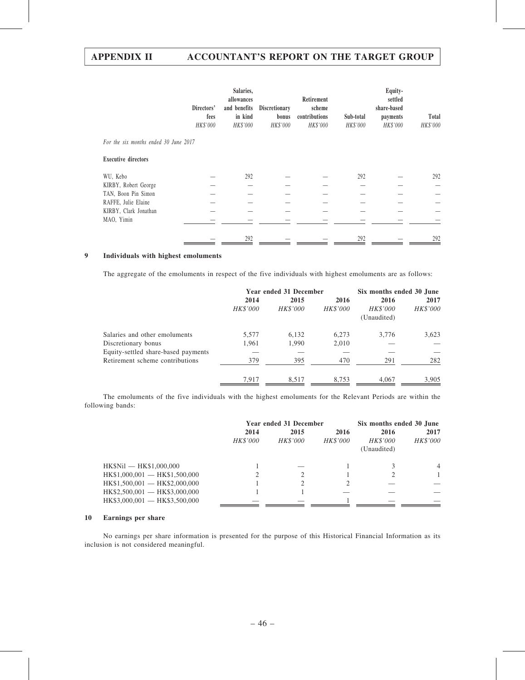|                                       | Directors'<br>fees<br>HK\$'000 | Salaries,<br>allowances<br>and benefits<br>in kind<br>HK\$'000 | <b>Discretionary</b><br>bonus<br>HK\$'000 | Retirement<br>scheme<br>contributions<br>HK\$'000 | Sub-total<br>HK\$'000 | Equity-<br>settled<br>share-based<br>payments<br>HK\$'000 | Total<br>HK\$'000 |
|---------------------------------------|--------------------------------|----------------------------------------------------------------|-------------------------------------------|---------------------------------------------------|-----------------------|-----------------------------------------------------------|-------------------|
| For the six months ended 30 June 2017 |                                |                                                                |                                           |                                                   |                       |                                                           |                   |
| <b>Executive directors</b>            |                                |                                                                |                                           |                                                   |                       |                                                           |                   |
| WU, Kebo                              |                                | 292                                                            |                                           |                                                   | 292                   |                                                           | 292               |
| KIRBY, Robert George                  |                                |                                                                |                                           |                                                   |                       |                                                           |                   |
| TAN, Boon Pin Simon                   |                                |                                                                |                                           |                                                   |                       |                                                           |                   |
| RAFFE, Julie Elaine                   |                                |                                                                |                                           |                                                   |                       |                                                           |                   |
| KIRBY, Clark Jonathan                 |                                |                                                                |                                           |                                                   |                       |                                                           |                   |
| MAO, Yimin                            |                                |                                                                |                                           |                                                   |                       |                                                           |                   |
|                                       |                                | 292                                                            |                                           |                                                   | 292                   |                                                           | 292               |

## 9 Individuals with highest emoluments

The aggregate of the emoluments in respect of the five individuals with highest emoluments are as follows:

|                                     |          | Year ended 31 December |          |                         | Six months ended 30 June |
|-------------------------------------|----------|------------------------|----------|-------------------------|--------------------------|
|                                     | 2014     | 2015                   | 2016     | 2016                    | 2017                     |
|                                     | HK\$'000 | HK\$'000               | HK\$'000 | HK\$'000<br>(Unaudited) | HK\$'000                 |
| Salaries and other emoluments       | 5,577    | 6,132                  | 6.273    | 3.776                   | 3,623                    |
| Discretionary bonus                 | 1,961    | 1,990                  | 2,010    |                         |                          |
| Equity-settled share-based payments |          |                        |          |                         |                          |
| Retirement scheme contributions     | 379      | 395                    | 470      | 291                     | 282                      |
|                                     | 7,917    | 8,517                  | 8,753    | 4,067                   | 3,905                    |

The emoluments of the five individuals with the highest emoluments for the Relevant Periods are within the following bands:

|                                |          | Year ended 31 December | Six months ended 30 June |             |                 |  |
|--------------------------------|----------|------------------------|--------------------------|-------------|-----------------|--|
|                                | 2014     | 2015                   | 2016                     | 2016        | 2017            |  |
|                                | HK\$'000 | HK\$'000               | HK\$'000                 | HK\$'000    | <i>HK\$'000</i> |  |
|                                |          |                        |                          | (Unaudited) |                 |  |
| HK\$Nil - HK\$1,000,000        |          |                        |                          |             | $\overline{4}$  |  |
| HK\$1,000,001 - HK\$1,500,000  |          |                        |                          |             |                 |  |
| $HK$1,500,001$ - HK\$2,000,000 |          |                        |                          |             |                 |  |
| $HK$2,500,001$ - HK\$3,000,000 |          |                        |                          |             |                 |  |
| $HK$3,000,001$ - HK\$3,500,000 |          |                        |                          |             |                 |  |

### 10 Earnings per share

No earnings per share information is presented for the purpose of this Historical Financial Information as its inclusion is not considered meaningful.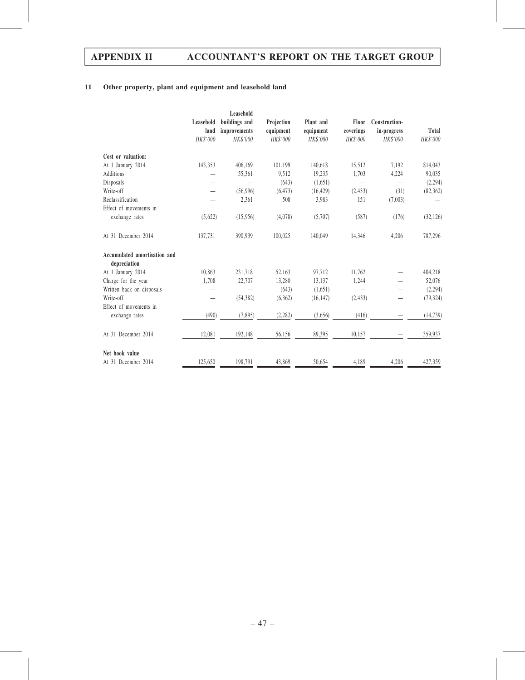## 11 Other property, plant and equipment and leasehold land

|                                              |           | Leasehold       |                 |                 |                 |               |           |
|----------------------------------------------|-----------|-----------------|-----------------|-----------------|-----------------|---------------|-----------|
|                                              | Leasehold | buildings and   | Projection      | Plant and       | Floor           | Construction- |           |
|                                              | land      | improvements    | equipment       | equipment       | coverings       | in-progress   | Total     |
|                                              | HK\$'000  | <b>HK\$'000</b> | <b>HK\$'000</b> | <b>HK\$'000</b> | <b>HK\$'000</b> | HK\$'000      | HK\$'000  |
| Cost or valuation:                           |           |                 |                 |                 |                 |               |           |
| At 1 January 2014                            | 143,353   | 406,169         | 101,199         | 140,618         | 15,512          | 7,192         | 814,043   |
| Additions                                    |           | 55,361          | 9,512           | 19,235          | 1,703           | 4,224         | 90,035    |
| Disposals                                    |           |                 | (643)           | (1,651)         |                 |               | (2, 294)  |
| Write-off                                    |           | (56,996)        | (6, 473)        | (16, 429)       | (2, 433)        | (31)          | (82, 362) |
| Reclassification                             |           | 2,361           | 508             | 3,983           | 151             | (7,003)       |           |
| Effect of movements in                       |           |                 |                 |                 |                 |               |           |
| exchange rates                               | (5,622)   | (15,956)        | (4,078)         | (5,707)         | (587)           | (176)         | (32, 126) |
| At 31 December 2014                          | 137,731   | 390,939         | 100,025         | 140,049         | 14,346          | 4,206         | 787,296   |
| Accumulated amortisation and<br>depreciation |           |                 |                 |                 |                 |               |           |
| At 1 January 2014                            | 10,863    | 231,718         | 52,163          | 97,712          | 11,762          |               | 404,218   |
| Charge for the year                          | 1,708     | 22,707          | 13,280          | 13,137          | 1,244           |               | 52,076    |
| Written back on disposals                    |           |                 | (643)           | (1,651)         |                 |               | (2,294)   |
| Write-off                                    |           | (54, 382)       | (6,362)         | (16, 147)       | (2, 433)        |               | (79, 324) |
| Effect of movements in                       |           |                 |                 |                 |                 |               |           |
| exchange rates                               | (490)     | (7, 895)        | (2, 282)        | (3,656)         | (416)           |               | (14, 739) |
| At 31 December 2014                          | 12,081    | 192,148         | 56,156          | 89,395          | 10,157          |               | 359,937   |
| Net book value                               |           |                 |                 |                 |                 |               |           |
| At 31 December 2014                          | 125,650   | 198,791         | 43,869          | 50,654          | 4,189           | 4,206         | 427,359   |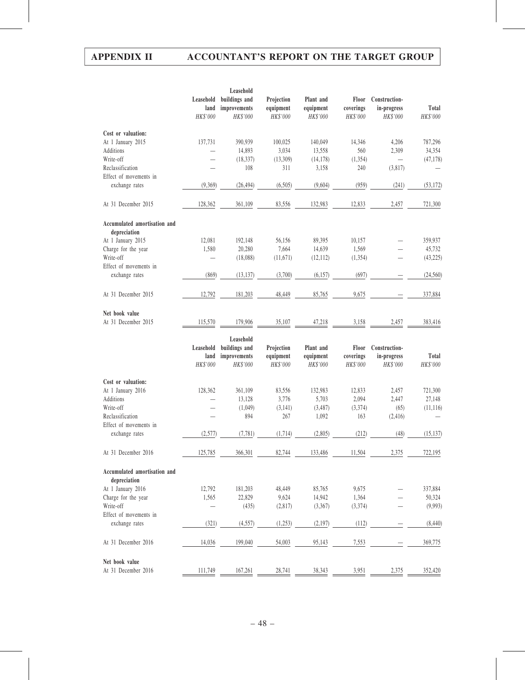|                                              |                               | Leasehold                                 |                                     |                                    |                                |                                          |                   |
|----------------------------------------------|-------------------------------|-------------------------------------------|-------------------------------------|------------------------------------|--------------------------------|------------------------------------------|-------------------|
|                                              | Leasehold<br>land<br>HK\$'000 | buildings and<br>improvements<br>HK\$'000 | Projection<br>equipment<br>HK\$'000 | Plant and<br>equipment<br>HK\$'000 | Floor<br>coverings<br>HK\$'000 | Construction-<br>in-progress<br>HK\$'000 | Total<br>HK\$'000 |
| Cost or valuation:                           |                               |                                           |                                     |                                    |                                |                                          |                   |
| At 1 January 2015                            | 137,731                       | 390,939                                   | 100,025                             | 140,049                            | 14,346                         | 4,206                                    | 787,296           |
| Additions                                    |                               | 14,893                                    | 3,034                               | 13,558                             | 560                            | 2,309                                    | 34,354            |
| Write-off                                    |                               | (18, 337)                                 | (13,309)                            | (14, 178)                          | (1, 354)                       | $\overline{\phantom{0}}$                 | (47, 178)         |
| Reclassification                             |                               | 108                                       | 311                                 | 3,158                              | 240                            | (3,817)                                  |                   |
| Effect of movements in                       |                               |                                           |                                     |                                    |                                |                                          |                   |
| exchange rates                               | (9,369)                       | (26, 494)                                 | (6,505)                             | (9,604)                            | (959)                          | (241)                                    | (53, 172)         |
| At 31 December 2015                          | 128,362                       | 361,109                                   | 83,556                              | 132,983                            | 12,833                         | 2,457                                    | 721,300           |
| Accumulated amortisation and<br>depreciation |                               |                                           |                                     |                                    |                                |                                          |                   |
| At 1 January 2015                            | 12,081                        | 192,148                                   | 56,156                              | 89,395                             | 10,157                         |                                          | 359,937           |
| Charge for the year                          | 1,580                         | 20,280                                    | 7,664                               | 14,639                             | 1,569                          |                                          | 45,732            |
| Write-off                                    |                               | (18,088)                                  | (11, 671)                           | (12,112)                           | (1, 354)                       |                                          | (43,225)          |
| Effect of movements in                       |                               |                                           |                                     |                                    |                                |                                          |                   |
| exchange rates                               | (869)                         | (13, 137)                                 | (3,700)                             | (6, 157)                           | (697)                          |                                          | (24, 560)         |
| At 31 December 2015                          | 12,792                        | 181,203                                   | 48,449                              | 85,765                             | 9,675                          |                                          | 337,884           |
| Net book value                               |                               |                                           |                                     |                                    |                                |                                          |                   |
| At 31 December 2015                          | 115,570                       | 179,906                                   | 35,107                              | 47,218                             | 3,158                          | 2,457                                    | 383,416           |
|                                              |                               |                                           |                                     |                                    |                                |                                          |                   |
|                                              | Leasehold                     | Leasehold<br>buildings and                | Projection                          | Plant and                          | Floor                          | Construction-                            |                   |
|                                              | land<br>HK\$'000              | improvements<br>HK\$'000                  | equipment<br>HK\$'000               | equipment<br>HK\$'000              | coverings<br>HK\$'000          | in-progress<br>HK\$'000                  | Total<br>HK\$'000 |
| Cost or valuation:                           |                               |                                           |                                     |                                    |                                |                                          |                   |
| At 1 January 2016                            | 128,362                       | 361,109                                   | 83,556                              | 132,983                            | 12,833                         | 2,457                                    | 721,300           |
| Additions                                    |                               | 13,128                                    | 3,776                               | 5,703                              | 2,094                          | 2,447                                    | 27,148            |
| Write-off                                    |                               | (1,049)                                   | (3,141)                             | (3,487)                            | (3,374)                        | (65)                                     | (11, 116)         |
| Reclassification                             |                               | 894                                       | 267                                 | 1,092                              | 163                            | (2, 416)                                 |                   |
| Effect of movements in                       |                               |                                           |                                     |                                    |                                |                                          |                   |
| exchange rates                               | (2.577)                       | (7.781)                                   | (1.714)                             | (2.805)                            | (212)                          | (48)                                     | (15.137)          |
| At 31 December 2016                          | 125,785                       | 366,301                                   | 82,744                              | 133,486                            | 11,504                         | 2,375                                    | 722,195           |
| Accumulated amortisation and<br>depreciation |                               |                                           |                                     |                                    |                                |                                          |                   |
| At 1 January 2016                            | 12,792                        | 181,203                                   | 48,449                              | 85,765                             | 9,675                          |                                          | 337,884           |
| Charge for the year                          | 1,565                         | 22,829                                    | 9,624                               | 14,942                             | 1,364                          |                                          | 50,324            |
| Write-off                                    |                               | (435)                                     | (2,817)                             | (3,367)                            | (3,374)                        |                                          | (9,993)           |
| Effect of movements in                       |                               |                                           |                                     |                                    |                                |                                          |                   |
| exchange rates                               | (321)                         | (4, 557)                                  | (1,253)                             | (2, 197)                           | (112)                          |                                          | (8,440)           |
| At 31 December 2016                          | 14,036                        | 199,040                                   | 54,003                              | 95,143                             | 7,553                          |                                          | 369,775           |
| Net book value<br>At 31 December 2016        | 111,749                       | 167,261                                   | 28,741                              | 38,343                             | 3,951                          | 2,375                                    | 352,420           |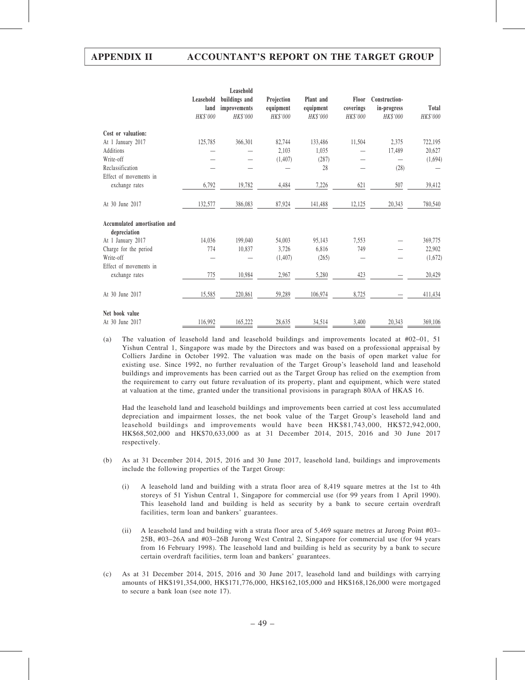|                                              |                               | Leasehold                                 |                                     |                                    |                                |                                          |                   |
|----------------------------------------------|-------------------------------|-------------------------------------------|-------------------------------------|------------------------------------|--------------------------------|------------------------------------------|-------------------|
|                                              | Leasehold<br>land<br>HK\$'000 | buildings and<br>improvements<br>HK\$'000 | Projection<br>equipment<br>HK\$'000 | Plant and<br>equipment<br>HK\$'000 | Floor<br>coverings<br>HK\$'000 | Construction-<br>in-progress<br>HK\$'000 | Total<br>HK\$'000 |
| Cost or valuation:                           |                               |                                           |                                     |                                    |                                |                                          |                   |
| At 1 January 2017                            | 125,785                       | 366,301                                   | 82,744                              | 133,486                            | 11,504                         | 2,375                                    | 722,195           |
| Additions                                    |                               |                                           | 2,103                               | 1,035                              |                                | 17,489                                   | 20,627            |
| Write-off                                    |                               |                                           | (1, 407)                            | (287)                              |                                |                                          | (1,694)           |
| Reclassification                             |                               |                                           |                                     | 28                                 |                                | (28)                                     |                   |
| Effect of movements in                       |                               |                                           |                                     |                                    |                                |                                          |                   |
| exchange rates                               | 6,792                         | 19,782                                    | 4,484                               | 7,226                              | 621                            | 507                                      | 39,412            |
| At 30 June 2017                              | 132,577                       | 386,083                                   | 87,924                              | 141,488                            | 12,125                         | 20,343                                   | 780,540           |
| Accumulated amortisation and<br>depreciation |                               |                                           |                                     |                                    |                                |                                          |                   |
| At 1 January 2017                            | 14,036                        | 199,040                                   | 54,003                              | 95,143                             | 7,553                          |                                          | 369,775           |
| Charge for the period                        | 774                           | 10,837                                    | 3.726                               | 6,816                              | 749                            |                                          | 22,902            |
| Write-off                                    |                               |                                           | (1, 407)                            | (265)                              |                                |                                          | (1,672)           |
| Effect of movements in                       |                               |                                           |                                     |                                    |                                |                                          |                   |
| exchange rates                               | 775                           | 10,984                                    | 2,967                               | 5,280                              | 423                            |                                          | 20,429            |
| At 30 June 2017                              | 15,585                        | 220,861                                   | 59,289                              | 106,974                            | 8.725                          |                                          | 411,434           |
| Net book value                               |                               |                                           |                                     |                                    |                                |                                          |                   |
| At 30 June 2017                              | 116,992                       | 165,222                                   | 28,635                              | 34,514                             | 3,400                          | 20,343                                   | 369,106           |

(a) The valuation of leasehold land and leasehold buildings and improvements located at #02–01, 51 Yishun Central 1, Singapore was made by the Directors and was based on a professional appraisal by Colliers Jardine in October 1992. The valuation was made on the basis of open market value for existing use. Since 1992, no further revaluation of the Target Group's leasehold land and leasehold buildings and improvements has been carried out as the Target Group has relied on the exemption from the requirement to carry out future revaluation of its property, plant and equipment, which were stated at valuation at the time, granted under the transitional provisions in paragraph 80AA of HKAS 16.

Had the leasehold land and leasehold buildings and improvements been carried at cost less accumulated depreciation and impairment losses, the net book value of the Target Group's leasehold land and leasehold buildings and improvements would have been HK\$81,743,000, HK\$72,942,000, HK\$68,502,000 and HK\$70,633,000 as at 31 December 2014, 2015, 2016 and 30 June 2017 respectively.

- (b) As at 31 December 2014, 2015, 2016 and 30 June 2017, leasehold land, buildings and improvements include the following properties of the Target Group:
	- (i) A leasehold land and building with a strata floor area of 8,419 square metres at the 1st to 4th storeys of 51 Yishun Central 1, Singapore for commercial use (for 99 years from 1 April 1990). This leasehold land and building is held as security by a bank to secure certain overdraft facilities, term loan and bankers' guarantees.
	- (ii) A leasehold land and building with a strata floor area of 5,469 square metres at Jurong Point #03– 25B, #03–26A and #03–26B Jurong West Central 2, Singapore for commercial use (for 94 years from 16 February 1998). The leasehold land and building is held as security by a bank to secure certain overdraft facilities, term loan and bankers' guarantees.
- (c) As at 31 December 2014, 2015, 2016 and 30 June 2017, leasehold land and buildings with carrying amounts of HK\$191,354,000, HK\$171,776,000, HK\$162,105,000 and HK\$168,126,000 were mortgaged to secure a bank loan (see note 17).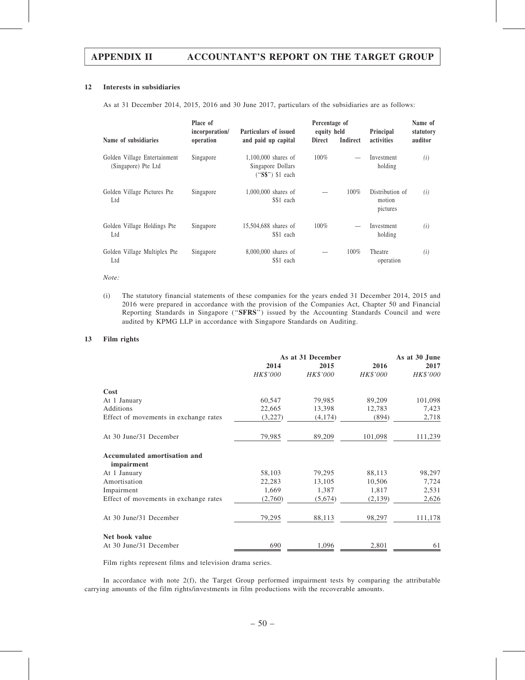#### 12 Interests in subsidiaries

As at 31 December 2014, 2015, 2016 and 30 June 2017, particulars of the subsidiaries are as follows:

| Name of subsidiaries                                | Place of<br>incorporation/<br>operation | Particulars of issued<br>and paid up capital                    | Percentage of<br>equity held<br><b>Direct</b> | <b>Indirect</b> | Principal<br>activities               | Name of<br>statutory<br>auditor |
|-----------------------------------------------------|-----------------------------------------|-----------------------------------------------------------------|-----------------------------------------------|-----------------|---------------------------------------|---------------------------------|
| Golden Village Entertainment<br>(Singapore) Pte Ltd | Singapore                               | $1,100,000$ shares of<br>Singapore Dollars<br>$("S$")$ \$1 each | $100\%$                                       |                 | Investment<br>holding                 | (i)                             |
| Golden Village Pictures Pte<br>Ltd                  | Singapore                               | 1,000,000 shares of<br>S\$1 each                                |                                               | 100%            | Distribution of<br>motion<br>pictures | (i)                             |
| Golden Village Holdings Pte<br>Ltd                  | Singapore                               | 15,504,688 shares of<br>S\$1 each                               | 100%                                          |                 | Investment<br>holding                 | (i)                             |
| Golden Village Multiplex Pte<br>Ltd                 | Singapore                               | 8,000,000 shares of<br>S\$1 each                                |                                               | 100%            | Theatre<br>operation                  | (i)                             |

#### Note:

(i) The statutory financial statements of these companies for the years ended 31 December 2014, 2015 and 2016 were prepared in accordance with the provision of the Companies Act, Chapter 50 and Financial Reporting Standards in Singapore (''SFRS'') issued by the Accounting Standards Council and were audited by KPMG LLP in accordance with Singapore Standards on Auditing.

#### 13 Film rights

|                                            | As at 31 December | As at 30 June   |          |          |
|--------------------------------------------|-------------------|-----------------|----------|----------|
|                                            | 2014              | 2015            | 2016     | 2017     |
|                                            | HK\$'000          | <b>HK\$'000</b> | HK\$'000 | HK\$'000 |
| Cost                                       |                   |                 |          |          |
| At 1 January                               | 60,547            | 79,985          | 89,209   | 101,098  |
| Additions                                  | 22,665            | 13,398          | 12,783   | 7,423    |
| Effect of movements in exchange rates      | (3,227)           | (4,174)         | (894)    | 2,718    |
| At 30 June/31 December                     | 79,985            | 89,209          | 101,098  | 111,239  |
| Accumulated amortisation and<br>impairment |                   |                 |          |          |
| At 1 January                               | 58,103            | 79,295          | 88,113   | 98,297   |
| Amortisation                               | 22,283            | 13,105          | 10,506   | 7,724    |
| Impairment                                 | 1,669             | 1,387           | 1,817    | 2,531    |
| Effect of movements in exchange rates      | (2,760)           | (5,674)         | (2, 139) | 2,626    |
| At 30 June/31 December                     | 79,295            | 88,113          | 98,297   | 111,178  |
| Net book value                             |                   |                 |          |          |
| At 30 June/31 December                     | 690               | 1,096           | 2,801    | 61       |

Film rights represent films and television drama series.

In accordance with note 2(f), the Target Group performed impairment tests by comparing the attributable carrying amounts of the film rights/investments in film productions with the recoverable amounts.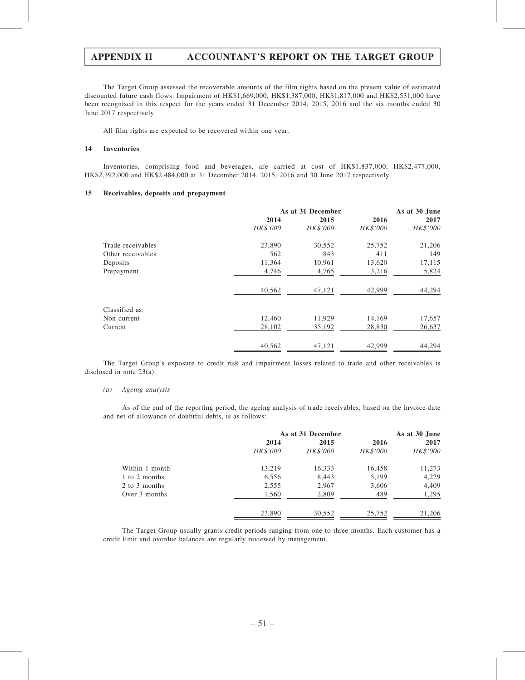The Target Group assessed the recoverable amounts of the film rights based on the present value of estimated discounted future cash flows. Impairment of HK\$1,669,000, HK\$1,387,000, HK\$1,817,000 and HK\$2,531,000 have been recognised in this respect for the years ended 31 December 2014, 2015, 2016 and the six months ended 30 June 2017 respectively.

All film rights are expected to be recovered within one year.

#### 14 Inventories

Inventories, comprising food and beverages, are carried at cost of HK\$1,837,000, HK\$2,477,000, HK\$2,392,000 and HK\$2,484,000 at 31 December 2014, 2015, 2016 and 30 June 2017 respectively.

#### 15 Receivables, deposits and prepayment

|                   | As at 31 December | As at 30 June   |          |          |
|-------------------|-------------------|-----------------|----------|----------|
|                   | 2014              | 2015            | 2016     | 2017     |
|                   | HK\$'000          | <b>HK\$'000</b> | HK\$'000 | HK\$'000 |
| Trade receivables | 23,890            | 30,552          | 25,752   | 21,206   |
| Other receivables | 562               | 843             | 411      | 149      |
| Deposits          | 11,364            | 10,961          | 13,620   | 17,115   |
| Prepayment        | 4,746             | 4,765           | 3,216    | 5,824    |
|                   | 40,562            | 47,121          | 42,999   | 44,294   |
| Classified as:    |                   |                 |          |          |
| Non-current       | 12,460            | 11,929          | 14,169   | 17,657   |
| Current           | 28,102            | 35,192          | 28,830   | 26,637   |
|                   | 40,562            | 47,121          | 42,999   | 44,294   |

The Target Group's exposure to credit risk and impairment losses related to trade and other receivables is disclosed in note 23(a).

#### (a) Ageing analysis

As of the end of the reporting period, the ageing analysis of trade receivables, based on the invoice date and net of allowance of doubtful debts, is as follows:

|                | As at 31 December | As at 30 June |          |          |
|----------------|-------------------|---------------|----------|----------|
|                | 2014              | 2015          | 2016     | 2017     |
|                | <i>HK\$'000</i>   | HK\$'000      | HK\$'000 | HK\$'000 |
| Within 1 month | 13,219            | 16,333        | 16,458   | 11,273   |
| 1 to 2 months  | 6,556             | 8,443         | 5,199    | 4,229    |
| 2 to 3 months  | 2,555             | 2,967         | 3,606    | 4,409    |
| Over 3 months  | 1,560             | 2,809         | 489      | 1,295    |
|                | 23,890            | 30,552        | 25,752   | 21,206   |

The Target Group usually grants credit periods ranging from one to three months. Each customer has a credit limit and overdue balances are regularly reviewed by management.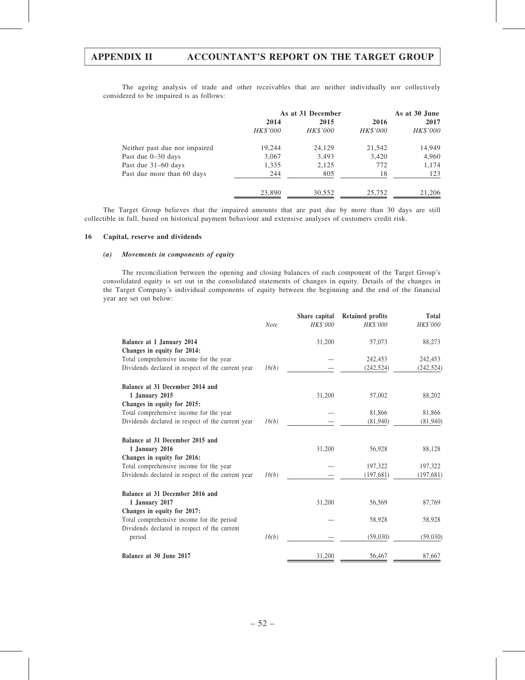The ageing analysis of trade and other receivables that are neither individually nor collectively considered to be impaired is as follows:

|                               | As at 31 December | As at 30 June   |          |          |
|-------------------------------|-------------------|-----------------|----------|----------|
|                               | 2014              | 2015            | 2016     | 2017     |
|                               | HK\$'000          | <i>HK\$'000</i> | HK\$'000 | HK\$'000 |
| Neither past due nor impaired | 19,244            | 24,129          | 21,542   | 14,949   |
| Past due 0–30 days            | 3,067             | 3,493           | 3,420    | 4,960    |
| Past due 31–60 days           | 1,335             | 2,125           | 772      | 1,174    |
| Past due more than 60 days    | 244               | 805             | 18       | 123      |
|                               | 23,890            | 30,552          | 25,752   | 21,206   |

The Target Group believes that the impaired amounts that are past due by more than 30 days are still collectible in full, based on historical payment behaviour and extensive analyses of customers credit risk.

#### 16 Capital, reserve and dividends

#### (a) Movements in components of equity

The reconciliation between the opening and closing balances of each component of the Target Group's consolidated equity is set out in the consolidated statements of changes in equity. Details of the changes in the Target Company's individual components of equity between the beginning and the end of the financial year are set out below:

|                                                   |             | Share capital | <b>Retained profits</b> | Total     |
|---------------------------------------------------|-------------|---------------|-------------------------|-----------|
|                                                   | <b>Note</b> | HK\$'000      | <b>HK\$'000</b>         | HK\$'000  |
| Balance at 1 January 2014                         |             | 31,200        | 57,073                  | 88,273    |
| Changes in equity for 2014:                       |             |               |                         |           |
| Total comprehensive income for the year           |             |               | 242,453                 | 242,453   |
| Dividends declared in respect of the current year | 16(b)       |               | (242, 524)              | (242,524) |
| Balance at 31 December 2014 and                   |             |               |                         |           |
| 1 January 2015                                    |             | 31,200        | 57,002                  | 88,202    |
| Changes in equity for 2015:                       |             |               |                         |           |
| Total comprehensive income for the year           |             |               | 81,866                  | 81,866    |
| Dividends declared in respect of the current year | 16(b)       |               | (81,940)                | (81,940)  |
| Balance at 31 December 2015 and                   |             |               |                         |           |
| 1 January 2016                                    |             | 31,200        | 56,928                  | 88,128    |
| Changes in equity for 2016:                       |             |               |                         |           |
| Total comprehensive income for the year           |             |               | 197,322                 | 197,322   |
| Dividends declared in respect of the current year | 16(b)       |               | (197,681)               | (197,681) |
| Balance at 31 December 2016 and                   |             |               |                         |           |
| 1 January 2017                                    |             | 31,200        | 56,569                  | 87,769    |
| Changes in equity for 2017:                       |             |               |                         |           |
| Total comprehensive income for the period         |             |               | 58,928                  | 58,928    |
| Dividends declared in respect of the current      |             |               |                         |           |
| period                                            | 16(b)       |               | (59,030)                | (59,030)  |
| Balance at 30 June 2017                           |             | 31,200        | 56,467                  | 87,667    |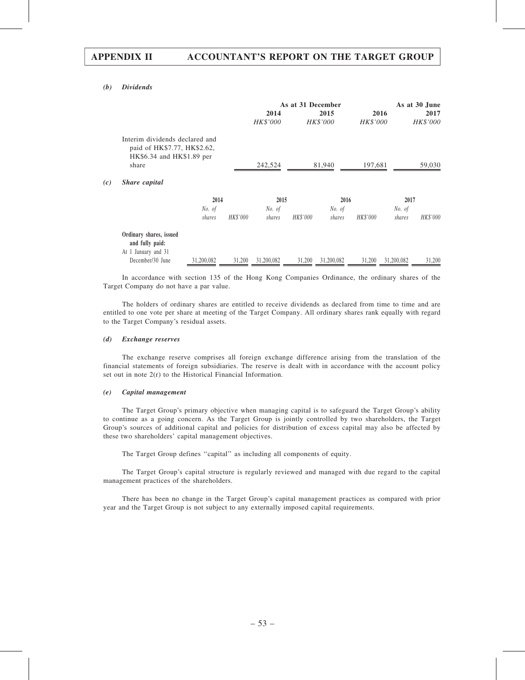#### (b) Dividends

|     |                                                                                                     |                  |          |                  | As at 31 December |                         |                  |                  | As at 30 June    |
|-----|-----------------------------------------------------------------------------------------------------|------------------|----------|------------------|-------------------|-------------------------|------------------|------------------|------------------|
|     |                                                                                                     |                  |          | 2014<br>HK\$'000 |                   | 2015<br><b>HK\$'000</b> | 2016<br>HK\$'000 |                  | 2017<br>HK\$'000 |
|     | Interim dividends declared and<br>paid of HK\$7.77, HK\$2.62,<br>HK\$6.34 and HK\$1.89 per<br>share |                  |          | 242,524          |                   | 81,940                  | 197,681          |                  | 59,030           |
| (c) | Share capital                                                                                       |                  |          |                  |                   |                         |                  |                  |                  |
|     |                                                                                                     | 2014             |          | 2015             |                   | 2016                    |                  | 2017             |                  |
|     |                                                                                                     | No. of<br>shares | HK\$'000 | No. of<br>shares | HK\$'000          | No. of<br>shares        | HK\$'000         | No. of<br>shares | HK\$'000         |
|     | Ordinary shares, issued<br>and fully paid:                                                          |                  |          |                  |                   |                         |                  |                  |                  |
|     | At 1 January and 31<br>December/30 June                                                             | 31,200,082       | 31,200   | 31,200,082       | 31,200            | 31,200,082              | 31,200           | 31,200,082       | 31,200           |

In accordance with section 135 of the Hong Kong Companies Ordinance, the ordinary shares of the Target Company do not have a par value.

The holders of ordinary shares are entitled to receive dividends as declared from time to time and are entitled to one vote per share at meeting of the Target Company. All ordinary shares rank equally with regard to the Target Company's residual assets.

#### (d) Exchange reserves

The exchange reserve comprises all foreign exchange difference arising from the translation of the financial statements of foreign subsidiaries. The reserve is dealt with in accordance with the account policy set out in note 2(r) to the Historical Financial Information.

#### (e) Capital management

The Target Group's primary objective when managing capital is to safeguard the Target Group's ability to continue as a going concern. As the Target Group is jointly controlled by two shareholders, the Target Group's sources of additional capital and policies for distribution of excess capital may also be affected by these two shareholders' capital management objectives.

The Target Group defines "capital" as including all components of equity.

The Target Group's capital structure is regularly reviewed and managed with due regard to the capital management practices of the shareholders.

There has been no change in the Target Group's capital management practices as compared with prior year and the Target Group is not subject to any externally imposed capital requirements.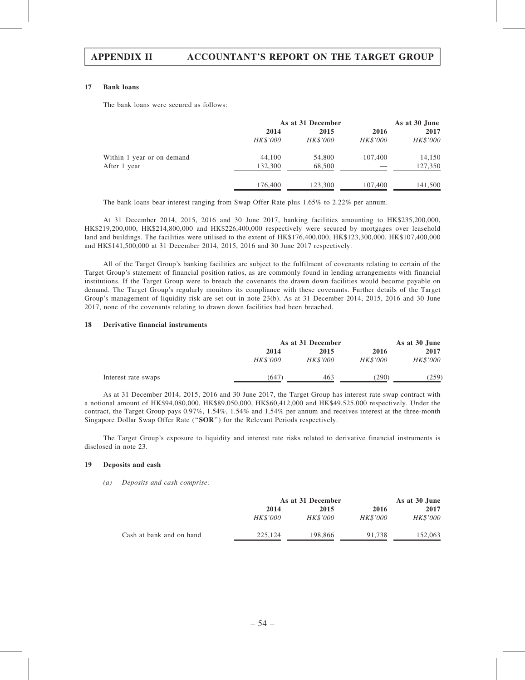#### 17 Bank loans

The bank loans were secured as follows:

|                            | As at 31 December | As at 30 June |          |                 |
|----------------------------|-------------------|---------------|----------|-----------------|
|                            | 2014              | 2015          | 2016     | 2017            |
|                            | HK\$'000          | HK\$'000      | HK\$'000 | <i>HK\$'000</i> |
| Within 1 year or on demand | 44,100            | 54,800        | 107,400  | 14,150          |
| After 1 year               | 132,300           | 68,500        |          | 127,350         |
|                            | 176,400           | 123,300       | 107,400  | 141,500         |

The bank loans bear interest ranging from Swap Offer Rate plus 1.65% to 2.22% per annum.

At 31 December 2014, 2015, 2016 and 30 June 2017, banking facilities amounting to HK\$235,200,000, HK\$219,200,000, HK\$214,800,000 and HK\$226,400,000 respectively were secured by mortgages over leasehold land and buildings. The facilities were utilised to the extent of HK\$176,400,000, HK\$123,300,000, HK\$107,400,000 and HK\$141,500,000 at 31 December 2014, 2015, 2016 and 30 June 2017 respectively.

All of the Target Group's banking facilities are subject to the fulfilment of covenants relating to certain of the Target Group's statement of financial position ratios, as are commonly found in lending arrangements with financial institutions. If the Target Group were to breach the covenants the drawn down facilities would become payable on demand. The Target Group's regularly monitors its compliance with these covenants. Further details of the Target Group's management of liquidity risk are set out in note 23(b). As at 31 December 2014, 2015, 2016 and 30 June 2017, none of the covenants relating to drawn down facilities had been breached.

#### 18 Derivative financial instruments

|                     |                 | As at 31 December |                 |                 |
|---------------------|-----------------|-------------------|-----------------|-----------------|
|                     | 2014            | 2015              | 2016            | 2017            |
|                     | <i>HK\$'000</i> | <i>HK\$'000</i>   | <i>HK\$'000</i> | <b>HK\$'000</b> |
| Interest rate swaps | 647)            | 463               | (290)           | (259)           |

As at 31 December 2014, 2015, 2016 and 30 June 2017, the Target Group has interest rate swap contract with a notional amount of HK\$94,080,000, HK\$89,050,000, HK\$60,412,000 and HK\$49,525,000 respectively. Under the contract, the Target Group pays 0.97%, 1.54%, 1.54% and 1.54% per annum and receives interest at the three-month Singapore Dollar Swap Offer Rate (''SOR'') for the Relevant Periods respectively.

The Target Group's exposure to liquidity and interest rate risks related to derivative financial instruments is disclosed in note 23.

#### 19 Deposits and cash

(a) Deposits and cash comprise:

|                          |                 | As at 31 December |                 |          |  |
|--------------------------|-----------------|-------------------|-----------------|----------|--|
|                          | 2014            | 2015              | 2016            | 2017     |  |
|                          | <i>HK\$'000</i> | <i>HK\$'000</i>   | <i>HK\$'000</i> | HK\$'000 |  |
| Cash at bank and on hand | 225,124         | 198,866           | 91,738          | 152,063  |  |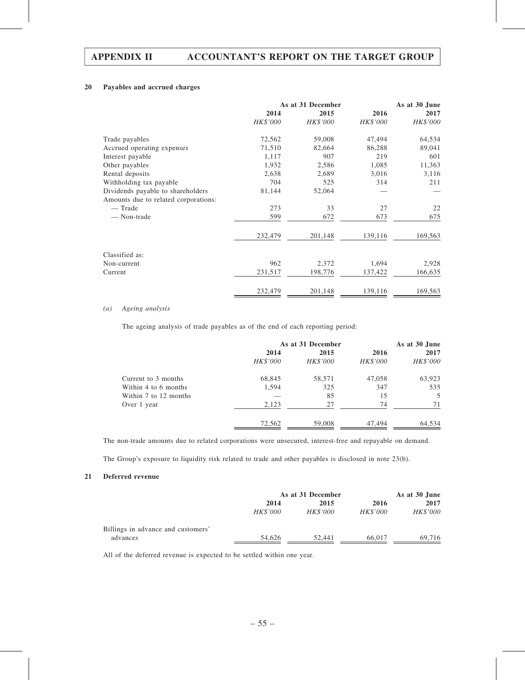## 20 Payables and accrued charges

|                                      | As at 31 December |          |          | As at 30 June |  |
|--------------------------------------|-------------------|----------|----------|---------------|--|
|                                      | 2014              | 2015     | 2016     | 2017          |  |
|                                      | HK\$'000          | HK\$'000 | HK\$'000 | HK\$'000      |  |
| Trade payables                       | 72,562            | 59,008   | 47,494   | 64,534        |  |
| Accrued operating expenses           | 71,510            | 82,664   | 86,288   | 89,041        |  |
| Interest payable                     | 1,117             | 907      | 219      | 601           |  |
| Other payables                       | 1,932             | 2,586    | 1,085    | 11,363        |  |
| Rental deposits                      | 2,638             | 2,689    | 3,016    | 3,116         |  |
| Withholding tax payable              | 704               | 525      | 314      | 211           |  |
| Dividends payable to shareholders    | 81,144            | 52,064   |          |               |  |
| Amounts due to related corporations: |                   |          |          |               |  |
| — Trade                              | 273               | 33       | 27       | 22            |  |
| — Non-trade                          | 599               | 672      | 673      | 675           |  |
|                                      | 232,479           | 201,148  | 139,116  | 169,563       |  |
| Classified as:                       |                   |          |          |               |  |
| Non-current                          | 962               | 2,372    | 1,694    | 2,928         |  |
| Current                              | 231,517           | 198,776  | 137,422  | 166,635       |  |
|                                      | 232,479           | 201,148  | 139,116  | 169,563       |  |

### (a) Ageing analysis

The ageing analysis of trade payables as of the end of each reporting period:

|                       |          | As at 31 December |                 |          |  |
|-----------------------|----------|-------------------|-----------------|----------|--|
|                       | 2014     | 2015              | 2016            | 2017     |  |
|                       | HK\$'000 | HK\$'000          | <b>HK\$'000</b> | HK\$'000 |  |
| Current to 3 months   | 68,845   | 58,571            | 47,058          | 63,923   |  |
| Within 4 to 6 months  | 1,594    | 325               | 347             | 535      |  |
| Within 7 to 12 months |          | 85                | 15              | 5        |  |
| Over 1 year           | 2,123    | 27                | 74              | 71       |  |
|                       | 72,562   | 59,008            | 47,494          | 64,534   |  |

The non-trade amounts due to related corporations were unsecured, interest-free and repayable on demand.

The Group's exposure to liquidity risk related to trade and other payables is disclosed in note 23(b).

## 21 Deferred revenue

|                                    | As at 31 December |          |                 | As at 30 June   |
|------------------------------------|-------------------|----------|-----------------|-----------------|
|                                    | 2014              | 2015     | 2016            | 2017            |
|                                    | <i>HK\$'000</i>   | HK\$'000 | <i>HK\$'000</i> | <i>HK\$'000</i> |
| Billings in advance and customers' |                   |          |                 |                 |
| advances                           | 54.626            | 52.441   | 66,017          | 69.716          |

All of the deferred revenue is expected to be settled within one year.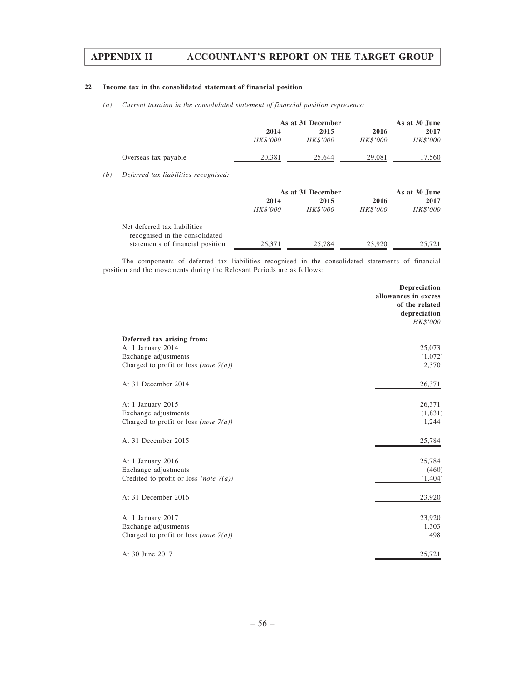## 22 Income tax in the consolidated statement of financial position

(a) Current taxation in the consolidated statement of financial position represents:

|     |                                                                | As at 31 December |                   |                 | As at 30 June |  |
|-----|----------------------------------------------------------------|-------------------|-------------------|-----------------|---------------|--|
|     |                                                                | 2014              | 2015              | 2016            | 2017          |  |
|     |                                                                | <b>HK\$'000</b>   | <b>HK\$'000</b>   | <b>HK\$'000</b> | HK\$'000      |  |
|     | Overseas tax payable                                           | 20,381            | 25,644            | 29,081          | 17,560        |  |
| (b) | Deferred tax liabilities recognised:                           |                   |                   |                 |               |  |
|     |                                                                |                   | As at 31 December |                 | As at 30 June |  |
|     |                                                                | 2014              | 2015              | 2016            | 2017          |  |
|     |                                                                | <b>HK\$'000</b>   | <b>HK\$'000</b>   | <i>HK\$'000</i> | HK\$'000      |  |
|     | Net deferred tax liabilities<br>recognised in the consolidated |                   |                   |                 |               |  |
|     | statements of financial position                               | 26,371            | 25,784            | 23,920          | 25,721        |  |

The components of deferred tax liabilities recognised in the consolidated statements of financial position and the movements during the Relevant Periods are as follows:

|                                                                                                                     | Depreciation<br>allowances in excess<br>of the related<br>depreciation<br>HK\$'000 |
|---------------------------------------------------------------------------------------------------------------------|------------------------------------------------------------------------------------|
| Deferred tax arising from:<br>At 1 January 2014<br>Exchange adjustments<br>Charged to profit or loss (note $7(a)$ ) | 25,073<br>(1,072)<br>2,370                                                         |
| At 31 December 2014                                                                                                 | 26,371                                                                             |
| At 1 January 2015<br>Exchange adjustments<br>Charged to profit or loss (note $7(a)$ )                               | 26,371<br>(1, 831)<br>1,244                                                        |
| At 31 December 2015                                                                                                 | 25,784                                                                             |
| At 1 January 2016<br>Exchange adjustments<br>Credited to profit or loss (note $7(a)$ )                              | 25,784<br>(460)<br>(1, 404)                                                        |
| At 31 December 2016                                                                                                 | 23,920                                                                             |
| At 1 January 2017<br>Exchange adjustments<br>Charged to profit or loss (note $7(a)$ )                               | 23,920<br>1,303<br>498                                                             |
| At 30 June 2017                                                                                                     | 25,721                                                                             |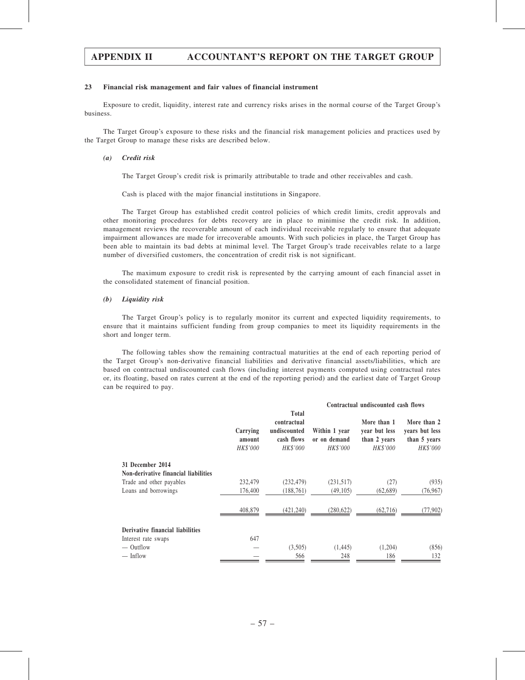#### 23 Financial risk management and fair values of financial instrument

Exposure to credit, liquidity, interest rate and currency risks arises in the normal course of the Target Group's business.

The Target Group's exposure to these risks and the financial risk management policies and practices used by the Target Group to manage these risks are described below.

#### (a) Credit risk

The Target Group's credit risk is primarily attributable to trade and other receivables and cash.

Cash is placed with the major financial institutions in Singapore.

The Target Group has established credit control policies of which credit limits, credit approvals and other monitoring procedures for debts recovery are in place to minimise the credit risk. In addition, management reviews the recoverable amount of each individual receivable regularly to ensure that adequate impairment allowances are made for irrecoverable amounts. With such policies in place, the Target Group has been able to maintain its bad debts at minimal level. The Target Group's trade receivables relate to a large number of diversified customers, the concentration of credit risk is not significant.

The maximum exposure to credit risk is represented by the carrying amount of each financial asset in the consolidated statement of financial position.

#### (b) Liquidity risk

The Target Group's policy is to regularly monitor its current and expected liquidity requirements, to ensure that it maintains sufficient funding from group companies to meet its liquidity requirements in the short and longer term.

The following tables show the remaining contractual maturities at the end of each reporting period of the Target Group's non-derivative financial liabilities and derivative financial assets/liabilities, which are based on contractual undiscounted cash flows (including interest payments computed using contractual rates or, its floating, based on rates current at the end of the reporting period) and the earliest date of Target Group can be required to pay.

|                                      | Contractual undiscounted cash flows |                                                                       |                                           |                                                          |                                                           |  |
|--------------------------------------|-------------------------------------|-----------------------------------------------------------------------|-------------------------------------------|----------------------------------------------------------|-----------------------------------------------------------|--|
|                                      | Carrying<br>amount<br>HK\$'000      | <b>Total</b><br>contractual<br>undiscounted<br>cash flows<br>HK\$'000 | Within 1 year<br>or on demand<br>HK\$'000 | More than 1<br>year but less<br>than 2 years<br>HK\$'000 | More than 2<br>years but less<br>than 5 years<br>HK\$'000 |  |
| 31 December 2014                     |                                     |                                                                       |                                           |                                                          |                                                           |  |
| Non-derivative financial liabilities |                                     |                                                                       |                                           |                                                          |                                                           |  |
| Trade and other payables             | 232,479                             | (232, 479)                                                            | (231,517)                                 | (27)                                                     | (935)                                                     |  |
| Loans and borrowings                 | 176,400                             | (188, 761)                                                            | (49, 105)                                 | (62,689)                                                 | (76, 967)                                                 |  |
|                                      | 408,879                             | (421, 240)                                                            | (280, 622)                                | (62, 716)                                                | (77, 902)                                                 |  |
| Derivative financial liabilities     |                                     |                                                                       |                                           |                                                          |                                                           |  |
| Interest rate swaps                  | 647                                 |                                                                       |                                           |                                                          |                                                           |  |
| — Outflow                            |                                     | (3,505)                                                               | (1, 445)                                  | (1,204)                                                  | (856)                                                     |  |
| $-$ Inflow                           |                                     | 566                                                                   | 248                                       | 186                                                      | 132                                                       |  |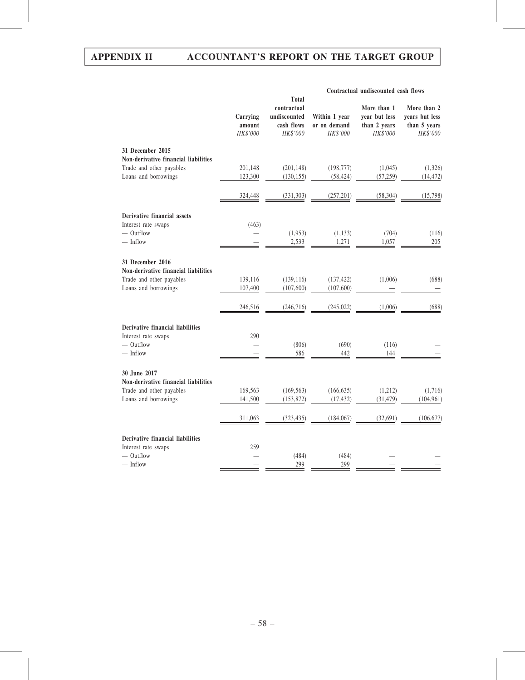|                                                                  | Contractual undiscounted cash flows |                                                                       |                                           |                                                          |                                                           |
|------------------------------------------------------------------|-------------------------------------|-----------------------------------------------------------------------|-------------------------------------------|----------------------------------------------------------|-----------------------------------------------------------|
|                                                                  | Carrying<br>amount<br>HK\$'000      | <b>Total</b><br>contractual<br>undiscounted<br>cash flows<br>HK\$'000 | Within 1 year<br>or on demand<br>HK\$'000 | More than 1<br>year but less<br>than 2 years<br>HK\$'000 | More than 2<br>years but less<br>than 5 years<br>HK\$'000 |
| 31 December 2015                                                 |                                     |                                                                       |                                           |                                                          |                                                           |
| Non-derivative financial liabilities                             |                                     |                                                                       |                                           |                                                          |                                                           |
| Trade and other payables<br>Loans and borrowings                 | 201,148<br>123,300                  | (201, 148)<br>(130, 155)                                              | (198, 777)<br>(58, 424)                   | (1,045)<br>(57, 259)                                     | (1,326)<br>(14, 472)                                      |
|                                                                  |                                     |                                                                       |                                           |                                                          |                                                           |
|                                                                  | 324,448                             | (331, 303)                                                            | (257, 201)                                | (58, 304)                                                | (15,798)                                                  |
| Derivative financial assets                                      |                                     |                                                                       |                                           |                                                          |                                                           |
| Interest rate swaps                                              | (463)                               |                                                                       |                                           |                                                          |                                                           |
| $-$ Outflow                                                      |                                     | (1,953)                                                               | (1, 133)                                  | (704)                                                    | (116)                                                     |
| $-$ Inflow                                                       |                                     | 2,533                                                                 | 1,271                                     | 1,057                                                    | 205                                                       |
|                                                                  |                                     |                                                                       |                                           |                                                          |                                                           |
| 31 December 2016<br>Non-derivative financial liabilities         |                                     |                                                                       |                                           |                                                          |                                                           |
| Trade and other payables                                         | 139,116                             | (139, 116)                                                            | (137, 422)                                | (1,006)                                                  | (688)                                                     |
| Loans and borrowings                                             | 107,400                             | (107, 600)                                                            | (107, 600)                                |                                                          |                                                           |
|                                                                  |                                     |                                                                       |                                           |                                                          |                                                           |
|                                                                  | 246,516                             | (246, 716)                                                            | (245, 022)                                | (1,006)                                                  | (688)                                                     |
| Derivative financial liabilities                                 |                                     |                                                                       |                                           |                                                          |                                                           |
| Interest rate swaps                                              | 290                                 |                                                                       |                                           |                                                          |                                                           |
| $-$ Outflow                                                      |                                     | (806)                                                                 | (690)                                     | (116)                                                    |                                                           |
| $-$ Inflow                                                       |                                     | 586                                                                   | 442                                       | 144                                                      |                                                           |
|                                                                  |                                     |                                                                       |                                           |                                                          |                                                           |
| 30 June 2017                                                     |                                     |                                                                       |                                           |                                                          |                                                           |
| Non-derivative financial liabilities<br>Trade and other payables | 169,563                             | (169, 563)                                                            | (166, 635)                                | (1,212)                                                  | (1,716)                                                   |
| Loans and borrowings                                             | 141,500                             | (153, 872)                                                            | (17, 432)                                 | (31, 479)                                                | (104, 961)                                                |
|                                                                  |                                     |                                                                       |                                           |                                                          |                                                           |
|                                                                  | 311,063                             | (323, 435)                                                            | (184, 067)                                | (32,691)                                                 | (106, 677)                                                |
| Derivative financial liabilities                                 |                                     |                                                                       |                                           |                                                          |                                                           |
| Interest rate swaps                                              | 259                                 |                                                                       |                                           |                                                          |                                                           |
| $-$ Outflow                                                      |                                     | (484)                                                                 | (484)                                     |                                                          |                                                           |
| $-$ Inflow                                                       |                                     | 299                                                                   | 299                                       |                                                          |                                                           |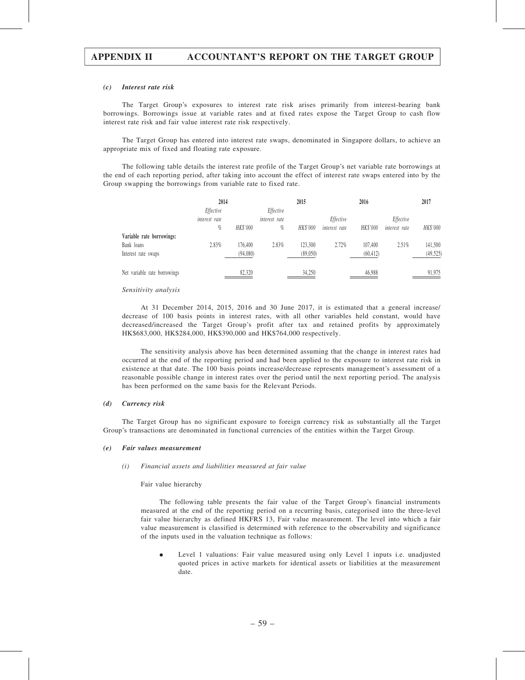#### (c) Interest rate risk

The Target Group's exposures to interest rate risk arises primarily from interest-bearing bank borrowings. Borrowings issue at variable rates and at fixed rates expose the Target Group to cash flow interest rate risk and fair value interest rate risk respectively.

The Target Group has entered into interest rate swaps, denominated in Singapore dollars, to achieve an appropriate mix of fixed and floating rate exposure.

The following table details the interest rate profile of the Target Group's net variable rate borrowings at the end of each reporting period, after taking into account the effect of interest rate swaps entered into by the Group swapping the borrowings from variable rate to fixed rate.

|                              | 2014          |          |               | 2015     |               | 2016      |               | 2017      |
|------------------------------|---------------|----------|---------------|----------|---------------|-----------|---------------|-----------|
|                              | Effective     |          | Effective     |          |               |           |               |           |
|                              | interest rate |          | interest rate |          | Effective     |           | Effective     |           |
|                              | $\%$          | HK\$'000 | %             | HK\$'000 | interest rate | HK\$'000  | interest rate | HK\$'000  |
| Variable rate borrowings:    |               |          |               |          |               |           |               |           |
| Bank loans                   | 2.83%         | 176,400  | 2.83%         | 123,300  | 2.72%         | 107.400   | 2.51%         | 141,500   |
| Interest rate swaps          |               | (94,080) |               | (89,050) |               | (60, 412) |               | (49, 525) |
| Net variable rate borrowings |               | 82,320   |               | 34,250   |               | 46,988    |               | 91,975    |

#### Sensitivity analysis

At 31 December 2014, 2015, 2016 and 30 June 2017, it is estimated that a general increase/ decrease of 100 basis points in interest rates, with all other variables held constant, would have decreased/increased the Target Group's profit after tax and retained profits by approximately HK\$683,000, HK\$284,000, HK\$390,000 and HK\$764,000 respectively.

The sensitivity analysis above has been determined assuming that the change in interest rates had occurred at the end of the reporting period and had been applied to the exposure to interest rate risk in existence at that date. The 100 basis points increase/decrease represents management's assessment of a reasonable possible change in interest rates over the period until the next reporting period. The analysis has been performed on the same basis for the Relevant Periods.

#### (d) Currency risk

The Target Group has no significant exposure to foreign currency risk as substantially all the Target Group's transactions are denominated in functional currencies of the entities within the Target Group.

#### (e) Fair values measurement

#### (i) Financial assets and liabilities measured at fair value

Fair value hierarchy

The following table presents the fair value of the Target Group's financial instruments measured at the end of the reporting period on a recurring basis, categorised into the three-level fair value hierarchy as defined HKFRS 13, Fair value measurement. The level into which a fair value measurement is classified is determined with reference to the observability and significance of the inputs used in the valuation technique as follows:

. Level 1 valuations: Fair value measured using only Level 1 inputs i.e. unadjusted quoted prices in active markets for identical assets or liabilities at the measurement date.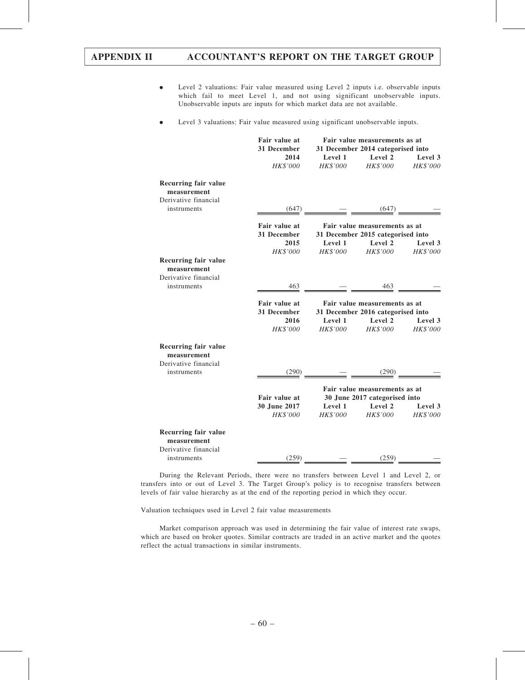- . Level 2 valuations: Fair value measured using Level 2 inputs i.e. observable inputs which fail to meet Level 1, and not using significant unobservable inputs. Unobservable inputs are inputs for which market data are not available.
- . Level 3 valuations: Fair value measured using significant unobservable inputs.

|                                                             | Fair value at<br>31 December<br>2014 | Fair value measurements as at<br>31 December 2014 categorised into<br>Level 1<br>Level 2<br>Level 3 |                                                                    |                            |  |
|-------------------------------------------------------------|--------------------------------------|-----------------------------------------------------------------------------------------------------|--------------------------------------------------------------------|----------------------------|--|
|                                                             | HK\$'000                             | <b>HK\$'000</b>                                                                                     | HK\$'000                                                           | <i>HK\$'000</i>            |  |
| Recurring fair value<br>measurement                         |                                      |                                                                                                     |                                                                    |                            |  |
| Derivative financial<br>instruments                         | (647)                                |                                                                                                     |                                                                    |                            |  |
|                                                             | Fair value at<br>31 December         | Fair value measurements as at<br>31 December 2015 categorised into                                  |                                                                    |                            |  |
|                                                             | 2015                                 | Level 1                                                                                             | Level 2                                                            | Level 3                    |  |
| Recurring fair value<br>measurement<br>Derivative financial | HK\$'000                             |                                                                                                     | HK\$'000 HK\$'000 HK\$'000                                         |                            |  |
| instruments                                                 | 463                                  |                                                                                                     | 463                                                                |                            |  |
|                                                             | Fair value at<br>31 December         |                                                                                                     | Fair value measurements as at<br>31 December 2016 categorised into |                            |  |
|                                                             | 2016<br>HK\$'000                     | Level 1<br>HK\$'000                                                                                 | Level 2<br>HK\$'000                                                | Level 3<br><b>HK\$'000</b> |  |
| Recurring fair value<br>measurement<br>Derivative financial |                                      |                                                                                                     |                                                                    |                            |  |
| instruments                                                 | (290)                                | $\sim$ 100 $\sim$ 100 $\pm$                                                                         | (290)                                                              |                            |  |
|                                                             | Fair value at                        |                                                                                                     | Fair value measurements as at<br>30 June 2017 categorised into     |                            |  |
|                                                             | 30 June 2017<br>HK\$'000             | Level 1<br>HK\$'000                                                                                 | Level 2<br><i>HK\$'000</i>                                         | Level 3<br><i>HK\$'000</i> |  |
| <b>Recurring fair value</b><br>measurement                  |                                      |                                                                                                     |                                                                    |                            |  |
| Derivative financial<br>instruments                         | (259)                                |                                                                                                     | (259)                                                              |                            |  |

During the Relevant Periods, there were no transfers between Level 1 and Level 2, or transfers into or out of Level 3. The Target Group's policy is to recognise transfers between levels of fair value hierarchy as at the end of the reporting period in which they occur.

Valuation techniques used in Level 2 fair value measurements

Market comparison approach was used in determining the fair value of interest rate swaps, which are based on broker quotes. Similar contracts are traded in an active market and the quotes reflect the actual transactions in similar instruments.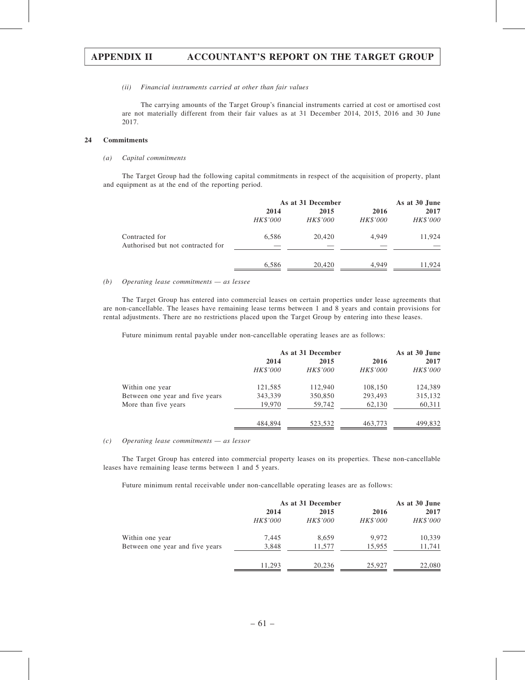#### (ii) Financial instruments carried at other than fair values

The carrying amounts of the Target Group's financial instruments carried at cost or amortised cost are not materially different from their fair values as at 31 December 2014, 2015, 2016 and 30 June 2017.

## 24 Commitments

#### (a) Capital commitments

The Target Group had the following capital commitments in respect of the acquisition of property, plant and equipment as at the end of the reporting period.

|                                                     | As at 31 December |                  |                         | As at 30 June    |  |
|-----------------------------------------------------|-------------------|------------------|-------------------------|------------------|--|
|                                                     | 2014<br>HK\$'000  | 2015<br>HK\$'000 | 2016<br><b>HK\$'000</b> | 2017<br>HK\$'000 |  |
| Contracted for<br>Authorised but not contracted for | 6,586             | 20,420           | 4.949                   | 11,924           |  |
|                                                     | 6,586             | 20,420           | 4.949                   | 11.924           |  |

#### (b) Operating lease commitments — as lessee

The Target Group has entered into commercial leases on certain properties under lease agreements that are non-cancellable. The leases have remaining lease terms between 1 and 8 years and contain provisions for rental adjustments. There are no restrictions placed upon the Target Group by entering into these leases.

Future minimum rental payable under non-cancellable operating leases are as follows:

|                                 | As at 31 December |                 |                 | As at 30 June |  |
|---------------------------------|-------------------|-----------------|-----------------|---------------|--|
|                                 | 2014              | 2015            | 2016            | 2017          |  |
|                                 | HK\$'000          | <b>HK\$'000</b> | <b>HK\$'000</b> | HK\$'000      |  |
| Within one year                 | 121,585           | 112,940         | 108,150         | 124,389       |  |
| Between one year and five years | 343,339           | 350,850         | 293,493         | 315,132       |  |
| More than five years            | 19,970            | 59,742          | 62,130          | 60,311        |  |
|                                 | 484,894           | 523,532         | 463,773         | 499,832       |  |

#### (c) Operating lease commitments — as lessor

The Target Group has entered into commercial property leases on its properties. These non-cancellable leases have remaining lease terms between 1 and 5 years.

Future minimum rental receivable under non-cancellable operating leases are as follows:

|                                 | As at 31 December |          |          | As at 30 June |  |
|---------------------------------|-------------------|----------|----------|---------------|--|
|                                 | 2014              | 2015     | 2016     | 2017          |  |
|                                 | HK\$'000          | HK\$'000 | HK\$'000 | HK\$'000      |  |
| Within one year                 | 7.445             | 8,659    | 9.972    | 10,339        |  |
| Between one year and five years | 3,848             | 11,577   | 15,955   | 11,741        |  |
|                                 | 11.293            | 20,236   | 25,927   | 22,080        |  |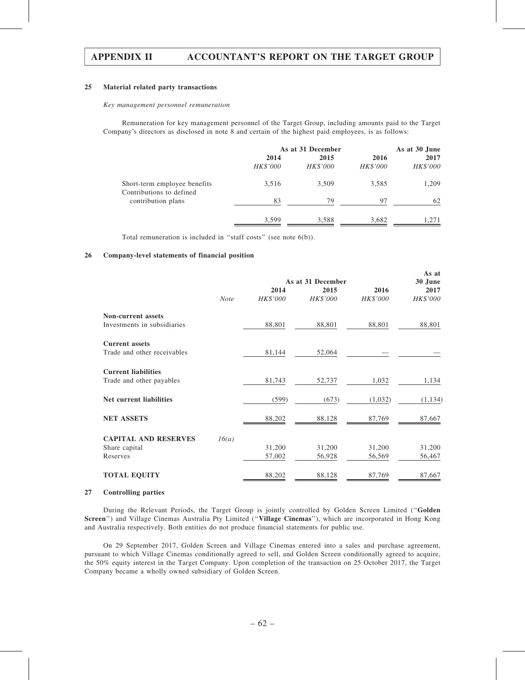#### 25 Material related party transactions

#### Key management personnel remuneration

Remuneration for key management personnel of the Target Group, including amounts paid to the Target Company's directors as disclosed in note 8 and certain of the highest paid employees, is as follows:

|                                                          | As at 31 December |                  |                         | As at 30 June    |  |
|----------------------------------------------------------|-------------------|------------------|-------------------------|------------------|--|
|                                                          | 2014<br>HK\$'000  | 2015<br>HK\$'000 | 2016<br><b>HK\$'000</b> | 2017<br>HK\$'000 |  |
| Short-term employee benefits<br>Contributions to defined | 3,516             | 3,509            | 3,585                   | 1,209            |  |
| contribution plans                                       | 83                | 79               | 97                      | 62               |  |
|                                                          | 3,599             | 3,588            | 3,682                   | 1,271            |  |

Total remuneration is included in ''staff costs'' (see note 6(b)).

#### 26 Company-level statements of financial position

|                             |             |          | As at<br>30 June          |                 |          |
|-----------------------------|-------------|----------|---------------------------|-----------------|----------|
|                             |             | 2014     | As at 31 December<br>2015 | 2016            | 2017     |
|                             | <b>Note</b> | HK\$'000 | HK\$'000                  | <b>HK\$'000</b> | HK\$'000 |
| <b>Non-current assets</b>   |             |          |                           |                 |          |
| Investments in subsidiaries |             | 88,801   | 88,801                    | 88,801          | 88,801   |
| <b>Current assets</b>       |             |          |                           |                 |          |
| Trade and other receivables |             | 81,144   | 52,064                    |                 |          |
| <b>Current liabilities</b>  |             |          |                           |                 |          |
| Trade and other payables    |             | 81,743   | 52,737                    | 1,032           | 1,134    |
| Net current liabilities     |             | (599)    | (673)                     | (1,032)         | (1, 134) |
| <b>NET ASSETS</b>           |             | 88,202   | 88,128                    | 87,769          | 87,667   |
| <b>CAPITAL AND RESERVES</b> | 16(a)       |          |                           |                 |          |
| Share capital               |             | 31,200   | 31,200                    | 31,200          | 31,200   |
| Reserves                    |             | 57,002   | 56,928                    | 56,569          | 56,467   |
| <b>TOTAL EQUITY</b>         |             | 88,202   | 88,128                    | 87,769          | 87,667   |

#### 27 Controlling parties

During the Relevant Periods, the Target Group is jointly controlled by Golden Screen Limited (''Golden Screen'') and Village Cinemas Australia Pty Limited (''Village Cinemas''), which are incorporated in Hong Kong and Australia respectively. Both entities do not produce financial statements for public use.

On 29 September 2017, Golden Screen and Village Cinemas entered into a sales and purchase agreement, pursuant to which Village Cinemas conditionally agreed to sell, and Golden Screen conditionally agreed to acquire, the 50% equity interest in the Target Company. Upon completion of the transaction on 25 October 2017, the Target Company became a wholly owned subsidiary of Golden Screen.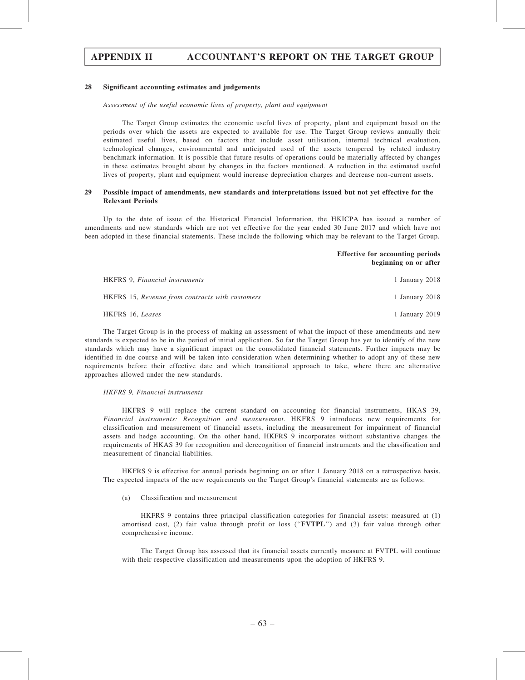## 28 Significant accounting estimates and judgements

#### Assessment of the useful economic lives of property, plant and equipment

The Target Group estimates the economic useful lives of property, plant and equipment based on the periods over which the assets are expected to available for use. The Target Group reviews annually their estimated useful lives, based on factors that include asset utilisation, internal technical evaluation, technological changes, environmental and anticipated used of the assets tempered by related industry benchmark information. It is possible that future results of operations could be materially affected by changes in these estimates brought about by changes in the factors mentioned. A reduction in the estimated useful lives of property, plant and equipment would increase depreciation charges and decrease non-current assets.

#### 29 Possible impact of amendments, new standards and interpretations issued but not yet effective for the Relevant Periods

Up to the date of issue of the Historical Financial Information, the HKICPA has issued a number of amendments and new standards which are not yet effective for the year ended 30 June 2017 and which have not been adopted in these financial statements. These include the following which may be relevant to the Target Group.

#### Effective for accounting periods beginning on or after

| <b>HKFRS 9, Financial instruments</b>           | 1 January 2018 |
|-------------------------------------------------|----------------|
| HKFRS 15, Revenue from contracts with customers | 1 January 2018 |
| HKFRS 16. <i>Leases</i>                         | 1 January 2019 |

The Target Group is in the process of making an assessment of what the impact of these amendments and new standards is expected to be in the period of initial application. So far the Target Group has yet to identify of the new standards which may have a significant impact on the consolidated financial statements. Further impacts may be identified in due course and will be taken into consideration when determining whether to adopt any of these new requirements before their effective date and which transitional approach to take, where there are alternative approaches allowed under the new standards.

#### HKFRS 9, Financial instruments

HKFRS 9 will replace the current standard on accounting for financial instruments, HKAS 39, Financial instruments: Recognition and measurement. HKFRS 9 introduces new requirements for classification and measurement of financial assets, including the measurement for impairment of financial assets and hedge accounting. On the other hand, HKFRS 9 incorporates without substantive changes the requirements of HKAS 39 for recognition and derecognition of financial instruments and the classification and measurement of financial liabilities.

HKFRS 9 is effective for annual periods beginning on or after 1 January 2018 on a retrospective basis. The expected impacts of the new requirements on the Target Group's financial statements are as follows:

(a) Classification and measurement

HKFRS 9 contains three principal classification categories for financial assets: measured at (1) amortised cost, (2) fair value through profit or loss ("**FVTPL**") and (3) fair value through other comprehensive income.

The Target Group has assessed that its financial assets currently measure at FVTPL will continue with their respective classification and measurements upon the adoption of HKFRS 9.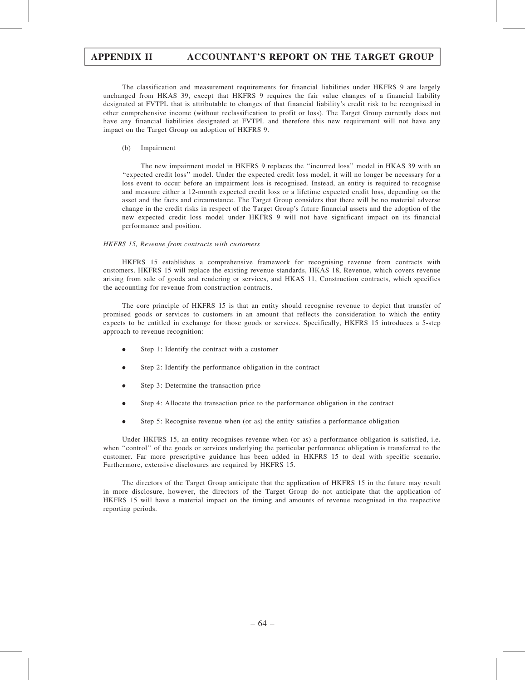The classification and measurement requirements for financial liabilities under HKFRS 9 are largely unchanged from HKAS 39, except that HKFRS 9 requires the fair value changes of a financial liability designated at FVTPL that is attributable to changes of that financial liability's credit risk to be recognised in other comprehensive income (without reclassification to profit or loss). The Target Group currently does not have any financial liabilities designated at FVTPL and therefore this new requirement will not have any impact on the Target Group on adoption of HKFRS 9.

#### (b) Impairment

The new impairment model in HKFRS 9 replaces the ''incurred loss'' model in HKAS 39 with an ''expected credit loss'' model. Under the expected credit loss model, it will no longer be necessary for a loss event to occur before an impairment loss is recognised. Instead, an entity is required to recognise and measure either a 12-month expected credit loss or a lifetime expected credit loss, depending on the asset and the facts and circumstance. The Target Group considers that there will be no material adverse change in the credit risks in respect of the Target Group's future financial assets and the adoption of the new expected credit loss model under HKFRS 9 will not have significant impact on its financial performance and position.

#### HKFRS 15, Revenue from contracts with customers

HKFRS 15 establishes a comprehensive framework for recognising revenue from contracts with customers. HKFRS 15 will replace the existing revenue standards, HKAS 18, Revenue, which covers revenue arising from sale of goods and rendering or services, and HKAS 11, Construction contracts, which specifies the accounting for revenue from construction contracts.

The core principle of HKFRS 15 is that an entity should recognise revenue to depict that transfer of promised goods or services to customers in an amount that reflects the consideration to which the entity expects to be entitled in exchange for those goods or services. Specifically, HKFRS 15 introduces a 5-step approach to revenue recognition:

- . Step 1: Identify the contract with a customer
- . Step 2: Identify the performance obligation in the contract
- Step 3: Determine the transaction price
- . Step 4: Allocate the transaction price to the performance obligation in the contract
- . Step 5: Recognise revenue when (or as) the entity satisfies a performance obligation

Under HKFRS 15, an entity recognises revenue when (or as) a performance obligation is satisfied, i.e. when "control" of the goods or services underlying the particular performance obligation is transferred to the customer. Far more prescriptive guidance has been added in HKFRS 15 to deal with specific scenario. Furthermore, extensive disclosures are required by HKFRS 15.

The directors of the Target Group anticipate that the application of HKFRS 15 in the future may result in more disclosure, however, the directors of the Target Group do not anticipate that the application of HKFRS 15 will have a material impact on the timing and amounts of revenue recognised in the respective reporting periods.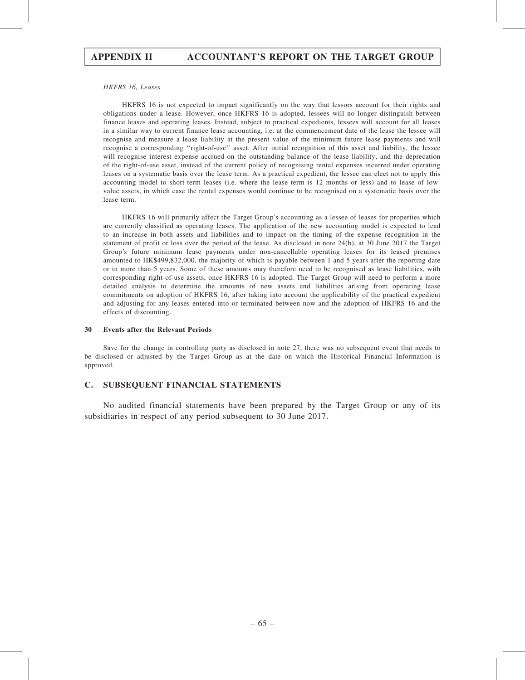#### HKFRS 16, Leases

HKFRS 16 is not expected to impact significantly on the way that lessors account for their rights and obligations under a lease. However, once HKFRS 16 is adopted, lessees will no longer distinguish between finance leases and operating leases. Instead, subject to practical expedients, lessees will account for all leases in a similar way to current finance lease accounting, i.e. at the commencement date of the lease the lessee will recognise and measure a lease liability at the present value of the minimum future lease payments and will recognise a corresponding ''right-of-use'' asset. After initial recognition of this asset and liability, the lessee will recognise interest expense accrued on the outstanding balance of the lease liability, and the deprecation of the right-of-use asset, instead of the current policy of recognising rental expenses incurred under operating leases on a systematic basis over the lease term. As a practical expedient, the lessee can elect not to apply this accounting model to short-term leases (i.e. where the lease term is 12 months or less) and to lease of lowvalue assets, in which case the rental expenses would continue to be recognised on a systematic basis over the lease term.

HKFRS 16 will primarily affect the Target Group's accounting as a lessee of leases for properties which are currently classified as operating leases. The application of the new accounting model is expected to lead to an increase in both assets and liabilities and to impact on the timing of the expense recognition in the statement of profit or loss over the period of the lease. As disclosed in note 24(b), at 30 June 2017 the Target Group's future minimum lease payments under non-cancellable operating leases for its leased premises amounted to HK\$499,832,000, the majority of which is payable between 1 and 5 years after the reporting date or in more than 5 years. Some of these amounts may therefore need to be recognised as lease liabilities, with corresponding right-of-use assets, once HKFRS 16 is adopted. The Target Group will need to perform a more detailed analysis to determine the amounts of new assets and liabilities arising from operating lease commitments on adoption of HKFRS 16, after taking into account the applicability of the practical expedient and adjusting for any leases entered into or terminated between now and the adoption of HKFRS 16 and the effects of discounting.

#### 30 Events after the Relevant Periods

Save for the change in controlling party as disclosed in note 27, there was no subsequent event that needs to be disclosed or adjusted by the Target Group as at the date on which the Historical Financial Information is approved.

## C. SUBSEQUENT FINANCIAL STATEMENTS

No audited financial statements have been prepared by the Target Group or any of its subsidiaries in respect of any period subsequent to 30 June 2017.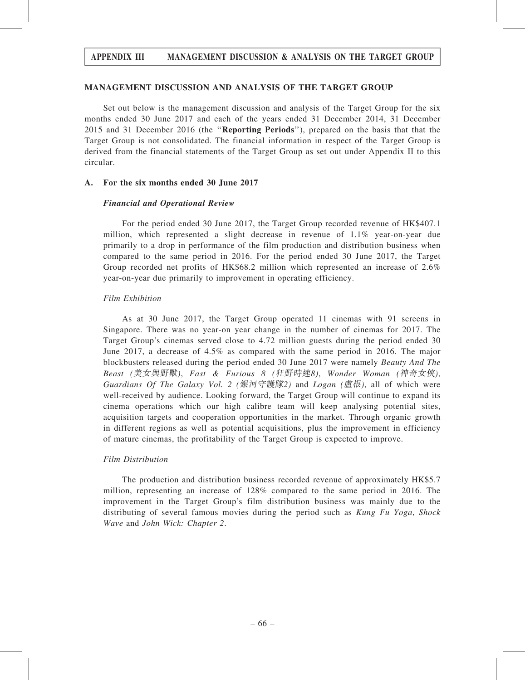## MANAGEMENT DISCUSSION AND ANALYSIS OF THE TARGET GROUP

Set out below is the management discussion and analysis of the Target Group for the six months ended 30 June 2017 and each of the years ended 31 December 2014, 31 December 2015 and 31 December 2016 (the ''Reporting Periods''), prepared on the basis that that the Target Group is not consolidated. The financial information in respect of the Target Group is derived from the financial statements of the Target Group as set out under Appendix II to this circular.

## A. For the six months ended 30 June 2017

## Financial and Operational Review

For the period ended 30 June 2017, the Target Group recorded revenue of HK\$407.1 million, which represented a slight decrease in revenue of 1.1% year-on-year due primarily to a drop in performance of the film production and distribution business when compared to the same period in 2016. For the period ended 30 June 2017, the Target Group recorded net profits of HK\$68.2 million which represented an increase of 2.6% year-on-year due primarily to improvement in operating efficiency.

## Film Exhibition

As at 30 June 2017, the Target Group operated 11 cinemas with 91 screens in Singapore. There was no year-on year change in the number of cinemas for 2017. The Target Group's cinemas served close to 4.72 million guests during the period ended 30 June 2017, a decrease of 4.5% as compared with the same period in 2016. The major blockbusters released during the period ended 30 June 2017 were namely Beauty And The Beast (美女與野獸), Fast & Furious 8 (狂野時速8), Wonder Woman (神奇女俠), Guardians Of The Galaxy Vol. 2 (銀河守護隊2) and Logan (盧根), all of which were well-received by audience. Looking forward, the Target Group will continue to expand its cinema operations which our high calibre team will keep analysing potential sites, acquisition targets and cooperation opportunities in the market. Through organic growth in different regions as well as potential acquisitions, plus the improvement in efficiency of mature cinemas, the profitability of the Target Group is expected to improve.

## Film Distribution

The production and distribution business recorded revenue of approximately HK\$5.7 million, representing an increase of 128% compared to the same period in 2016. The improvement in the Target Group's film distribution business was mainly due to the distributing of several famous movies during the period such as *Kung Fu Yoga*, *Shock* Wave and John Wick: Chapter 2.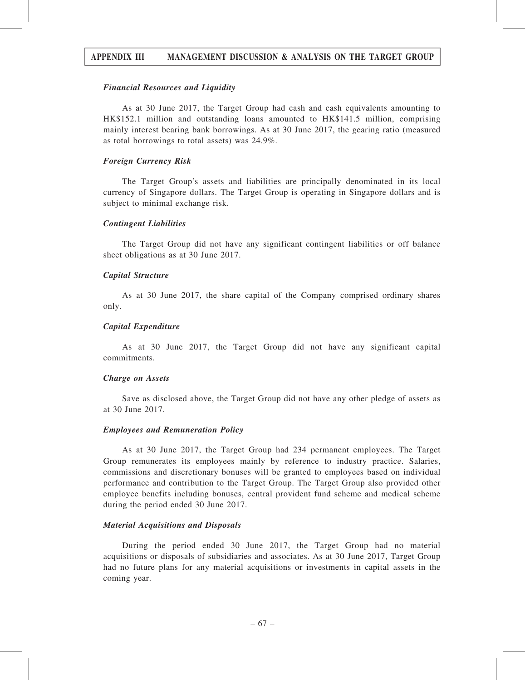## Financial Resources and Liquidity

As at 30 June 2017, the Target Group had cash and cash equivalents amounting to HK\$152.1 million and outstanding loans amounted to HK\$141.5 million, comprising mainly interest bearing bank borrowings. As at 30 June 2017, the gearing ratio (measured as total borrowings to total assets) was 24.9%.

### Foreign Currency Risk

The Target Group's assets and liabilities are principally denominated in its local currency of Singapore dollars. The Target Group is operating in Singapore dollars and is subject to minimal exchange risk.

### Contingent Liabilities

The Target Group did not have any significant contingent liabilities or off balance sheet obligations as at 30 June 2017.

## Capital Structure

As at 30 June 2017, the share capital of the Company comprised ordinary shares only.

### Capital Expenditure

As at 30 June 2017, the Target Group did not have any significant capital commitments.

### Charge on Assets

Save as disclosed above, the Target Group did not have any other pledge of assets as at 30 June 2017.

## Employees and Remuneration Policy

As at 30 June 2017, the Target Group had 234 permanent employees. The Target Group remunerates its employees mainly by reference to industry practice. Salaries, commissions and discretionary bonuses will be granted to employees based on individual performance and contribution to the Target Group. The Target Group also provided other employee benefits including bonuses, central provident fund scheme and medical scheme during the period ended 30 June 2017.

### Material Acquisitions and Disposals

During the period ended 30 June 2017, the Target Group had no material acquisitions or disposals of subsidiaries and associates. As at 30 June 2017, Target Group had no future plans for any material acquisitions or investments in capital assets in the coming year.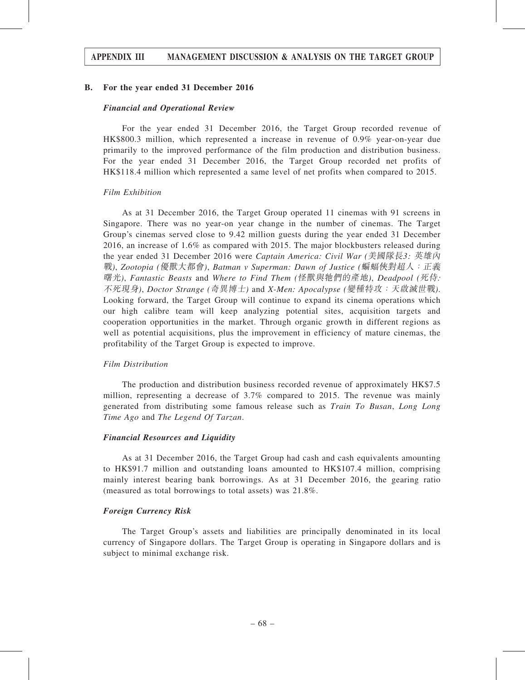## B. For the year ended 31 December 2016

## Financial and Operational Review

For the year ended 31 December 2016, the Target Group recorded revenue of HK\$800.3 million, which represented a increase in revenue of 0.9% year-on-year due primarily to the improved performance of the film production and distribution business. For the year ended 31 December 2016, the Target Group recorded net profits of HK\$118.4 million which represented a same level of net profits when compared to 2015.

### Film Exhibition

As at 31 December 2016, the Target Group operated 11 cinemas with 91 screens in Singapore. There was no year-on year change in the number of cinemas. The Target Group's cinemas served close to 9.42 million guests during the year ended 31 December 2016, an increase of 1.6% as compared with 2015. The major blockbusters released during the year ended 31 December 2016 were *Captain America: Civil War (美國隊長3: 英雄內* 戰), Zootopia (優獸大都會), Batman v Superman: Dawn of Justice (蝙蝠俠對超人:正義 曙光), Fantastic Beasts and Where to Find Them (怪獸與牠們的產地), Deadpool (死侍: 不死現身), Doctor Strange (奇異博士) and X-Men: Apocalypse (變種特攻:天啟滅世戰). Looking forward, the Target Group will continue to expand its cinema operations which our high calibre team will keep analyzing potential sites, acquisition targets and cooperation opportunities in the market. Through organic growth in different regions as well as potential acquisitions, plus the improvement in efficiency of mature cinemas, the profitability of the Target Group is expected to improve.

## Film Distribution

The production and distribution business recorded revenue of approximately HK\$7.5 million, representing a decrease of 3.7% compared to 2015. The revenue was mainly generated from distributing some famous release such as Train To Busan, Long Long Time Ago and The Legend Of Tarzan.

### Financial Resources and Liquidity

As at 31 December 2016, the Target Group had cash and cash equivalents amounting to HK\$91.7 million and outstanding loans amounted to HK\$107.4 million, comprising mainly interest bearing bank borrowings. As at 31 December 2016, the gearing ratio (measured as total borrowings to total assets) was 21.8%.

## Foreign Currency Risk

The Target Group's assets and liabilities are principally denominated in its local currency of Singapore dollars. The Target Group is operating in Singapore dollars and is subject to minimal exchange risk.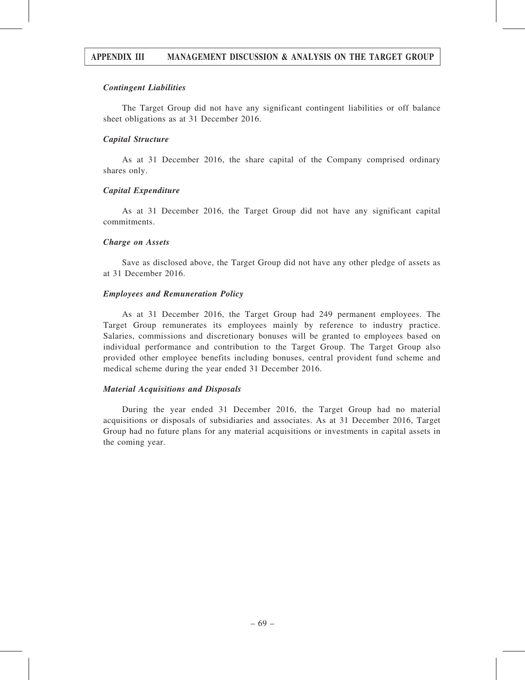## Contingent Liabilities

The Target Group did not have any significant contingent liabilities or off balance sheet obligations as at 31 December 2016.

## Capital Structure

As at 31 December 2016, the share capital of the Company comprised ordinary shares only.

## Capital Expenditure

As at 31 December 2016, the Target Group did not have any significant capital commitments.

## Charge on Assets

Save as disclosed above, the Target Group did not have any other pledge of assets as at 31 December 2016.

## Employees and Remuneration Policy

As at 31 December 2016, the Target Group had 249 permanent employees. The Target Group remunerates its employees mainly by reference to industry practice. Salaries, commissions and discretionary bonuses will be granted to employees based on individual performance and contribution to the Target Group. The Target Group also provided other employee benefits including bonuses, central provident fund scheme and medical scheme during the year ended 31 December 2016.

## Material Acquisitions and Disposals

During the year ended 31 December 2016, the Target Group had no material acquisitions or disposals of subsidiaries and associates. As at 31 December 2016, Target Group had no future plans for any material acquisitions or investments in capital assets in the coming year.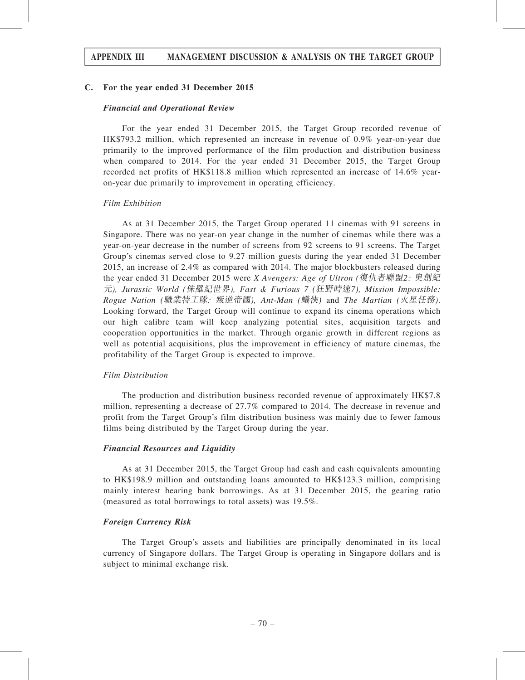## C. For the year ended 31 December 2015

## Financial and Operational Review

For the year ended 31 December 2015, the Target Group recorded revenue of HK\$793.2 million, which represented an increase in revenue of 0.9% year-on-year due primarily to the improved performance of the film production and distribution business when compared to 2014. For the year ended 31 December 2015, the Target Group recorded net profits of HK\$118.8 million which represented an increase of 14.6% yearon-year due primarily to improvement in operating efficiency.

## Film Exhibition

As at 31 December 2015, the Target Group operated 11 cinemas with 91 screens in Singapore. There was no year-on year change in the number of cinemas while there was a year-on-year decrease in the number of screens from 92 screens to 91 screens. The Target Group's cinemas served close to 9.27 million guests during the year ended 31 December 2015, an increase of 2.4% as compared with 2014. The major blockbusters released during the year ended 31 December 2015 were X Avengers: Age of Ultron (復仇者聯盟2: 奧創紀 元), Jurassic World (侏羅紀世界), Fast & Furious 7 (狂野時速7), Mission Impossible: Rogue Nation (職業特工隊: 叛逆帝國), Ant-Man (蟻俠) and The Martian (火星任務). Looking forward, the Target Group will continue to expand its cinema operations which our high calibre team will keep analyzing potential sites, acquisition targets and cooperation opportunities in the market. Through organic growth in different regions as well as potential acquisitions, plus the improvement in efficiency of mature cinemas, the profitability of the Target Group is expected to improve.

### Film Distribution

The production and distribution business recorded revenue of approximately HK\$7.8 million, representing a decrease of 27.7% compared to 2014. The decrease in revenue and profit from the Target Group's film distribution business was mainly due to fewer famous films being distributed by the Target Group during the year.

### Financial Resources and Liquidity

As at 31 December 2015, the Target Group had cash and cash equivalents amounting to HK\$198.9 million and outstanding loans amounted to HK\$123.3 million, comprising mainly interest bearing bank borrowings. As at 31 December 2015, the gearing ratio (measured as total borrowings to total assets) was 19.5%.

### Foreign Currency Risk

The Target Group's assets and liabilities are principally denominated in its local currency of Singapore dollars. The Target Group is operating in Singapore dollars and is subject to minimal exchange risk.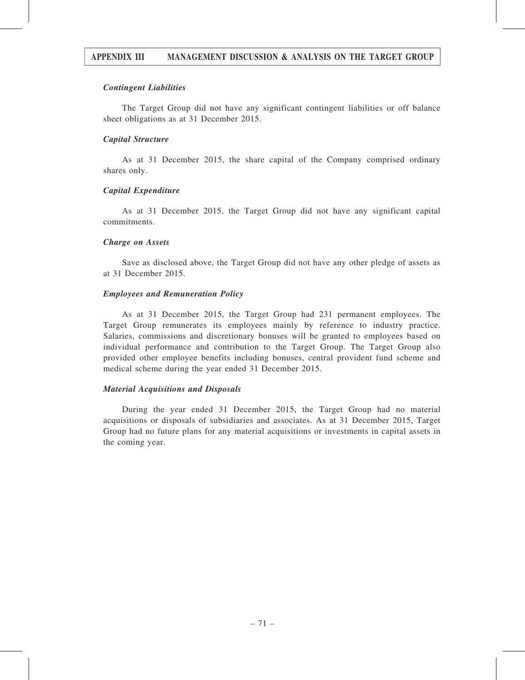# APPENDIX III MANAGEMENT DISCUSSION & ANALYSIS ON THE TARGET GROUP

### Contingent Liabilities

The Target Group did not have any significant contingent liabilities or off balance sheet obligations as at 31 December 2015.

### Capital Structure

As at 31 December 2015, the share capital of the Company comprised ordinary shares only.

### Capital Expenditure

As at 31 December 2015, the Target Group did not have any significant capital commitments.

### Charge on Assets

Save as disclosed above, the Target Group did not have any other pledge of assets as at 31 December 2015.

### Employees and Remuneration Policy

As at 31 December 2015, the Target Group had 231 permanent employees. The Target Group remunerates its employees mainly by reference to industry practice. Salaries, commissions and discretionary bonuses will be granted to employees based on individual performance and contribution to the Target Group. The Target Group also provided other employee benefits including bonuses, central provident fund scheme and medical scheme during the year ended 31 December 2015.

# Material Acquisitions and Disposals

During the year ended 31 December 2015, the Target Group had no material acquisitions or disposals of subsidiaries and associates. As at 31 December 2015, Target Group had no future plans for any material acquisitions or investments in capital assets in the coming year.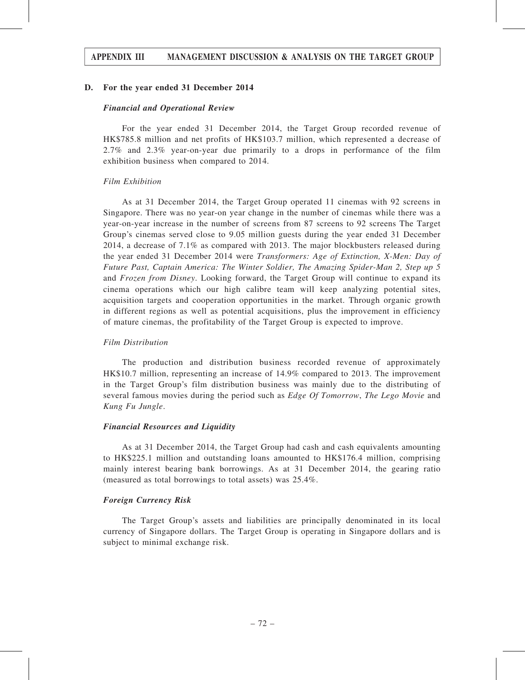# APPENDIX III MANAGEMENT DISCUSSION & ANALYSIS ON THE TARGET GROUP

### D. For the year ended 31 December 2014

### Financial and Operational Review

For the year ended 31 December 2014, the Target Group recorded revenue of HK\$785.8 million and net profits of HK\$103.7 million, which represented a decrease of 2.7% and 2.3% year-on-year due primarily to a drops in performance of the film exhibition business when compared to 2014.

### Film Exhibition

As at 31 December 2014, the Target Group operated 11 cinemas with 92 screens in Singapore. There was no year-on year change in the number of cinemas while there was a year-on-year increase in the number of screens from 87 screens to 92 screens The Target Group's cinemas served close to 9.05 million guests during the year ended 31 December 2014, a decrease of 7.1% as compared with 2013. The major blockbusters released during the year ended 31 December 2014 were Transformers: Age of Extinction, X-Men: Day of Future Past, Captain America: The Winter Soldier, The Amazing Spider-Man 2, Step up 5 and Frozen from Disney. Looking forward, the Target Group will continue to expand its cinema operations which our high calibre team will keep analyzing potential sites, acquisition targets and cooperation opportunities in the market. Through organic growth in different regions as well as potential acquisitions, plus the improvement in efficiency of mature cinemas, the profitability of the Target Group is expected to improve.

### Film Distribution

The production and distribution business recorded revenue of approximately HK\$10.7 million, representing an increase of 14.9% compared to 2013. The improvement in the Target Group's film distribution business was mainly due to the distributing of several famous movies during the period such as Edge Of Tomorrow, The Lego Movie and Kung Fu Jungle.

### Financial Resources and Liquidity

As at 31 December 2014, the Target Group had cash and cash equivalents amounting to HK\$225.1 million and outstanding loans amounted to HK\$176.4 million, comprising mainly interest bearing bank borrowings. As at 31 December 2014, the gearing ratio (measured as total borrowings to total assets) was 25.4%.

### Foreign Currency Risk

The Target Group's assets and liabilities are principally denominated in its local currency of Singapore dollars. The Target Group is operating in Singapore dollars and is subject to minimal exchange risk.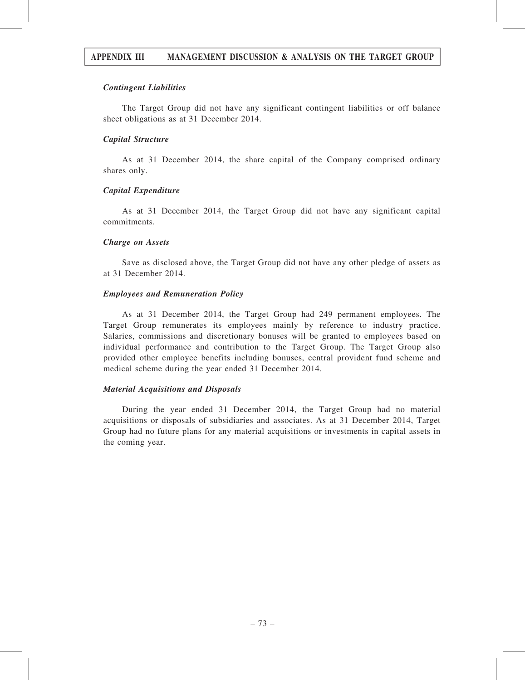# APPENDIX III MANAGEMENT DISCUSSION & ANALYSIS ON THE TARGET GROUP

### Contingent Liabilities

The Target Group did not have any significant contingent liabilities or off balance sheet obligations as at 31 December 2014.

## Capital Structure

As at 31 December 2014, the share capital of the Company comprised ordinary shares only.

### Capital Expenditure

As at 31 December 2014, the Target Group did not have any significant capital commitments.

### Charge on Assets

Save as disclosed above, the Target Group did not have any other pledge of assets as at 31 December 2014.

### Employees and Remuneration Policy

As at 31 December 2014, the Target Group had 249 permanent employees. The Target Group remunerates its employees mainly by reference to industry practice. Salaries, commissions and discretionary bonuses will be granted to employees based on individual performance and contribution to the Target Group. The Target Group also provided other employee benefits including bonuses, central provident fund scheme and medical scheme during the year ended 31 December 2014.

# Material Acquisitions and Disposals

During the year ended 31 December 2014, the Target Group had no material acquisitions or disposals of subsidiaries and associates. As at 31 December 2014, Target Group had no future plans for any material acquisitions or investments in capital assets in the coming year.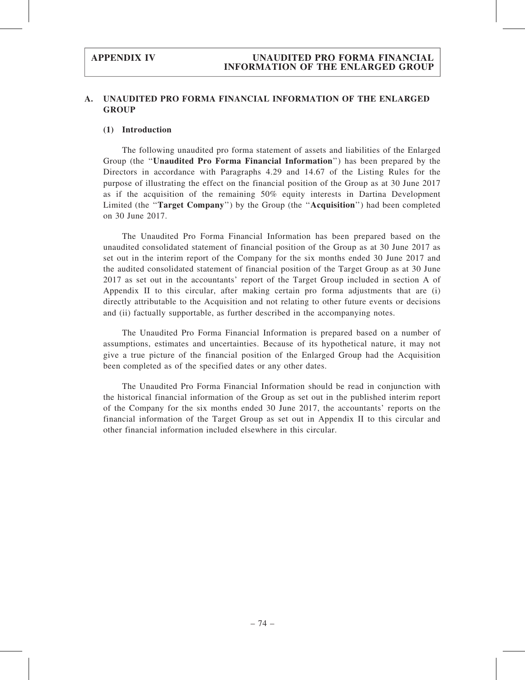# A. UNAUDITED PRO FORMA FINANCIAL INFORMATION OF THE ENLARGED **GROUP**

### (1) Introduction

The following unaudited pro forma statement of assets and liabilities of the Enlarged Group (the ''Unaudited Pro Forma Financial Information'') has been prepared by the Directors in accordance with Paragraphs 4.29 and 14.67 of the Listing Rules for the purpose of illustrating the effect on the financial position of the Group as at 30 June 2017 as if the acquisition of the remaining 50% equity interests in Dartina Development Limited (the "Target Company") by the Group (the "Acquisition") had been completed on 30 June 2017.

The Unaudited Pro Forma Financial Information has been prepared based on the unaudited consolidated statement of financial position of the Group as at 30 June 2017 as set out in the interim report of the Company for the six months ended 30 June 2017 and the audited consolidated statement of financial position of the Target Group as at 30 June 2017 as set out in the accountants' report of the Target Group included in section A of Appendix II to this circular, after making certain pro forma adjustments that are (i) directly attributable to the Acquisition and not relating to other future events or decisions and (ii) factually supportable, as further described in the accompanying notes.

The Unaudited Pro Forma Financial Information is prepared based on a number of assumptions, estimates and uncertainties. Because of its hypothetical nature, it may not give a true picture of the financial position of the Enlarged Group had the Acquisition been completed as of the specified dates or any other dates.

The Unaudited Pro Forma Financial Information should be read in conjunction with the historical financial information of the Group as set out in the published interim report of the Company for the six months ended 30 June 2017, the accountants' reports on the financial information of the Target Group as set out in Appendix II to this circular and other financial information included elsewhere in this circular.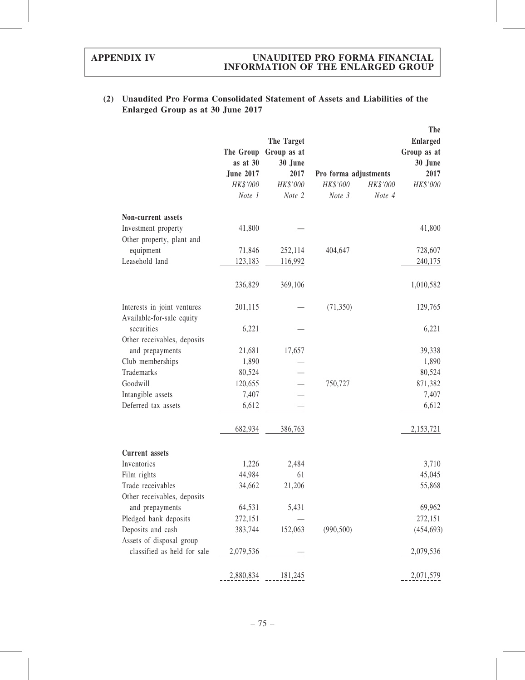# (2) Unaudited Pro Forma Consolidated Statement of Assets and Liabilities of the Enlarged Group as at 30 June 2017

|                                                          | The Group<br>as at 30<br><b>June 2017</b><br>HK\$'000<br>Note 1 | The Target<br>Group as at<br>30 June<br>2017<br>HK\$'000<br>Note 2 | Pro forma adjustments<br>HK\$'000<br>Note 3 | HK\$'000<br>Note 4 | The<br><b>Enlarged</b><br>Group as at<br>30 June<br>2017<br>HK\$'000 |
|----------------------------------------------------------|-----------------------------------------------------------------|--------------------------------------------------------------------|---------------------------------------------|--------------------|----------------------------------------------------------------------|
| Non-current assets                                       |                                                                 |                                                                    |                                             |                    |                                                                      |
| Investment property                                      | 41,800                                                          |                                                                    |                                             |                    | 41,800                                                               |
| Other property, plant and                                |                                                                 |                                                                    |                                             |                    |                                                                      |
| equipment                                                | 71,846                                                          | 252,114                                                            | 404,647                                     |                    | 728,607                                                              |
| Leasehold land                                           | 123,183                                                         | 116,992                                                            |                                             |                    | 240,175                                                              |
|                                                          | 236,829                                                         | 369,106                                                            |                                             |                    | 1,010,582                                                            |
| Interests in joint ventures<br>Available-for-sale equity | 201,115                                                         |                                                                    | (71, 350)                                   |                    | 129,765                                                              |
| securities                                               | 6,221                                                           |                                                                    |                                             |                    | 6,221                                                                |
| Other receivables, deposits                              |                                                                 |                                                                    |                                             |                    |                                                                      |
| and prepayments                                          | 21,681                                                          | 17,657                                                             |                                             |                    | 39,338                                                               |
| Club memberships                                         | 1,890                                                           |                                                                    |                                             |                    | 1,890                                                                |
| Trademarks                                               | 80,524                                                          |                                                                    |                                             |                    | 80,524                                                               |
| Goodwill                                                 | 120,655                                                         |                                                                    | 750,727                                     |                    | 871,382                                                              |
| Intangible assets                                        | 7,407                                                           |                                                                    |                                             |                    | 7,407                                                                |
| Deferred tax assets                                      | 6,612                                                           |                                                                    |                                             |                    | 6,612                                                                |
|                                                          | 682,934                                                         | 386,763                                                            |                                             |                    | 2,153,721                                                            |
| <b>Current</b> assets                                    |                                                                 |                                                                    |                                             |                    |                                                                      |
| Inventories                                              | 1,226                                                           | 2,484                                                              |                                             |                    | 3,710                                                                |
| Film rights                                              | 44,984                                                          | 61                                                                 |                                             |                    | 45,045                                                               |
| Trade receivables                                        | 34,662                                                          | 21,206                                                             |                                             |                    | 55,868                                                               |
| Other receivables, deposits                              |                                                                 |                                                                    |                                             |                    |                                                                      |
| and prepayments                                          | 64,531                                                          | 5,431                                                              |                                             |                    | 69,962                                                               |
| Pledged bank deposits                                    | 272,151                                                         |                                                                    |                                             |                    | 272,151                                                              |
| Deposits and cash                                        | 383,744                                                         | 152,063                                                            | (990, 500)                                  |                    | (454, 693)                                                           |
| Assets of disposal group                                 |                                                                 |                                                                    |                                             |                    |                                                                      |
| classified as held for sale                              | 2,079,536                                                       |                                                                    |                                             |                    | 2,079,536                                                            |
|                                                          | 2,880,834                                                       | 181,245                                                            |                                             |                    | 2,071,579                                                            |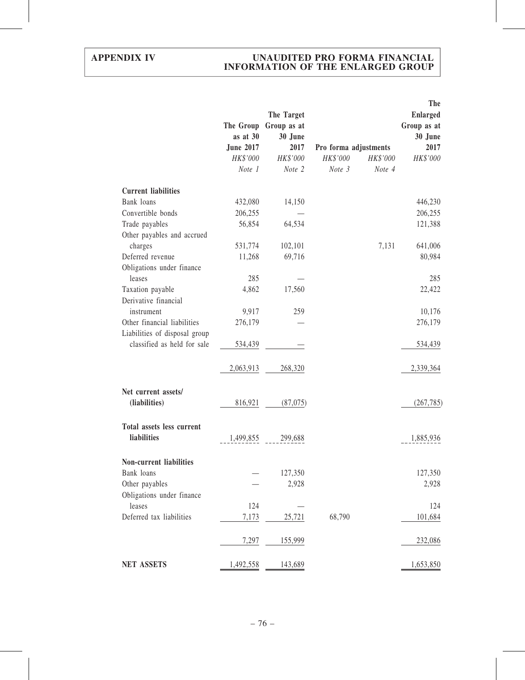|                                | The Group<br>as at 30<br><b>June 2017</b><br>HK\$'000 | The Target<br>Group as at<br>30 June<br>2017<br>HK\$'000 | Pro forma adjustments<br>HK\$'000 | HK\$'000 | <b>The</b><br><b>Enlarged</b><br>Group as at<br>30 June<br>2017<br>HK\$'000 |
|--------------------------------|-------------------------------------------------------|----------------------------------------------------------|-----------------------------------|----------|-----------------------------------------------------------------------------|
|                                | Note 1                                                | Note 2                                                   | Note 3                            | Note 4   |                                                                             |
|                                |                                                       |                                                          |                                   |          |                                                                             |
| <b>Current liabilities</b>     |                                                       |                                                          |                                   |          |                                                                             |
| Bank loans                     | 432,080                                               | 14,150                                                   |                                   |          | 446,230                                                                     |
| Convertible bonds              | 206,255                                               |                                                          |                                   |          | 206,255                                                                     |
| Trade payables                 | 56,854                                                | 64,534                                                   |                                   |          | 121,388                                                                     |
| Other payables and accrued     |                                                       |                                                          |                                   |          |                                                                             |
| charges                        | 531,774                                               | 102,101                                                  |                                   | 7,131    | 641,006                                                                     |
| Deferred revenue               | 11,268                                                | 69,716                                                   |                                   |          | 80,984                                                                      |
| Obligations under finance      |                                                       |                                                          |                                   |          |                                                                             |
| leases                         | 285                                                   |                                                          |                                   |          | 285                                                                         |
| Taxation payable               | 4,862                                                 | 17,560                                                   |                                   |          | 22,422                                                                      |
| Derivative financial           |                                                       |                                                          |                                   |          |                                                                             |
| instrument                     | 9,917                                                 | 259                                                      |                                   |          | 10,176                                                                      |
| Other financial liabilities    | 276,179                                               |                                                          |                                   |          | 276,179                                                                     |
| Liabilities of disposal group  |                                                       |                                                          |                                   |          |                                                                             |
| classified as held for sale    | 534,439                                               |                                                          |                                   |          | 534,439                                                                     |
|                                |                                                       |                                                          |                                   |          |                                                                             |
|                                | 2,063,913                                             | 268,320                                                  |                                   |          | 2,339,364                                                                   |
| Net current assets/            |                                                       |                                                          |                                   |          |                                                                             |
| (liabilities)                  | 816,921                                               | (87,075)                                                 |                                   |          | (267, 785)                                                                  |
|                                |                                                       |                                                          |                                   |          |                                                                             |
| Total assets less current      |                                                       |                                                          |                                   |          |                                                                             |
| liabilities                    | 1,499,855                                             | 299,688                                                  |                                   |          | 1,885,936                                                                   |
|                                |                                                       |                                                          |                                   |          |                                                                             |
| <b>Non-current liabilities</b> |                                                       |                                                          |                                   |          |                                                                             |
| Bank loans                     |                                                       | 127,350                                                  |                                   |          | 127,350                                                                     |
| Other payables                 |                                                       | 2,928                                                    |                                   |          | 2,928                                                                       |
| Obligations under finance      |                                                       |                                                          |                                   |          |                                                                             |
| leases                         | 124                                                   |                                                          |                                   |          | 124                                                                         |
| Deferred tax liabilities       | 7,173                                                 | 25,721                                                   | 68,790                            |          | 101,684                                                                     |
|                                |                                                       |                                                          |                                   |          |                                                                             |
|                                | 7,297                                                 | 155,999                                                  |                                   |          | 232,086                                                                     |
| <b>NET ASSETS</b>              | 1,492,558                                             | 143,689                                                  |                                   |          | 1,653,850                                                                   |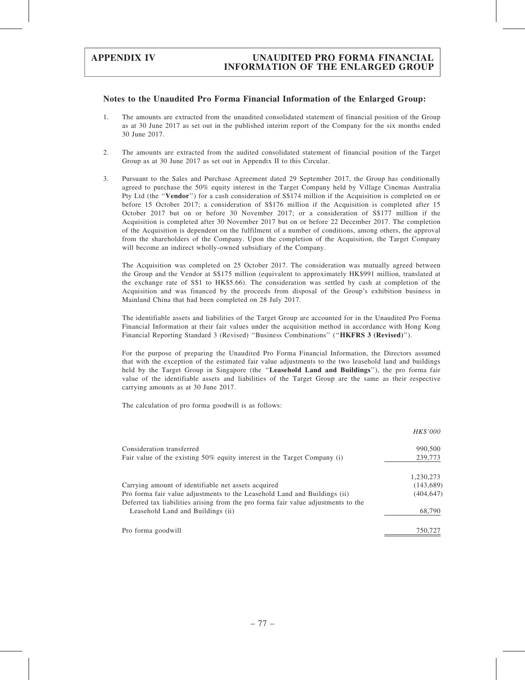### Notes to the Unaudited Pro Forma Financial Information of the Enlarged Group:

- 1. The amounts are extracted from the unaudited consolidated statement of financial position of the Group as at 30 June 2017 as set out in the published interim report of the Company for the six months ended 30 June 2017.
- 2. The amounts are extracted from the audited consolidated statement of financial position of the Target Group as at 30 June 2017 as set out in Appendix II to this Circular.
- 3. Pursuant to the Sales and Purchase Agreement dated 29 September 2017, the Group has conditionally agreed to purchase the 50% equity interest in the Target Company held by Village Cinemas Australia Pty Ltd (the "Vendor") for a cash consideration of S\$174 million if the Acquisition is completed on or before 15 October 2017; a consideration of S\$176 million if the Acquisition is completed after 15 October 2017 but on or before 30 November 2017; or a consideration of S\$177 million if the Acquisition is completed after 30 November 2017 but on or before 22 December 2017. The completion of the Acquisition is dependent on the fulfilment of a number of conditions, among others, the approval from the shareholders of the Company. Upon the completion of the Acquisition, the Target Company will become an indirect wholly-owned subsidiary of the Company.

The Acquisition was completed on 25 October 2017. The consideration was mutually agreed between the Group and the Vendor at S\$175 million (equivalent to approximately HK\$991 million, translated at the exchange rate of S\$1 to HK\$5.66). The consideration was settled by cash at completion of the Acquisition and was financed by the proceeds from disposal of the Group's exhibition business in Mainland China that had been completed on 28 July 2017.

The identifiable assets and liabilities of the Target Group are accounted for in the Unaudited Pro Forma Financial Information at their fair values under the acquisition method in accordance with Hong Kong Financial Reporting Standard 3 (Revised) "Business Combinations" ("HKFRS 3 (Revised)").

For the purpose of preparing the Unaudited Pro Forma Financial Information, the Directors assumed that with the exception of the estimated fair value adjustments to the two leasehold land and buildings held by the Target Group in Singapore (the "Leasehold Land and Buildings"), the pro forma fair value of the identifiable assets and liabilities of the Target Group are the same as their respective carrying amounts as at 30 June 2017.

The calculation of pro forma goodwill is as follows:

|                                                                                                                                                                | <i>HK\$'000</i> |
|----------------------------------------------------------------------------------------------------------------------------------------------------------------|-----------------|
| Consideration transferred                                                                                                                                      | 990,500         |
| Fair value of the existing $50\%$ equity interest in the Target Company (i)                                                                                    | 239,773         |
|                                                                                                                                                                | 1,230,273       |
| Carrying amount of identifiable net assets acquired                                                                                                            | (143, 689)      |
| Pro forma fair value adjustments to the Leasehold Land and Buildings (ii)<br>Deferred tax liabilities arising from the pro forma fair value adjustments to the | (404, 647)      |
| Leasehold Land and Buildings (ii)                                                                                                                              | 68,790          |
| Pro forma goodwill                                                                                                                                             | 750,727         |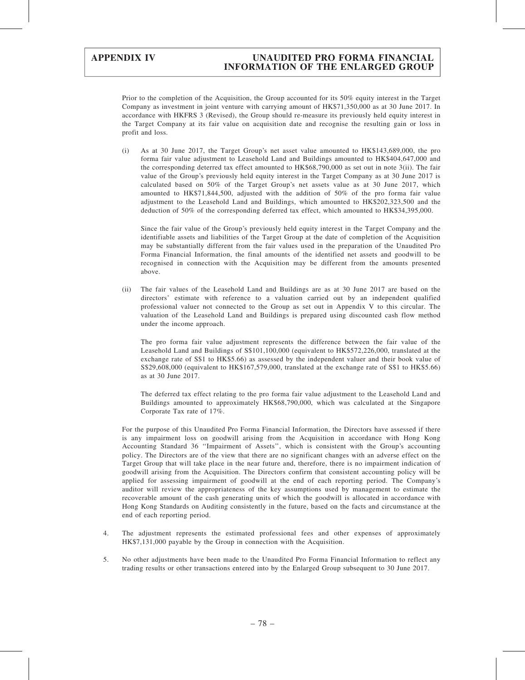Prior to the completion of the Acquisition, the Group accounted for its 50% equity interest in the Target Company as investment in joint venture with carrying amount of HK\$71,350,000 as at 30 June 2017. In accordance with HKFRS 3 (Revised), the Group should re-measure its previously held equity interest in the Target Company at its fair value on acquisition date and recognise the resulting gain or loss in profit and loss.

(i) As at 30 June 2017, the Target Group's net asset value amounted to HK\$143,689,000, the pro forma fair value adjustment to Leasehold Land and Buildings amounted to HK\$404,647,000 and the corresponding deterred tax effect amounted to HK\$68,790,000 as set out in note 3(ii). The fair value of the Group's previously held equity interest in the Target Company as at 30 June 2017 is calculated based on 50% of the Target Group's net assets value as at 30 June 2017, which amounted to HK\$71,844,500, adjusted with the addition of 50% of the pro forma fair value adjustment to the Leasehold Land and Buildings, which amounted to HK\$202,323,500 and the deduction of 50% of the corresponding deferred tax effect, which amounted to HK\$34,395,000.

Since the fair value of the Group's previously held equity interest in the Target Company and the identifiable assets and liabilities of the Target Group at the date of completion of the Acquisition may be substantially different from the fair values used in the preparation of the Unaudited Pro Forma Financial Information, the final amounts of the identified net assets and goodwill to be recognised in connection with the Acquisition may be different from the amounts presented above.

(ii) The fair values of the Leasehold Land and Buildings are as at 30 June 2017 are based on the directors' estimate with reference to a valuation carried out by an independent qualified professional valuer not connected to the Group as set out in Appendix V to this circular. The valuation of the Leasehold Land and Buildings is prepared using discounted cash flow method under the income approach.

The pro forma fair value adjustment represents the difference between the fair value of the Leasehold Land and Buildings of S\$101,100,000 (equivalent to HK\$572,226,000, translated at the exchange rate of S\$1 to HK\$5.66) as assessed by the independent valuer and their book value of S\$29,608,000 (equivalent to HK\$167,579,000, translated at the exchange rate of S\$1 to HK\$5.66) as at 30 June 2017.

The deferred tax effect relating to the pro forma fair value adjustment to the Leasehold Land and Buildings amounted to approximately HK\$68,790,000, which was calculated at the Singapore Corporate Tax rate of 17%.

For the purpose of this Unaudited Pro Forma Financial Information, the Directors have assessed if there is any impairment loss on goodwill arising from the Acquisition in accordance with Hong Kong Accounting Standard 36 ''Impairment of Assets'', which is consistent with the Group's accounting policy. The Directors are of the view that there are no significant changes with an adverse effect on the Target Group that will take place in the near future and, therefore, there is no impairment indication of goodwill arising from the Acquisition. The Directors confirm that consistent accounting policy will be applied for assessing impairment of goodwill at the end of each reporting period. The Company's auditor will review the appropriateness of the key assumptions used by management to estimate the recoverable amount of the cash generating units of which the goodwill is allocated in accordance with Hong Kong Standards on Auditing consistently in the future, based on the facts and circumstance at the end of each reporting period.

- 4. The adjustment represents the estimated professional fees and other expenses of approximately HK\$7,131,000 payable by the Group in connection with the Acquisition.
- 5. No other adjustments have been made to the Unaudited Pro Forma Financial Information to reflect any trading results or other transactions entered into by the Enlarged Group subsequent to 30 June 2017.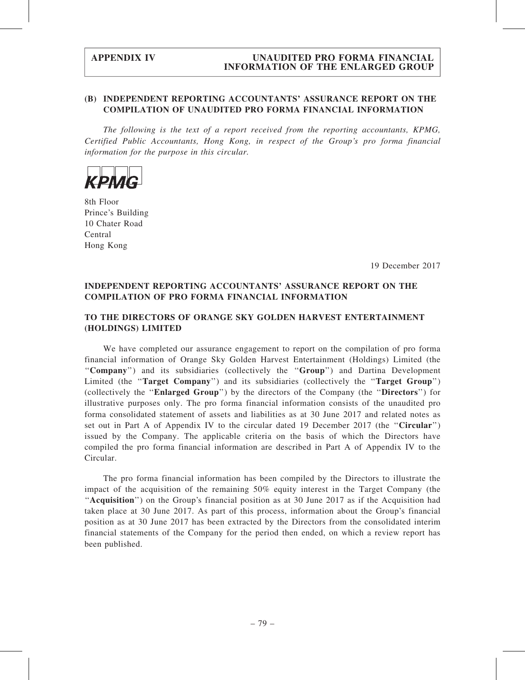# (B) INDEPENDENT REPORTING ACCOUNTANTS' ASSURANCE REPORT ON THE COMPILATION OF UNAUDITED PRO FORMA FINANCIAL INFORMATION

The following is the text of a report received from the reporting accountants, KPMG, Certified Public Accountants, Hong Kong, in respect of the Group's pro forma financial information for the purpose in this circular.



8th Floor Prince's Building 10 Chater Road Central Hong Kong

19 December 2017

# INDEPENDENT REPORTING ACCOUNTANTS' ASSURANCE REPORT ON THE COMPILATION OF PRO FORMA FINANCIAL INFORMATION

# TO THE DIRECTORS OF ORANGE SKY GOLDEN HARVEST ENTERTAINMENT (HOLDINGS) LIMITED

We have completed our assurance engagement to report on the compilation of pro forma financial information of Orange Sky Golden Harvest Entertainment (Holdings) Limited (the ''Company'') and its subsidiaries (collectively the ''Group'') and Dartina Development Limited (the "Target Company") and its subsidiaries (collectively the "Target Group") (collectively the ''Enlarged Group'') by the directors of the Company (the ''Directors'') for illustrative purposes only. The pro forma financial information consists of the unaudited pro forma consolidated statement of assets and liabilities as at 30 June 2017 and related notes as set out in Part A of Appendix IV to the circular dated 19 December 2017 (the ''Circular'') issued by the Company. The applicable criteria on the basis of which the Directors have compiled the pro forma financial information are described in Part A of Appendix IV to the Circular.

The pro forma financial information has been compiled by the Directors to illustrate the impact of the acquisition of the remaining 50% equity interest in the Target Company (the ''Acquisition'') on the Group's financial position as at 30 June 2017 as if the Acquisition had taken place at 30 June 2017. As part of this process, information about the Group's financial position as at 30 June 2017 has been extracted by the Directors from the consolidated interim financial statements of the Company for the period then ended, on which a review report has been published.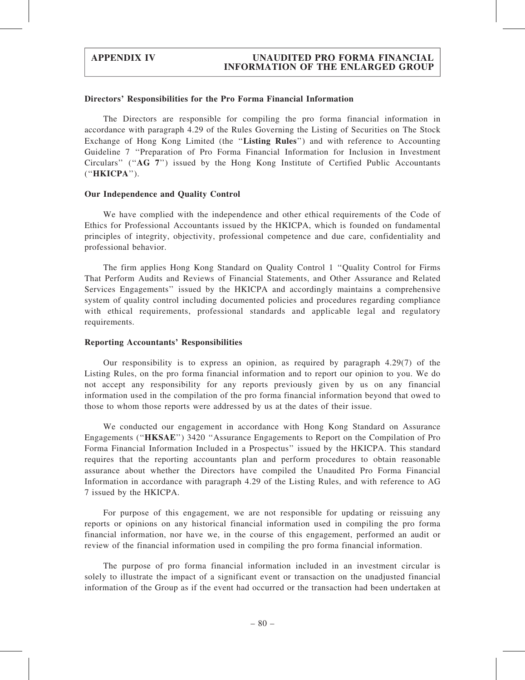### Directors' Responsibilities for the Pro Forma Financial Information

The Directors are responsible for compiling the pro forma financial information in accordance with paragraph 4.29 of the Rules Governing the Listing of Securities on The Stock Exchange of Hong Kong Limited (the "Listing Rules") and with reference to Accounting Guideline 7 ''Preparation of Pro Forma Financial Information for Inclusion in Investment Circulars'' (''AG 7'') issued by the Hong Kong Institute of Certified Public Accountants (''HKICPA'').

### Our Independence and Quality Control

We have complied with the independence and other ethical requirements of the Code of Ethics for Professional Accountants issued by the HKICPA, which is founded on fundamental principles of integrity, objectivity, professional competence and due care, confidentiality and professional behavior.

The firm applies Hong Kong Standard on Quality Control 1 ''Quality Control for Firms That Perform Audits and Reviews of Financial Statements, and Other Assurance and Related Services Engagements'' issued by the HKICPA and accordingly maintains a comprehensive system of quality control including documented policies and procedures regarding compliance with ethical requirements, professional standards and applicable legal and regulatory requirements.

### Reporting Accountants' Responsibilities

Our responsibility is to express an opinion, as required by paragraph 4.29(7) of the Listing Rules, on the pro forma financial information and to report our opinion to you. We do not accept any responsibility for any reports previously given by us on any financial information used in the compilation of the pro forma financial information beyond that owed to those to whom those reports were addressed by us at the dates of their issue.

We conducted our engagement in accordance with Hong Kong Standard on Assurance Engagements (''HKSAE'') 3420 ''Assurance Engagements to Report on the Compilation of Pro Forma Financial Information Included in a Prospectus'' issued by the HKICPA. This standard requires that the reporting accountants plan and perform procedures to obtain reasonable assurance about whether the Directors have compiled the Unaudited Pro Forma Financial Information in accordance with paragraph 4.29 of the Listing Rules, and with reference to AG 7 issued by the HKICPA.

For purpose of this engagement, we are not responsible for updating or reissuing any reports or opinions on any historical financial information used in compiling the pro forma financial information, nor have we, in the course of this engagement, performed an audit or review of the financial information used in compiling the pro forma financial information.

The purpose of pro forma financial information included in an investment circular is solely to illustrate the impact of a significant event or transaction on the unadjusted financial information of the Group as if the event had occurred or the transaction had been undertaken at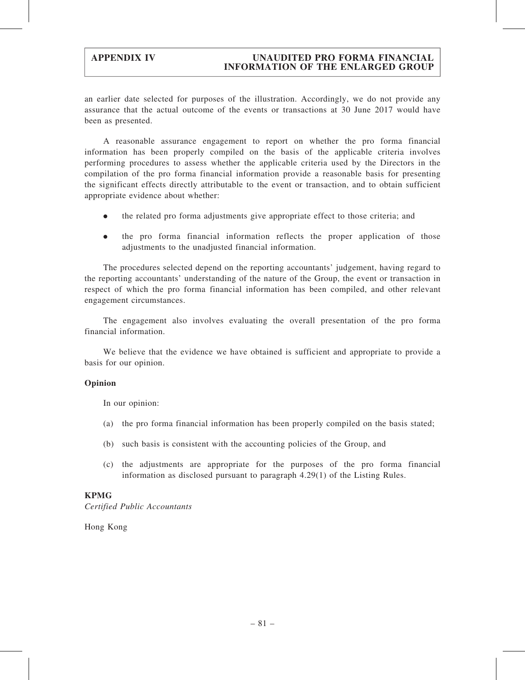an earlier date selected for purposes of the illustration. Accordingly, we do not provide any assurance that the actual outcome of the events or transactions at 30 June 2017 would have been as presented.

A reasonable assurance engagement to report on whether the pro forma financial information has been properly compiled on the basis of the applicable criteria involves performing procedures to assess whether the applicable criteria used by the Directors in the compilation of the pro forma financial information provide a reasonable basis for presenting the significant effects directly attributable to the event or transaction, and to obtain sufficient appropriate evidence about whether:

- . the related pro forma adjustments give appropriate effect to those criteria; and
- . the pro forma financial information reflects the proper application of those adjustments to the unadjusted financial information.

The procedures selected depend on the reporting accountants' judgement, having regard to the reporting accountants' understanding of the nature of the Group, the event or transaction in respect of which the pro forma financial information has been compiled, and other relevant engagement circumstances.

The engagement also involves evaluating the overall presentation of the pro forma financial information.

We believe that the evidence we have obtained is sufficient and appropriate to provide a basis for our opinion.

### Opinion

In our opinion:

- (a) the pro forma financial information has been properly compiled on the basis stated;
- (b) such basis is consistent with the accounting policies of the Group, and
- (c) the adjustments are appropriate for the purposes of the pro forma financial information as disclosed pursuant to paragraph 4.29(1) of the Listing Rules.

# KPMG

Certified Public Accountants

Hong Kong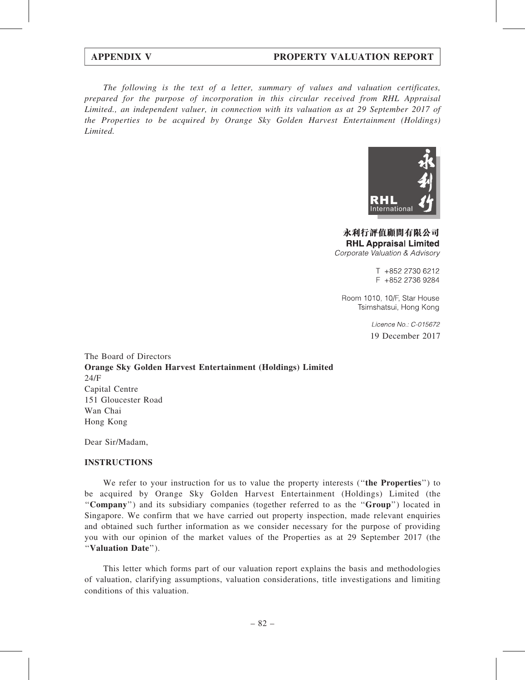# APPENDIX V PROPERTY VALUATION REPORT

The following is the text of a letter, summary of values and valuation certificates, prepared for the purpose of incorporation in this circular received from RHL Appraisal Limited., an independent valuer, in connection with its valuation as at 29 September 2017 of the Properties to be acquired by Orange Sky Golden Harvest Entertainment (Holdings) Limited.



永利行評值顧問有限公司 **RHL Appraisal Limited** Corporate Valuation & Advisory

> T +852 2730 6212 F +852 2736 9284

Room 1010, 10/F, Star House Tsimshatsui, Hong Kong

> Licence No.: C-015672 19 December 2017

The Board of Directors Orange Sky Golden Harvest Entertainment (Holdings) Limited 24/F Capital Centre 151 Gloucester Road Wan Chai Hong Kong

Dear Sir/Madam,

### INSTRUCTIONS

We refer to your instruction for us to value the property interests ("the Properties") to be acquired by Orange Sky Golden Harvest Entertainment (Holdings) Limited (the ''Company'') and its subsidiary companies (together referred to as the ''Group'') located in Singapore. We confirm that we have carried out property inspection, made relevant enquiries and obtained such further information as we consider necessary for the purpose of providing you with our opinion of the market values of the Properties as at 29 September 2017 (the ''Valuation Date'').

This letter which forms part of our valuation report explains the basis and methodologies of valuation, clarifying assumptions, valuation considerations, title investigations and limiting conditions of this valuation.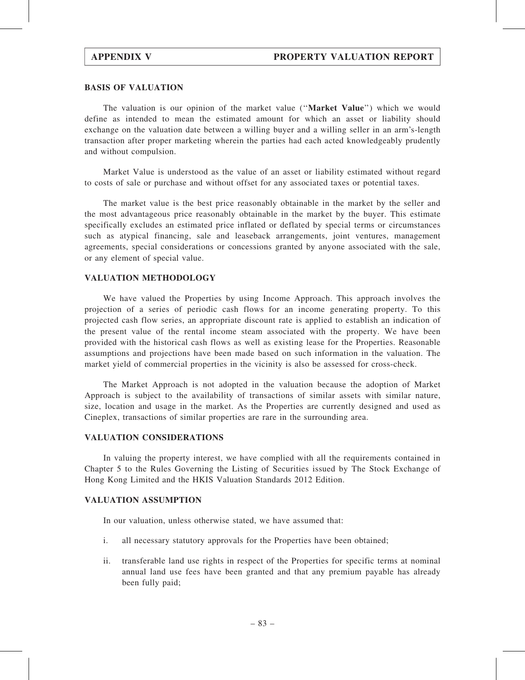### BASIS OF VALUATION

The valuation is our opinion of the market value ("Market Value") which we would define as intended to mean the estimated amount for which an asset or liability should exchange on the valuation date between a willing buyer and a willing seller in an arm's-length transaction after proper marketing wherein the parties had each acted knowledgeably prudently and without compulsion.

Market Value is understood as the value of an asset or liability estimated without regard to costs of sale or purchase and without offset for any associated taxes or potential taxes.

The market value is the best price reasonably obtainable in the market by the seller and the most advantageous price reasonably obtainable in the market by the buyer. This estimate specifically excludes an estimated price inflated or deflated by special terms or circumstances such as atypical financing, sale and leaseback arrangements, joint ventures, management agreements, special considerations or concessions granted by anyone associated with the sale, or any element of special value.

### VALUATION METHODOLOGY

We have valued the Properties by using Income Approach. This approach involves the projection of a series of periodic cash flows for an income generating property. To this projected cash flow series, an appropriate discount rate is applied to establish an indication of the present value of the rental income steam associated with the property. We have been provided with the historical cash flows as well as existing lease for the Properties. Reasonable assumptions and projections have been made based on such information in the valuation. The market yield of commercial properties in the vicinity is also be assessed for cross-check.

The Market Approach is not adopted in the valuation because the adoption of Market Approach is subject to the availability of transactions of similar assets with similar nature, size, location and usage in the market. As the Properties are currently designed and used as Cineplex, transactions of similar properties are rare in the surrounding area.

## VALUATION CONSIDERATIONS

In valuing the property interest, we have complied with all the requirements contained in Chapter 5 to the Rules Governing the Listing of Securities issued by The Stock Exchange of Hong Kong Limited and the HKIS Valuation Standards 2012 Edition.

### VALUATION ASSUMPTION

In our valuation, unless otherwise stated, we have assumed that:

- i. all necessary statutory approvals for the Properties have been obtained;
- ii. transferable land use rights in respect of the Properties for specific terms at nominal annual land use fees have been granted and that any premium payable has already been fully paid;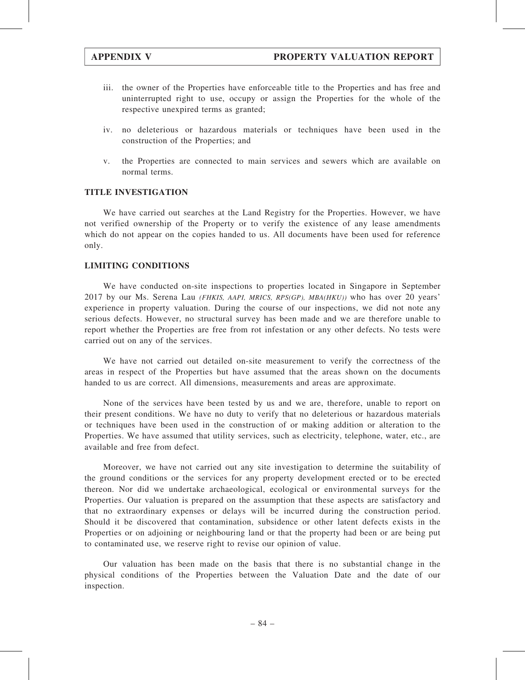- iii. the owner of the Properties have enforceable title to the Properties and has free and uninterrupted right to use, occupy or assign the Properties for the whole of the respective unexpired terms as granted;
- iv. no deleterious or hazardous materials or techniques have been used in the construction of the Properties; and
- v. the Properties are connected to main services and sewers which are available on normal terms.

## TITLE INVESTIGATION

We have carried out searches at the Land Registry for the Properties. However, we have not verified ownership of the Property or to verify the existence of any lease amendments which do not appear on the copies handed to us. All documents have been used for reference only.

### LIMITING CONDITIONS

We have conducted on-site inspections to properties located in Singapore in September 2017 by our Ms. Serena Lau (FHKIS, AAPI, MRICS, RPS(GP), MBA(HKU)) who has over 20 years' experience in property valuation. During the course of our inspections, we did not note any serious defects. However, no structural survey has been made and we are therefore unable to report whether the Properties are free from rot infestation or any other defects. No tests were carried out on any of the services.

We have not carried out detailed on-site measurement to verify the correctness of the areas in respect of the Properties but have assumed that the areas shown on the documents handed to us are correct. All dimensions, measurements and areas are approximate.

None of the services have been tested by us and we are, therefore, unable to report on their present conditions. We have no duty to verify that no deleterious or hazardous materials or techniques have been used in the construction of or making addition or alteration to the Properties. We have assumed that utility services, such as electricity, telephone, water, etc., are available and free from defect.

Moreover, we have not carried out any site investigation to determine the suitability of the ground conditions or the services for any property development erected or to be erected thereon. Nor did we undertake archaeological, ecological or environmental surveys for the Properties. Our valuation is prepared on the assumption that these aspects are satisfactory and that no extraordinary expenses or delays will be incurred during the construction period. Should it be discovered that contamination, subsidence or other latent defects exists in the Properties or on adjoining or neighbouring land or that the property had been or are being put to contaminated use, we reserve right to revise our opinion of value.

Our valuation has been made on the basis that there is no substantial change in the physical conditions of the Properties between the Valuation Date and the date of our inspection.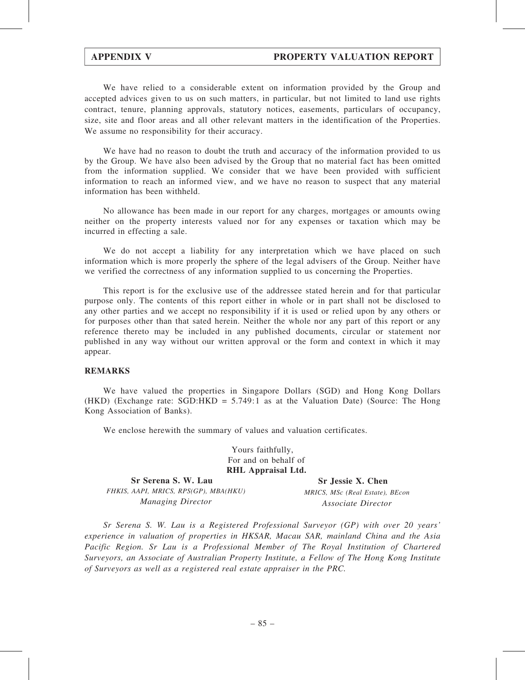# APPENDIX V PROPERTY VALUATION REPORT

We have relied to a considerable extent on information provided by the Group and accepted advices given to us on such matters, in particular, but not limited to land use rights contract, tenure, planning approvals, statutory notices, easements, particulars of occupancy, size, site and floor areas and all other relevant matters in the identification of the Properties. We assume no responsibility for their accuracy.

We have had no reason to doubt the truth and accuracy of the information provided to us by the Group. We have also been advised by the Group that no material fact has been omitted from the information supplied. We consider that we have been provided with sufficient information to reach an informed view, and we have no reason to suspect that any material information has been withheld.

No allowance has been made in our report for any charges, mortgages or amounts owing neither on the property interests valued nor for any expenses or taxation which may be incurred in effecting a sale.

We do not accept a liability for any interpretation which we have placed on such information which is more properly the sphere of the legal advisers of the Group. Neither have we verified the correctness of any information supplied to us concerning the Properties.

This report is for the exclusive use of the addressee stated herein and for that particular purpose only. The contents of this report either in whole or in part shall not be disclosed to any other parties and we accept no responsibility if it is used or relied upon by any others or for purposes other than that sated herein. Neither the whole nor any part of this report or any reference thereto may be included in any published documents, circular or statement nor published in any way without our written approval or the form and context in which it may appear.

### REMARKS

We have valued the properties in Singapore Dollars (SGD) and Hong Kong Dollars (HKD) (Exchange rate: SGD:HKD = 5.749:1 as at the Valuation Date) (Source: The Hong Kong Association of Banks).

We enclose herewith the summary of values and valuation certificates.

Yours faithfully, For and on behalf of RHL Appraisal Ltd.

Sr Serena S. W. Lau FHKIS, AAPI, MRICS, RPS(GP), MBA(HKU) Managing Director

Sr Jessie X. Chen MRICS, MSc (Real Estate), BEcon Associate Director

Sr Serena S. W. Lau is a Registered Professional Surveyor (GP) with over 20 years' experience in valuation of properties in HKSAR, Macau SAR, mainland China and the Asia Pacific Region. Sr Lau is a Professional Member of The Royal Institution of Chartered Surveyors, an Associate of Australian Property Institute, a Fellow of The Hong Kong Institute of Surveyors as well as a registered real estate appraiser in the PRC.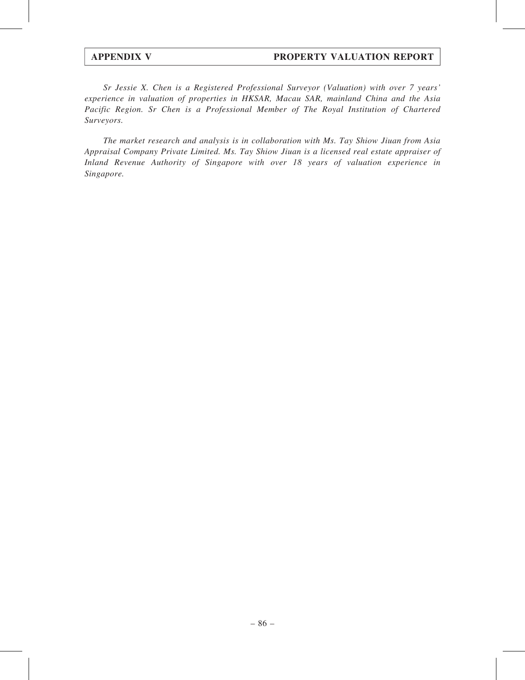Sr Jessie X. Chen is a Registered Professional Surveyor (Valuation) with over 7 years' experience in valuation of properties in HKSAR, Macau SAR, mainland China and the Asia Pacific Region. Sr Chen is a Professional Member of The Royal Institution of Chartered Surveyors.

The market research and analysis is in collaboration with Ms. Tay Shiow Jiuan from Asia Appraisal Company Private Limited. Ms. Tay Shiow Jiuan is a licensed real estate appraiser of Inland Revenue Authority of Singapore with over 18 years of valuation experience in Singapore.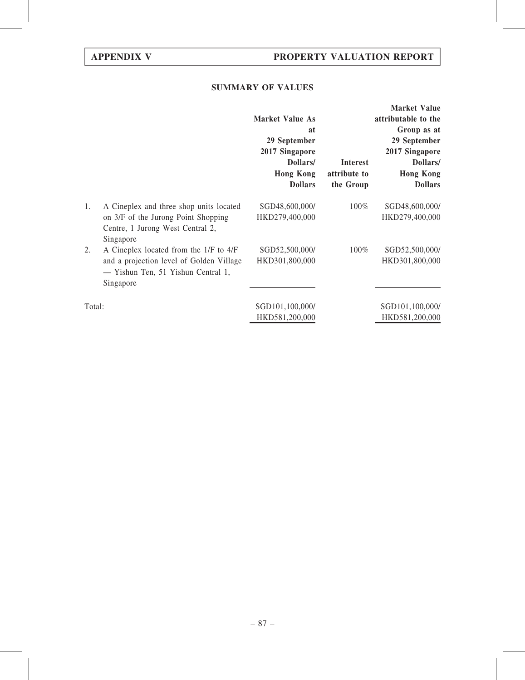# SUMMARY OF VALUES

|        |                                                                                             | <b>Market Value As</b><br>at<br>29 September<br>2017 Singapore<br>Dollars/<br><b>Hong Kong</b><br><b>Dollars</b> | Interest<br>attribute to<br>the Group | <b>Market Value</b><br>attributable to the<br>Group as at<br>29 September<br>2017 Singapore<br>Dollars/<br><b>Hong Kong</b><br><b>Dollars</b> |
|--------|---------------------------------------------------------------------------------------------|------------------------------------------------------------------------------------------------------------------|---------------------------------------|-----------------------------------------------------------------------------------------------------------------------------------------------|
| 1.     | A Cineplex and three shop units located<br>on 3/F of the Jurong Point Shopping              | SGD48,600,000/<br>HKD279,400,000                                                                                 | $100\%$                               | SGD48,600,000/<br>HKD279,400,000                                                                                                              |
|        | Centre, 1 Jurong West Central 2,<br>Singapore                                               |                                                                                                                  |                                       |                                                                                                                                               |
| 2.     | A Cineplex located from the 1/F to 4/F                                                      | SGD52,500,000/                                                                                                   | 100%                                  | SGD52,500,000/                                                                                                                                |
|        | and a projection level of Golden Village<br>- Yishun Ten, 51 Yishun Central 1,<br>Singapore | HKD301,800,000                                                                                                   |                                       | HKD301,800,000                                                                                                                                |
|        |                                                                                             |                                                                                                                  |                                       |                                                                                                                                               |
| Total: |                                                                                             | SGD101,100,000/                                                                                                  |                                       | SGD101,100,000/                                                                                                                               |
|        |                                                                                             | HKD581,200,000                                                                                                   |                                       | HKD581,200,000                                                                                                                                |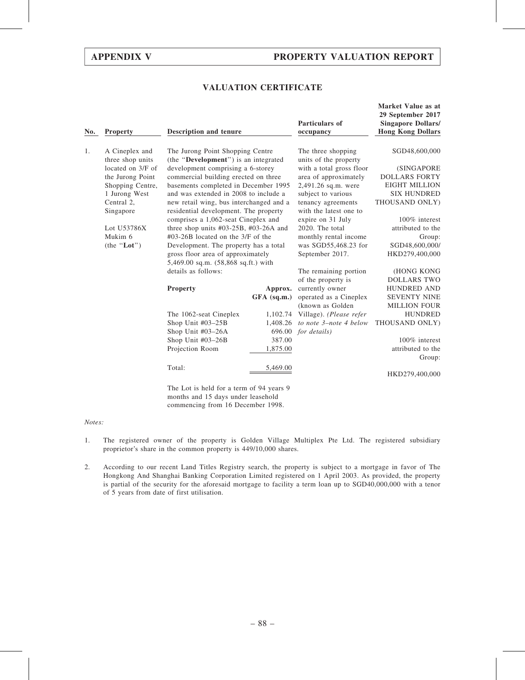Market Value as at

# VALUATION CERTIFICATE

| No.                                      | <b>Property</b>         | <b>Description and tenure</b>                                                    |               | Particulars of<br>occupancy                  | iylal NCL Yalut as at<br>29 September 2017<br><b>Singapore Dollars/</b><br><b>Hong Kong Dollars</b> |
|------------------------------------------|-------------------------|----------------------------------------------------------------------------------|---------------|----------------------------------------------|-----------------------------------------------------------------------------------------------------|
| 1.<br>A Cineplex and<br>three shop units |                         | The Jurong Point Shopping Centre<br>(the "Development") is an integrated         |               | The three shopping<br>units of the property  | SGD48,600,000                                                                                       |
|                                          | located on 3/F of       | development comprising a 6-storey                                                |               | with a total gross floor                     | (SINGAPORE                                                                                          |
|                                          | the Jurong Point        | commercial building erected on three                                             |               | area of approximately                        | <b>DOLLARS FORTY</b>                                                                                |
|                                          | Shopping Centre,        | basements completed in December 1995                                             |               | 2,491.26 sq.m. were                          | <b>EIGHT MILLION</b>                                                                                |
|                                          | 1 Jurong West           | and was extended in 2008 to include a                                            |               | subject to various                           | <b>SIX HUNDRED</b>                                                                                  |
|                                          | Central 2,<br>Singapore | new retail wing, bus interchanged and a<br>residential development. The property |               | tenancy agreements<br>with the latest one to | THOUSAND ONLY)                                                                                      |
|                                          |                         | comprises a 1,062-seat Cineplex and                                              |               | expire on 31 July                            | 100% interest                                                                                       |
|                                          | Lot U53786X             | three shop units $#03-25B$ , $#03-26A$ and                                       |               | 2020. The total                              | attributed to the                                                                                   |
|                                          | Mukim 6                 | $\text{\#}03\text{-}26B$ located on the 3/F of the                               |               | monthly rental income                        | Group:                                                                                              |
|                                          | (the "Lot")             | Development. The property has a total                                            |               | was SGD55,468.23 for                         | SGD48,600,000/                                                                                      |
|                                          |                         | gross floor area of approximately                                                |               | September 2017.                              | HKD279,400,000                                                                                      |
|                                          |                         | 5,469.00 sq.m. (58,868 sq.ft.) with                                              |               |                                              |                                                                                                     |
|                                          |                         | details as follows:                                                              |               | The remaining portion                        | (HONG KONG                                                                                          |
|                                          |                         |                                                                                  |               | of the property is                           | <b>DOLLARS TWO</b>                                                                                  |
|                                          |                         | <b>Property</b>                                                                  | Approx.       | currently owner                              | <b>HUNDRED AND</b>                                                                                  |
|                                          |                         |                                                                                  | $GFA$ (sq.m.) | operated as a Cineplex                       | <b>SEVENTY NINE</b>                                                                                 |
|                                          |                         |                                                                                  |               | (known as Golden)                            | <b>MILLION FOUR</b>                                                                                 |
|                                          |                         | The 1062-seat Cineplex                                                           | 1,102.74      | Village). (Please refer                      | <b>HUNDRED</b>                                                                                      |
|                                          |                         | Shop Unit #03-25B                                                                | 1,408.26      | to note 3-note 4 below                       | THOUSAND ONLY)                                                                                      |
|                                          |                         | Shop Unit #03-26A                                                                | 696.00        | for details)                                 |                                                                                                     |
|                                          |                         | Shop Unit #03-26B                                                                | 387.00        |                                              | 100% interest                                                                                       |
|                                          |                         | Projection Room                                                                  | 1,875.00      |                                              | attributed to the                                                                                   |
|                                          |                         |                                                                                  |               |                                              | Group:                                                                                              |
|                                          |                         | Total:                                                                           | 5,469.00      |                                              | HKD279,400,000                                                                                      |
|                                          |                         | $\mathbf{r}$ , $\mathbf{r}$ , $\mathbf{r}$ , $\mathbf{r}$ , $\mathbf{r}$         | $c \cap A$    |                                              |                                                                                                     |

The Lot is held for a term of 94 years 9 months and 15 days under leasehold commencing from 16 December 1998.

### Notes:

- 1. The registered owner of the property is Golden Village Multiplex Pte Ltd. The registered subsidiary proprietor's share in the common property is 449/10,000 shares.
- 2. According to our recent Land Titles Registry search, the property is subject to a mortgage in favor of The Hongkong And Shanghai Banking Corporation Limited registered on 1 April 2003. As provided, the property is partial of the security for the aforesaid mortgage to facility a term loan up to SGD40,000,000 with a tenor of 5 years from date of first utilisation.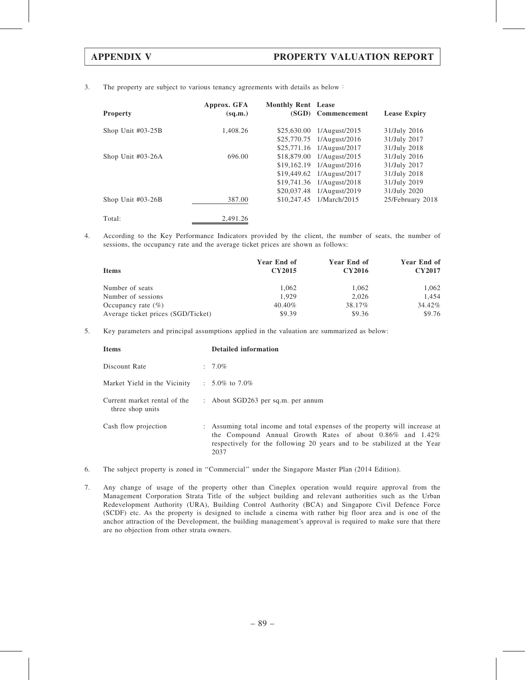3. The property are subject to various tenancy agreements with details as below:

| <b>Property</b>     | Approx. GFA<br>(sq.m.) | <b>Monthly Rent Lease</b> | (SGD) Commencement         | <b>Lease Expiry</b> |
|---------------------|------------------------|---------------------------|----------------------------|---------------------|
| Shop Unit $#03-25B$ | 1,408.26               | \$25,630.00               | 1/August/2015              | 31/July 2016        |
|                     |                        |                           | \$25,770.75 1/August/2016  | 31/July 2017        |
|                     |                        |                           | \$25,771.16 1/August/2017  | 31/July 2018        |
| Shop Unit $#03-26A$ | 696.00                 | \$18,879.00               | 1/August/2015              | 31/July 2016        |
|                     |                        |                           | $$19,162.19$ 1/August/2016 | 31/July 2017        |
|                     |                        |                           | \$19,449.62 1/August/2017  | 31/July 2018        |
|                     |                        |                           | \$19,741.36 1/August/2018  | 31/July 2019        |
|                     |                        | \$20,037.48               | 1/August/2019              | 31/July 2020        |
| Shop Unit $#03-26B$ | 387.00                 |                           | \$10,247.45 1/March/2015   | 25/February 2018    |
| Total:              | 2.491.26               |                           |                            |                     |

4. According to the Key Performance Indicators provided by the client, the number of seats, the number of sessions, the occupancy rate and the average ticket prices are shown as follows:

| <b>Items</b>                       | Year End of<br>CY2015 | Year End of<br><b>CY2016</b> | Year End of<br><b>CY2017</b> |
|------------------------------------|-----------------------|------------------------------|------------------------------|
| Number of seats                    | 1.062                 | 1,062                        | 1,062                        |
| Number of sessions                 | 1.929                 | 2.026                        | 1.454                        |
| Occupancy rate $(\%)$              | 40.40%                | 38.17%                       | 34.42%                       |
| Average ticket prices (SGD/Ticket) | \$9.39                | \$9.36                       | \$9.76                       |

5. Key parameters and principal assumptions applied in the valuation are summarized as below:

| <b>Items</b>                                           | <b>Detailed information</b>                                                                                                                                                                                                        |
|--------------------------------------------------------|------------------------------------------------------------------------------------------------------------------------------------------------------------------------------------------------------------------------------------|
| Discount Rate                                          | $: 7.0\%$                                                                                                                                                                                                                          |
| Market Yield in the Vicinity $\therefore$ 5.0% to 7.0% |                                                                                                                                                                                                                                    |
| Current market rental of the<br>three shop units       | : About $SGD263$ per sq.m. per annum                                                                                                                                                                                               |
| Cash flow projection                                   | : Assuming total income and total expenses of the property will increase at<br>the Compound Annual Growth Rates of about $0.86\%$ and $1.42\%$<br>respectively for the following 20 years and to be stabilized at the Year<br>2037 |

- 6. The subject property is zoned in ''Commercial'' under the Singapore Master Plan (2014 Edition).
- 7. Any change of usage of the property other than Cineplex operation would require approval from the Management Corporation Strata Title of the subject building and relevant authorities such as the Urban Redevelopment Authority (URA), Building Control Authority (BCA) and Singapore Civil Defence Force (SCDF) etc. As the property is designed to include a cinema with rather big floor area and is one of the anchor attraction of the Development, the building management's approval is required to make sure that there are no objection from other strata owners.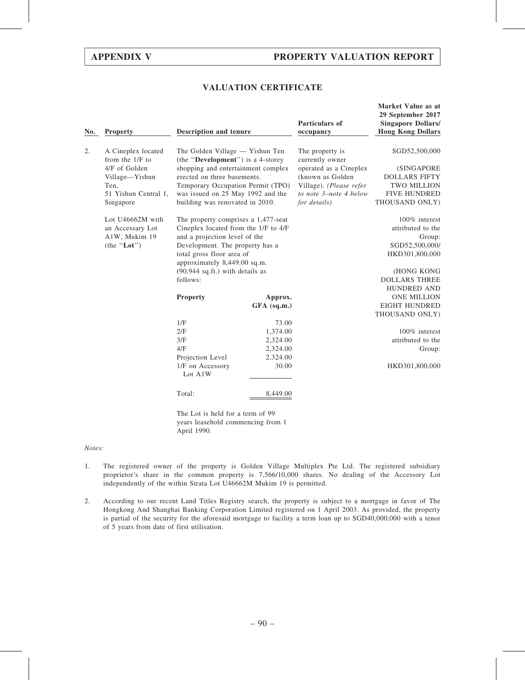# APPENDIX V PROPERTY VALUATION REPORT

# VALUATION CERTIFICATE

| No.                                           | <b>Property</b>      | <b>Description and tenure</b>                                        |             | Particulars of<br>occupancy        | Market Value as at<br>29 September 2017<br><b>Singapore Dollars/</b><br><b>Hong Kong Dollars</b> |
|-----------------------------------------------|----------------------|----------------------------------------------------------------------|-------------|------------------------------------|--------------------------------------------------------------------------------------------------|
| 2.<br>A Cineplex located<br>from the $1/F$ to |                      | The Golden Village - Yishun Ten<br>(the "Development") is a 4-storey |             | The property is<br>currently owner | SGD52,500,000                                                                                    |
|                                               | 4/F of Golden        | shopping and entertainment complex                                   |             | operated as a Cineplex             | (SINGAPORE                                                                                       |
|                                               | Village-Yishun       | erected on three basements.                                          |             | (known as Golden)                  | <b>DOLLARS FIFTY</b>                                                                             |
|                                               | Ten,                 | Temporary Occupation Permit (TPO)                                    |             | Village). (Please refer            | <b>TWO MILLION</b>                                                                               |
|                                               | 51 Yishun Central 1, | was issued on 25 May 1992 and the                                    |             | to note 3-note 4 below             | <b>FIVE HUNDRED</b>                                                                              |
|                                               | Singapore            | building was renovated in 2010.                                      |             | for details)                       | THOUSAND ONLY)                                                                                   |
|                                               | Lot U46662M with     | The property comprises a 1,477-seat                                  |             |                                    | 100% interest                                                                                    |
|                                               | an Accessary Lot     | Cineplex located from the 1/F to 4/F                                 |             |                                    | attributed to the                                                                                |
|                                               | A1W, Mukim 19        | and a projection level of the                                        |             |                                    | Group:                                                                                           |
|                                               | (the "Lot")          | Development. The property has a                                      |             |                                    | SGD52,500,000/                                                                                   |
|                                               |                      | total gross floor area of                                            |             |                                    | HKD301,800,000                                                                                   |
|                                               |                      | approximately 8,449.00 sq.m.                                         |             |                                    |                                                                                                  |
|                                               |                      | $(90,944 \text{ sq.fit.})$ with details as                           |             |                                    | (HONG KONG                                                                                       |
|                                               |                      | follows:                                                             |             |                                    | <b>DOLLARS THREE</b>                                                                             |
|                                               |                      |                                                                      |             |                                    | <b>HUNDRED AND</b>                                                                               |
|                                               |                      | Property                                                             | Approx.     |                                    | <b>ONE MILLION</b>                                                                               |
|                                               |                      |                                                                      | GFA (sq.m.) |                                    | <b>EIGHT HUNDRED</b>                                                                             |
|                                               |                      |                                                                      |             |                                    | THOUSAND ONLY)                                                                                   |
|                                               |                      | 1/F                                                                  | 73.00       |                                    |                                                                                                  |
|                                               |                      | 2/F                                                                  | 1,374.00    |                                    | 100% interest                                                                                    |
|                                               |                      | 3/F                                                                  | 2,324.00    |                                    | attributed to the                                                                                |
|                                               |                      | 4/F                                                                  | 2,324.00    |                                    | Group:                                                                                           |
|                                               |                      | Projection Level                                                     | 2,324.00    |                                    |                                                                                                  |
|                                               |                      | 1/F on Accessory<br>Lot A1W                                          | 30.00       |                                    | HKD301,800,000                                                                                   |
|                                               |                      | Total:                                                               | 8,449.00    |                                    |                                                                                                  |
|                                               |                      | The Lot is held for a term of 99                                     |             |                                    |                                                                                                  |

Notes:

1. The registered owner of the property is Golden Village Multiplex Pte Ltd. The registered subsidiary proprietor's share in the common property is 7,566/10,000 shares. No dealing of the Accessory Lot independently of the within Strata Lot U46662M Mukim 19 is permitted.

years leasehold commencing from 1

April 1990.

2. According to our recent Land Titles Registry search, the property is subject to a mortgage in favor of The Hongkong And Shanghai Banking Corporation Limited registered on 1 April 2003. As provided, the property is partial of the security for the aforesaid mortgage to facility a term loan up to SGD40,000,000 with a tenor of 5 years from date of first utilisation.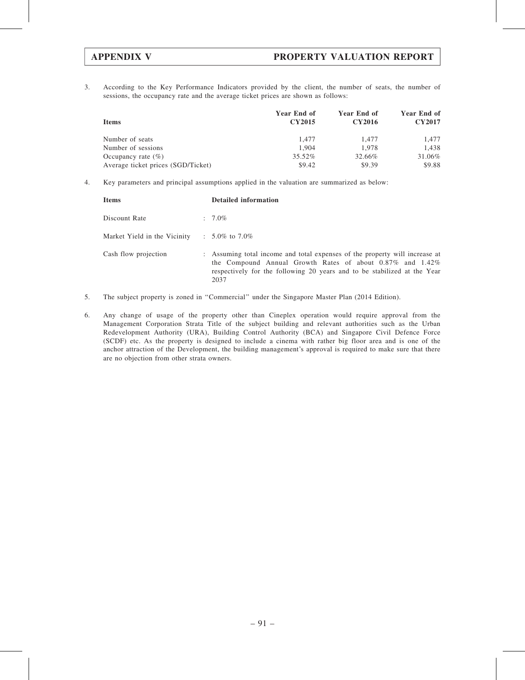3. According to the Key Performance Indicators provided by the client, the number of seats, the number of sessions, the occupancy rate and the average ticket prices are shown as follows:

| <b>Items</b>                       | Year End of<br><b>CY2015</b> | Year End of<br><b>CY2016</b> | Year End of<br><b>CY2017</b> |
|------------------------------------|------------------------------|------------------------------|------------------------------|
| Number of seats                    | 1.477                        | 1.477                        | 1.477                        |
| Number of sessions                 | 1.904                        | 1.978                        | 1.438                        |
| Occupancy rate $(\% )$             | 35.52%                       | 32.66%                       | 31.06%                       |
| Average ticket prices (SGD/Ticket) | \$9.42                       | \$9.39                       | \$9.88                       |

4. Key parameters and principal assumptions applied in the valuation are summarized as below:

| <b>Items</b>                 | <b>Detailed information</b>                                                                                                                                                                                                        |
|------------------------------|------------------------------------------------------------------------------------------------------------------------------------------------------------------------------------------------------------------------------------|
| Discount Rate                | $: 7.0\%$                                                                                                                                                                                                                          |
| Market Yield in the Vicinity | $\therefore$ 5.0% to 7.0%                                                                                                                                                                                                          |
| Cash flow projection         | : Assuming total income and total expenses of the property will increase at<br>the Compound Annual Growth Rates of about $0.87\%$ and $1.42\%$<br>respectively for the following 20 years and to be stabilized at the Year<br>2037 |

- 5. The subject property is zoned in ''Commercial'' under the Singapore Master Plan (2014 Edition).
- 6. Any change of usage of the property other than Cineplex operation would require approval from the Management Corporation Strata Title of the subject building and relevant authorities such as the Urban Redevelopment Authority (URA), Building Control Authority (BCA) and Singapore Civil Defence Force (SCDF) etc. As the property is designed to include a cinema with rather big floor area and is one of the anchor attraction of the Development, the building management's approval is required to make sure that there are no objection from other strata owners.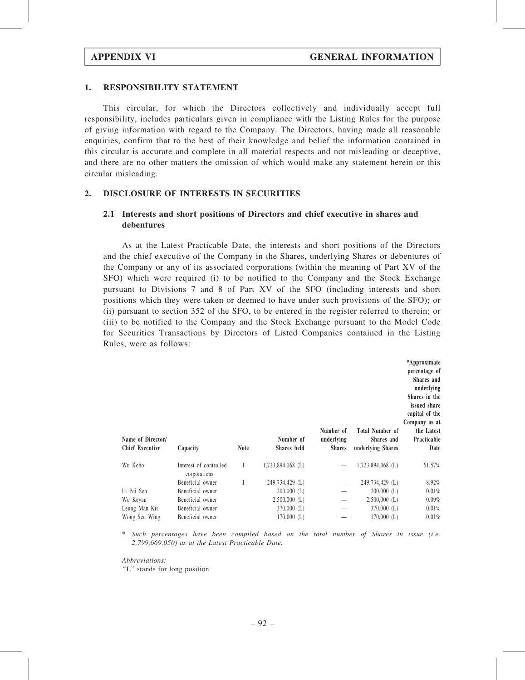### 1. RESPONSIBILITY STATEMENT

This circular, for which the Directors collectively and individually accept full responsibility, includes particulars given in compliance with the Listing Rules for the purpose of giving information with regard to the Company. The Directors, having made all reasonable enquiries, confirm that to the best of their knowledge and belief the information contained in this circular is accurate and complete in all material respects and not misleading or deceptive, and there are no other matters the omission of which would make any statement herein or this circular misleading.

## 2. DISCLOSURE OF INTERESTS IN SECURITIES

# 2.1 Interests and short positions of Directors and chief executive in shares and debentures

As at the Latest Practicable Date, the interests and short positions of the Directors and the chief executive of the Company in the Shares, underlying Shares or debentures of the Company or any of its associated corporations (within the meaning of Part XV of the SFO) which were required (i) to be notified to the Company and the Stock Exchange pursuant to Divisions 7 and 8 of Part XV of the SFO (including interests and short positions which they were taken or deemed to have under such provisions of the SFO); or (ii) pursuant to section 352 of the SFO, to be entered in the register referred to therein; or (iii) to be notified to the Company and the Stock Exchange pursuant to the Model Code for Securities Transactions by Directors of Listed Companies contained in the Listing Rules, were as follows:

| Name of Director/<br><b>Chief Executive</b> | Capacity                               | <b>Note</b> | Number of<br>Shares held | Number of<br>underlying<br><b>Shares</b> | Total Number of<br>Shares and<br>underlying Shares | *Approximate<br>percentage of<br>Shares and<br>underlying<br>Shares in the<br>issued share<br>capital of the<br>Company as at<br>the Latest<br>Practicable<br>Date |
|---------------------------------------------|----------------------------------------|-------------|--------------------------|------------------------------------------|----------------------------------------------------|--------------------------------------------------------------------------------------------------------------------------------------------------------------------|
| Wu Kebo                                     | Interest of controlled<br>corporations | 1           | $1,723,894,068$ (L)      |                                          | 1,723,894,068 (L)                                  | 61.57%                                                                                                                                                             |
|                                             | Beneficial owner                       |             | 249,734,429 (L)          |                                          | 249,734,429 (L)                                    | 8.92%                                                                                                                                                              |
| Li Pei Sen                                  | Beneficial owner                       |             | $200,000$ (L)            |                                          | $200,000$ (L)                                      | 0.01%                                                                                                                                                              |
| Wu Keyan                                    | Beneficial owner                       |             | $2,500,000$ (L)          |                                          | $2,500,000$ (L)                                    | 0.09%                                                                                                                                                              |
| Leung Man Kit                               | Beneficial owner                       |             | $370,000$ (L)            |                                          | $370,000$ (L)                                      | 0.01%                                                                                                                                                              |
| Wong Sze Wing                               | Beneficial owner                       |             | $170,000$ (L)            |                                          | $170,000$ (L)                                      | 0.01%                                                                                                                                                              |

\* Such percentages have been compiled based on the total number of Shares in issue (i.e. 2,799,669,050) as at the Latest Practicable Date.

Abbreviations:

''L'' stands for long position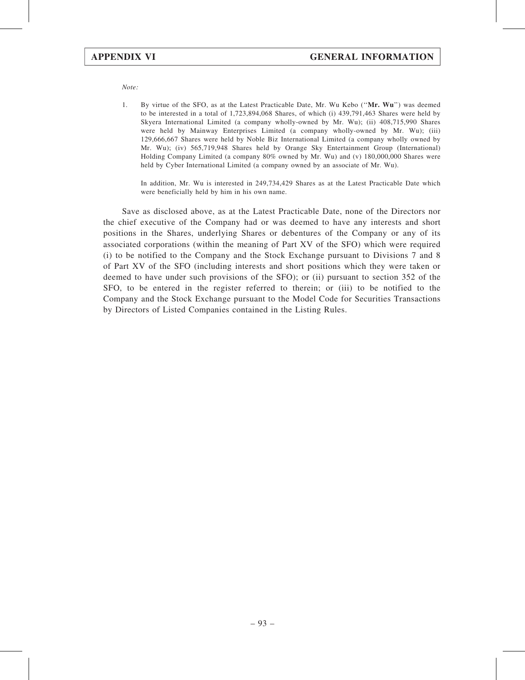Note:

1. By virtue of the SFO, as at the Latest Practicable Date, Mr. Wu Kebo (''Mr. Wu'') was deemed to be interested in a total of 1,723,894,068 Shares, of which (i) 439,791,463 Shares were held by Skyera International Limited (a company wholly-owned by Mr. Wu); (ii) 408,715,990 Shares were held by Mainway Enterprises Limited (a company wholly-owned by Mr. Wu); (iii) 129,666,667 Shares were held by Noble Biz International Limited (a company wholly owned by Mr. Wu); (iv) 565,719,948 Shares held by Orange Sky Entertainment Group (International) Holding Company Limited (a company 80% owned by Mr. Wu) and (v) 180,000,000 Shares were held by Cyber International Limited (a company owned by an associate of Mr. Wu).

In addition, Mr. Wu is interested in 249,734,429 Shares as at the Latest Practicable Date which were beneficially held by him in his own name.

Save as disclosed above, as at the Latest Practicable Date, none of the Directors nor the chief executive of the Company had or was deemed to have any interests and short positions in the Shares, underlying Shares or debentures of the Company or any of its associated corporations (within the meaning of Part XV of the SFO) which were required (i) to be notified to the Company and the Stock Exchange pursuant to Divisions 7 and 8 of Part XV of the SFO (including interests and short positions which they were taken or deemed to have under such provisions of the SFO); or (ii) pursuant to section 352 of the SFO, to be entered in the register referred to therein; or (iii) to be notified to the Company and the Stock Exchange pursuant to the Model Code for Securities Transactions by Directors of Listed Companies contained in the Listing Rules.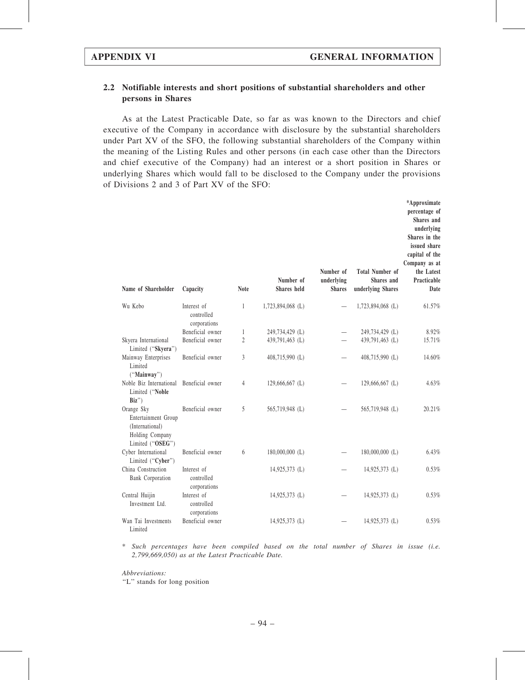# 2.2 Notifiable interests and short positions of substantial shareholders and other persons in Shares

As at the Latest Practicable Date, so far as was known to the Directors and chief executive of the Company in accordance with disclosure by the substantial shareholders under Part XV of the SFO, the following substantial shareholders of the Company within the meaning of the Listing Rules and other persons (in each case other than the Directors and chief executive of the Company) had an interest or a short position in Shares or underlying Shares which would fall to be disclosed to the Company under the provisions of Divisions 2 and 3 of Part XV of the SFO:

| Name of Shareholder                                                                         | Capacity                                  | <b>Note</b>    | Number of<br>Shares held | Number of<br>underlying<br><b>Shares</b> | <b>Total Number of</b><br>Shares and<br>underlying Shares | *Approximate<br>percentage of<br>Shares and<br>underlying<br>Shares in the<br>issued share<br>capital of the<br>Company as at<br>the Latest<br>Practicable<br>Date |
|---------------------------------------------------------------------------------------------|-------------------------------------------|----------------|--------------------------|------------------------------------------|-----------------------------------------------------------|--------------------------------------------------------------------------------------------------------------------------------------------------------------------|
| Wu Kebo                                                                                     | Interest of<br>controlled<br>corporations | 1              | 1,723,894,068 (L)        |                                          | 1,723,894,068 (L)                                         | 61.57%                                                                                                                                                             |
|                                                                                             | Beneficial owner                          | 1              | 249,734,429 (L)          |                                          | 249,734,429 (L)                                           | 8.92%                                                                                                                                                              |
| Skyera International<br>Limited ("Skyera")                                                  | Beneficial owner                          | $\overline{c}$ | 439,791,463 (L)          |                                          | 439,791,463 (L)                                           | 15.71%                                                                                                                                                             |
| Mainway Enterprises<br>Limited<br>("Mainway")                                               | Beneficial owner                          | 3              | 408,715,990 (L)          |                                          | 408,715,990 (L)                                           | 14.60%                                                                                                                                                             |
| Noble Biz International<br>Limited ("Noble<br>Biz'                                          | Beneficial owner                          | 4              | $129,666,667$ (L)        |                                          | 129,666,667 (L)                                           | 4.63%                                                                                                                                                              |
| Orange Sky<br>Entertainment Group<br>(International)<br>Holding Company<br>Limited ("OSEG") | Beneficial owner                          | 5              | 565,719,948 (L)          |                                          | 565,719,948 (L)                                           | 20.21%                                                                                                                                                             |
| Cyber International<br>Limited ("Cyber")                                                    | Beneficial owner                          | 6              | $180,000,000$ (L)        |                                          | $180,000,000$ (L)                                         | 6.43%                                                                                                                                                              |
| China Construction<br><b>Bank Corporation</b>                                               | Interest of<br>controlled<br>corporations |                | 14,925,373 (L)           |                                          | 14,925,373 (L)                                            | 0.53%                                                                                                                                                              |
| Central Huijin<br>Investment Ltd.                                                           | Interest of<br>controlled<br>corporations |                | 14,925,373 (L)           |                                          | 14,925,373 (L)                                            | 0.53%                                                                                                                                                              |
| Wan Tai Investments<br>Limited                                                              | Beneficial owner                          |                | 14,925,373 (L)           |                                          | $14,925,373$ (L)                                          | 0.53%                                                                                                                                                              |

\* Such percentages have been compiled based on the total number of Shares in issue (i.e. 2,799,669,050) as at the Latest Practicable Date.

Abbreviations:

"L" stands for long position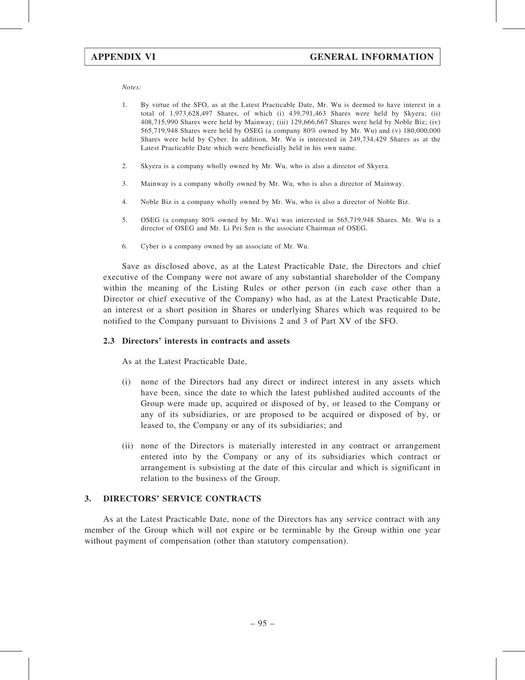Notes:

- 1. By virtue of the SFO, as at the Latest Practicable Date, Mr. Wu is deemed to have interest in a total of 1,973,628,497 Shares, of which (i) 439,791,463 Shares were held by Skyera; (ii) 408,715,990 Shares were held by Mainway; (iii) 129,666,667 Shares were held by Noble Biz; (iv) 565,719,948 Shares were held by OSEG (a company 80% owned by Mr. Wu) and (v) 180,000,000 Shares were held by Cyber. In addition, Mr. Wu is interested in 249,734,429 Shares as at the Latest Practicable Date which were beneficially held in his own name.
- 2. Skyera is a company wholly owned by Mr. Wu, who is also a director of Skyera.
- 3. Mainway is a company wholly owned by Mr. Wu, who is also a director of Mainway.
- 4. Noble Biz is a company wholly owned by Mr. Wu, who is also a director of Noble Biz.
- 5. OSEG (a company 80% owned by Mr. Wu) was interested in 565,719,948 Shares. Mr. Wu is a director of OSEG and Mr. Li Pei Sen is the associate Chairman of OSEG.
- 6. Cyber is a company owned by an associate of Mr. Wu.

Save as disclosed above, as at the Latest Practicable Date, the Directors and chief executive of the Company were not aware of any substantial shareholder of the Company within the meaning of the Listing Rules or other person (in each case other than a Director or chief executive of the Company) who had, as at the Latest Practicable Date, an interest or a short position in Shares or underlying Shares which was required to be notified to the Company pursuant to Divisions 2 and 3 of Part XV of the SFO.

### 2.3 Directors' interests in contracts and assets

As at the Latest Practicable Date,

- (i) none of the Directors had any direct or indirect interest in any assets which have been, since the date to which the latest published audited accounts of the Group were made up, acquired or disposed of by, or leased to the Company or any of its subsidiaries, or are proposed to be acquired or disposed of by, or leased to, the Company or any of its subsidiaries; and
- (ii) none of the Directors is materially interested in any contract or arrangement entered into by the Company or any of its subsidiaries which contract or arrangement is subsisting at the date of this circular and which is significant in relation to the business of the Group.

# 3. DIRECTORS' SERVICE CONTRACTS

As at the Latest Practicable Date, none of the Directors has any service contract with any member of the Group which will not expire or be terminable by the Group within one year without payment of compensation (other than statutory compensation).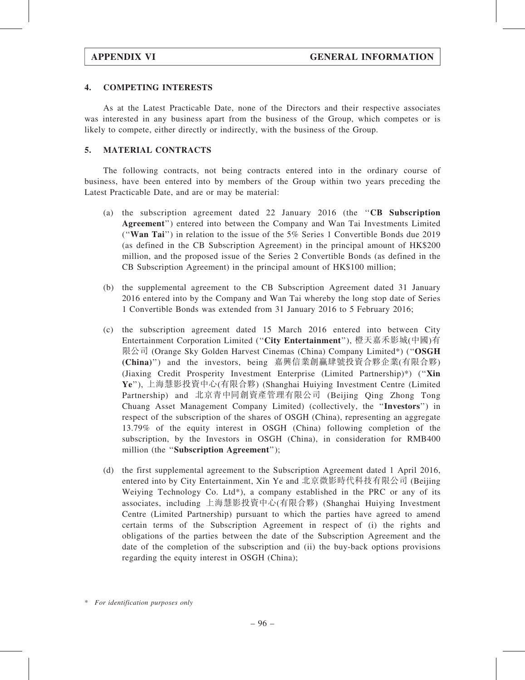# 4. COMPETING INTERESTS

As at the Latest Practicable Date, none of the Directors and their respective associates was interested in any business apart from the business of the Group, which competes or is likely to compete, either directly or indirectly, with the business of the Group.

# 5. MATERIAL CONTRACTS

The following contracts, not being contracts entered into in the ordinary course of business, have been entered into by members of the Group within two years preceding the Latest Practicable Date, and are or may be material:

- (a) the subscription agreement dated 22 January 2016 (the ''CB Subscription Agreement'') entered into between the Company and Wan Tai Investments Limited (''Wan Tai'') in relation to the issue of the 5% Series 1 Convertible Bonds due 2019 (as defined in the CB Subscription Agreement) in the principal amount of HK\$200 million, and the proposed issue of the Series 2 Convertible Bonds (as defined in the CB Subscription Agreement) in the principal amount of HK\$100 million;
- (b) the supplemental agreement to the CB Subscription Agreement dated 31 January 2016 entered into by the Company and Wan Tai whereby the long stop date of Series 1 Convertible Bonds was extended from 31 January 2016 to 5 February 2016;
- (c) the subscription agreement dated 15 March 2016 entered into between City Entertainment Corporation Limited (''City Entertainment''), 橙天嘉禾影城(中國)有 限公司 (Orange Sky Golden Harvest Cinemas (China) Company Limited\*) ("OSGH (China)'') and the investors, being 嘉興信業創贏肆號投資合夥企業(有限合夥) (Jiaxing Credit Prosperity Investment Enterprise (Limited Partnership)\*) (''Xin Ye''), 上海慧影投資中心(有限合夥) (Shanghai Huiying Investment Centre (Limited Partnership) and 北京青中同創資產管理有限公司 (Beijing Qing Zhong Tong Chuang Asset Management Company Limited) (collectively, the ''Investors'') in respect of the subscription of the shares of OSGH (China), representing an aggregate 13.79% of the equity interest in OSGH (China) following completion of the subscription, by the Investors in OSGH (China), in consideration for RMB400 million (the "Subscription Agreement");
- (d) the first supplemental agreement to the Subscription Agreement dated 1 April 2016, entered into by City Entertainment, Xin Ye and 北京微影時代科技有限公司 (Beijing Weiying Technology Co. Ltd\*), a company established in the PRC or any of its associates, including 上海慧影投資中心(有限合夥) (Shanghai Huiying Investment Centre (Limited Partnership) pursuant to which the parties have agreed to amend certain terms of the Subscription Agreement in respect of (i) the rights and obligations of the parties between the date of the Subscription Agreement and the date of the completion of the subscription and (ii) the buy-back options provisions regarding the equity interest in OSGH (China);

<sup>\*</sup> For identification purposes only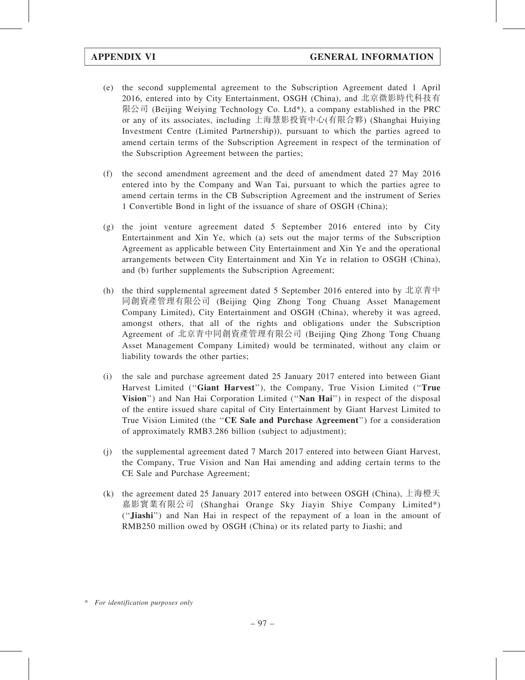- (e) the second supplemental agreement to the Subscription Agreement dated 1 April 2016, entered into by City Entertainment, OSGH (China), and 北京微影時代科技有 限公司 (Beijing Weiying Technology Co. Ltd\*), a company established in the PRC or any of its associates, including 上海慧影投資中心(有限合夥) (Shanghai Huiying Investment Centre (Limited Partnership)), pursuant to which the parties agreed to amend certain terms of the Subscription Agreement in respect of the termination of the Subscription Agreement between the parties;
- (f) the second amendment agreement and the deed of amendment dated 27 May 2016 entered into by the Company and Wan Tai, pursuant to which the parties agree to amend certain terms in the CB Subscription Agreement and the instrument of Series 1 Convertible Bond in light of the issuance of share of OSGH (China);
- (g) the joint venture agreement dated 5 September 2016 entered into by City Entertainment and Xin Ye, which (a) sets out the major terms of the Subscription Agreement as applicable between City Entertainment and Xin Ye and the operational arrangements between City Entertainment and Xin Ye in relation to OSGH (China), and (b) further supplements the Subscription Agreement;
- (h) the third supplemental agreement dated 5 September 2016 entered into by 北京青中 同創資產管理有限公司 (Beijing Qing Zhong Tong Chuang Asset Management Company Limited), City Entertainment and OSGH (China), whereby it was agreed, amongst others, that all of the rights and obligations under the Subscription Agreement of 北京青中同創資產管理有限公司 (Beijing Qing Zhong Tong Chuang Asset Management Company Limited) would be terminated, without any claim or liability towards the other parties;
- (i) the sale and purchase agreement dated 25 January 2017 entered into between Giant Harvest Limited ("Giant Harvest"), the Company, True Vision Limited ("True Vision") and Nan Hai Corporation Limited ("Nan Hai") in respect of the disposal of the entire issued share capital of City Entertainment by Giant Harvest Limited to True Vision Limited (the "CE Sale and Purchase Agreement") for a consideration of approximately RMB3.286 billion (subject to adjustment);
- (j) the supplemental agreement dated 7 March 2017 entered into between Giant Harvest, the Company, True Vision and Nan Hai amending and adding certain terms to the CE Sale and Purchase Agreement;
- (k) the agreement dated 25 January 2017 entered into between OSGH (China), 上海橙天 嘉影實業有限公司 (Shanghai Orange Sky Jiayin Shiye Company Limited\*) (''Jiashi'') and Nan Hai in respect of the repayment of a loan in the amount of RMB250 million owed by OSGH (China) or its related party to Jiashi; and

<sup>\*</sup> For identification purposes only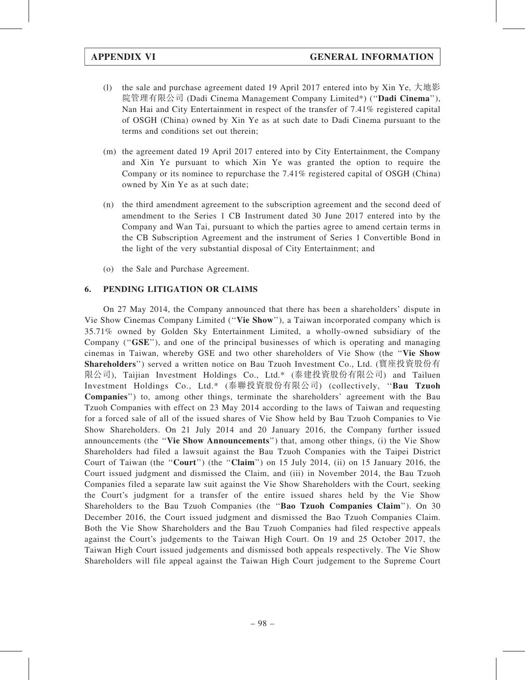- (l) the sale and purchase agreement dated 19 April 2017 entered into by Xin Ye, 大地影 院管理有限公司 (Dadi Cinema Management Company Limited\*) (''Dadi Cinema''), Nan Hai and City Entertainment in respect of the transfer of 7.41% registered capital of OSGH (China) owned by Xin Ye as at such date to Dadi Cinema pursuant to the terms and conditions set out therein;
- (m) the agreement dated 19 April 2017 entered into by City Entertainment, the Company and Xin Ye pursuant to which Xin Ye was granted the option to require the Company or its nominee to repurchase the 7.41% registered capital of OSGH (China) owned by Xin Ye as at such date;
- (n) the third amendment agreement to the subscription agreement and the second deed of amendment to the Series 1 CB Instrument dated 30 June 2017 entered into by the Company and Wan Tai, pursuant to which the parties agree to amend certain terms in the CB Subscription Agreement and the instrument of Series 1 Convertible Bond in the light of the very substantial disposal of City Entertainment; and
- (o) the Sale and Purchase Agreement.

# 6. PENDING LITIGATION OR CLAIMS

On 27 May 2014, the Company announced that there has been a shareholders' dispute in Vie Show Cinemas Company Limited (''Vie Show''), a Taiwan incorporated company which is 35.71% owned by Golden Sky Entertainment Limited, a wholly-owned subsidiary of the Company ("GSE"), and one of the principal businesses of which is operating and managing cinemas in Taiwan, whereby GSE and two other shareholders of Vie Show (the ''Vie Show Shareholders'') served a written notice on Bau Tzuoh Investment Co., Ltd. (寶座投資股份有 限公司), Taijian Investment Holdings Co., Ltd.\* (泰建投資股份有限公司) and Tailuen Investment Holdings Co., Ltd.\* (泰聯投資股份有限公司) (collectively, ''Bau Tzuoh Companies'') to, among other things, terminate the shareholders' agreement with the Bau Tzuoh Companies with effect on 23 May 2014 according to the laws of Taiwan and requesting for a forced sale of all of the issued shares of Vie Show held by Bau Tzuoh Companies to Vie Show Shareholders. On 21 July 2014 and 20 January 2016, the Company further issued announcements (the ''Vie Show Announcements'') that, among other things, (i) the Vie Show Shareholders had filed a lawsuit against the Bau Tzuoh Companies with the Taipei District Court of Taiwan (the "Court") (the "Claim") on 15 July 2014, (ii) on 15 January 2016, the Court issued judgment and dismissed the Claim, and (iii) in November 2014, the Bau Tzuoh Companies filed a separate law suit against the Vie Show Shareholders with the Court, seeking the Court's judgment for a transfer of the entire issued shares held by the Vie Show Shareholders to the Bau Tzuoh Companies (the ''Bao Tzuoh Companies Claim''). On 30 December 2016, the Court issued judgment and dismissed the Bao Tzuoh Companies Claim. Both the Vie Show Shareholders and the Bau Tzuoh Companies had filed respective appeals against the Court's judgements to the Taiwan High Court. On 19 and 25 October 2017, the Taiwan High Court issued judgements and dismissed both appeals respectively. The Vie Show Shareholders will file appeal against the Taiwan High Court judgement to the Supreme Court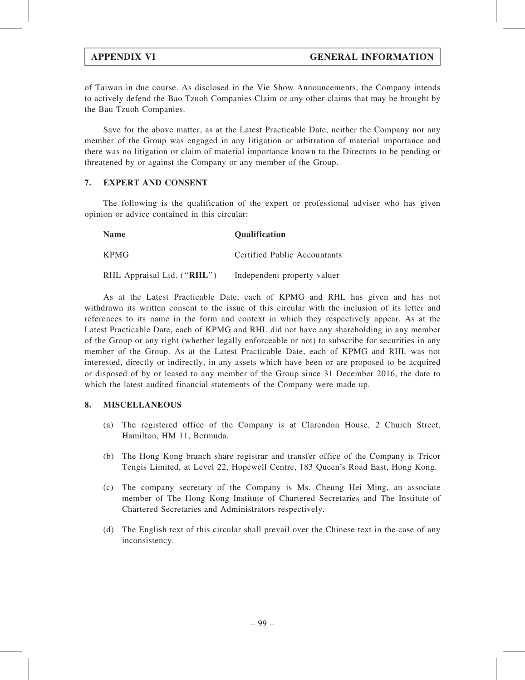of Taiwan in due course. As disclosed in the Vie Show Announcements, the Company intends to actively defend the Bao Tzuoh Companies Claim or any other claims that may be brought by the Bau Tzuoh Companies.

Save for the above matter, as at the Latest Practicable Date, neither the Company nor any member of the Group was engaged in any litigation or arbitration of material importance and there was no litigation or claim of material importance known to the Directors to be pending or threatened by or against the Company or any member of the Group.

## 7. EXPERT AND CONSENT

The following is the qualification of the expert or professional adviser who has given opinion or advice contained in this circular:

| <b>Name</b>                | <b>Qualification</b>         |
|----------------------------|------------------------------|
| <b>KPMG</b>                | Certified Public Accountants |
| RHL Appraisal Ltd. ("RHL") | Independent property valuer  |

As at the Latest Practicable Date, each of KPMG and RHL has given and has not withdrawn its written consent to the issue of this circular with the inclusion of its letter and references to its name in the form and context in which they respectively appear. As at the Latest Practicable Date, each of KPMG and RHL did not have any shareholding in any member of the Group or any right (whether legally enforceable or not) to subscribe for securities in any member of the Group. As at the Latest Practicable Date, each of KPMG and RHL was not interested, directly or indirectly, in any assets which have been or are proposed to be acquired or disposed of by or leased to any member of the Group since 31 December 2016, the date to which the latest audited financial statements of the Company were made up.

# 8. MISCELLANEOUS

- (a) The registered office of the Company is at Clarendon House, 2 Church Street, Hamilton, HM 11, Bermuda.
- (b) The Hong Kong branch share registrar and transfer office of the Company is Tricor Tengis Limited, at Level 22, Hopewell Centre, 183 Queen's Road East, Hong Kong.
- (c) The company secretary of the Company is Ms. Cheung Hei Ming, an associate member of The Hong Kong Institute of Chartered Secretaries and The Institute of Chartered Secretaries and Administrators respectively.
- (d) The English text of this circular shall prevail over the Chinese text in the case of any inconsistency.